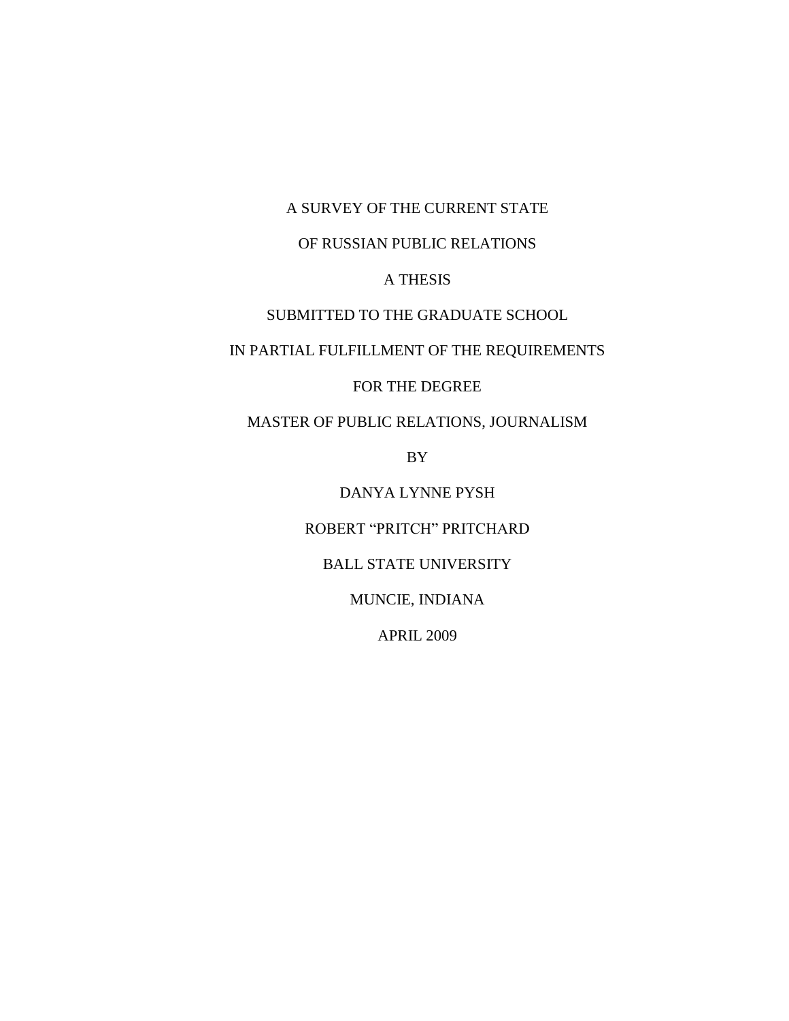A SURVEY OF THE CURRENT STATE

# OF RUSSIAN PUBLIC RELATIONS

# A THESIS

## SUBMITTED TO THE GRADUATE SCHOOL

# IN PARTIAL FULFILLMENT OF THE REQUIREMENTS

## FOR THE DEGREE

# MASTER OF PUBLIC RELATIONS, JOURNALISM

BY

## DANYA LYNNE PYSH

## ROBERT "PRITCH" PRITCHARD

# BALL STATE UNIVERSITY

## MUNCIE, INDIANA

## APRIL 2009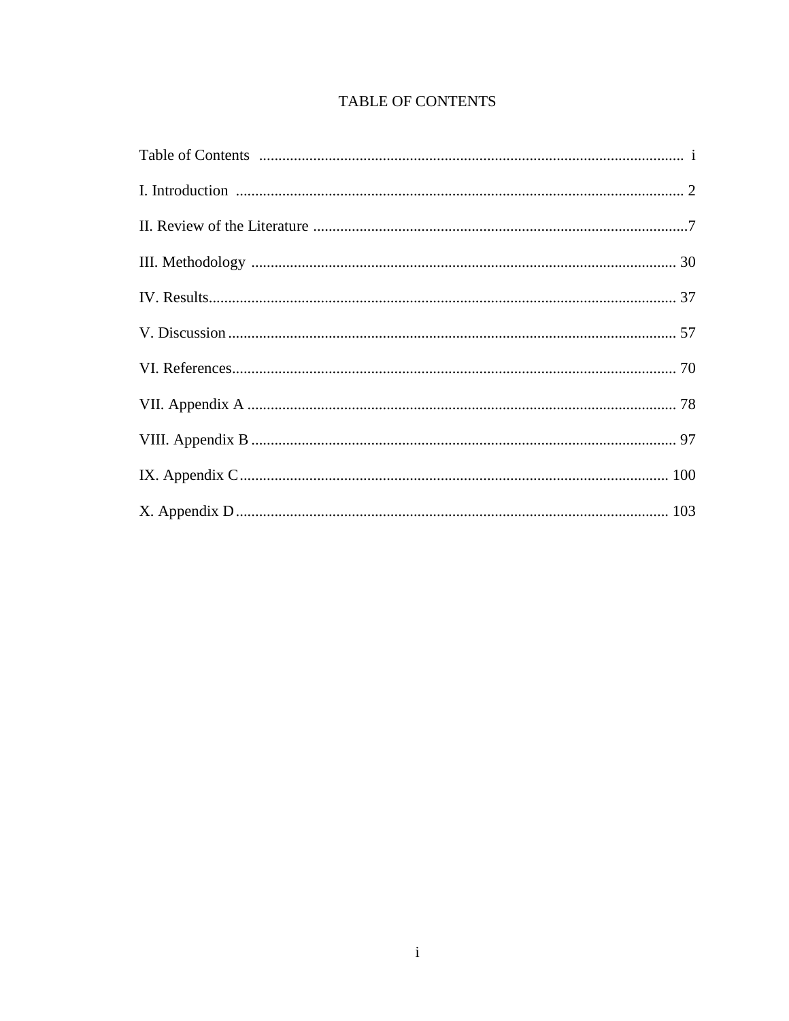# **TABLE OF CONTENTS**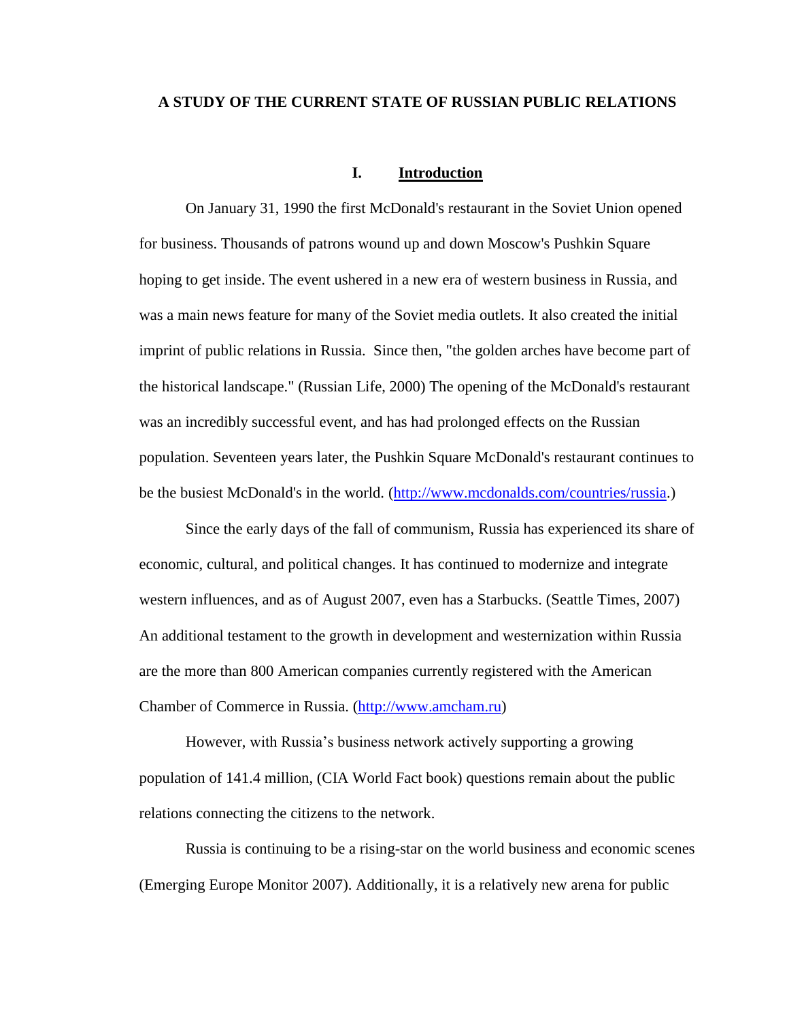### **A STUDY OF THE CURRENT STATE OF RUSSIAN PUBLIC RELATIONS**

## **I. Introduction**

On January 31, 1990 the first McDonald's restaurant in the Soviet Union opened for business. Thousands of patrons wound up and down Moscow's Pushkin Square hoping to get inside. The event ushered in a new era of western business in Russia, and was a main news feature for many of the Soviet media outlets. It also created the initial imprint of public relations in Russia. Since then, "the golden arches have become part of the historical landscape." (Russian Life, 2000) The opening of the McDonald's restaurant was an incredibly successful event, and has had prolonged effects on the Russian population. Seventeen years later, the Pushkin Square McDonald's restaurant continues to be the busiest McDonald's in the world. [\(http://www.mcdonalds.com/countries/russia.](http://www.mcdonalds.com/countries/russia))

Since the early days of the fall of communism, Russia has experienced its share of economic, cultural, and political changes. It has continued to modernize and integrate western influences, and as of August 2007, even has a Starbucks. (Seattle Times, 2007) An additional testament to the growth in development and westernization within Russia are the more than 800 American companies currently registered with the American Chamber of Commerce in Russia. [\(http://www.amcham.ru\)](http://www.amcham.ru/)

However, with Russia's business network actively supporting a growing population of 141.4 million, (CIA World Fact book) questions remain about the public relations connecting the citizens to the network.

Russia is continuing to be a rising-star on the world business and economic scenes (Emerging Europe Monitor 2007). Additionally, it is a relatively new arena for public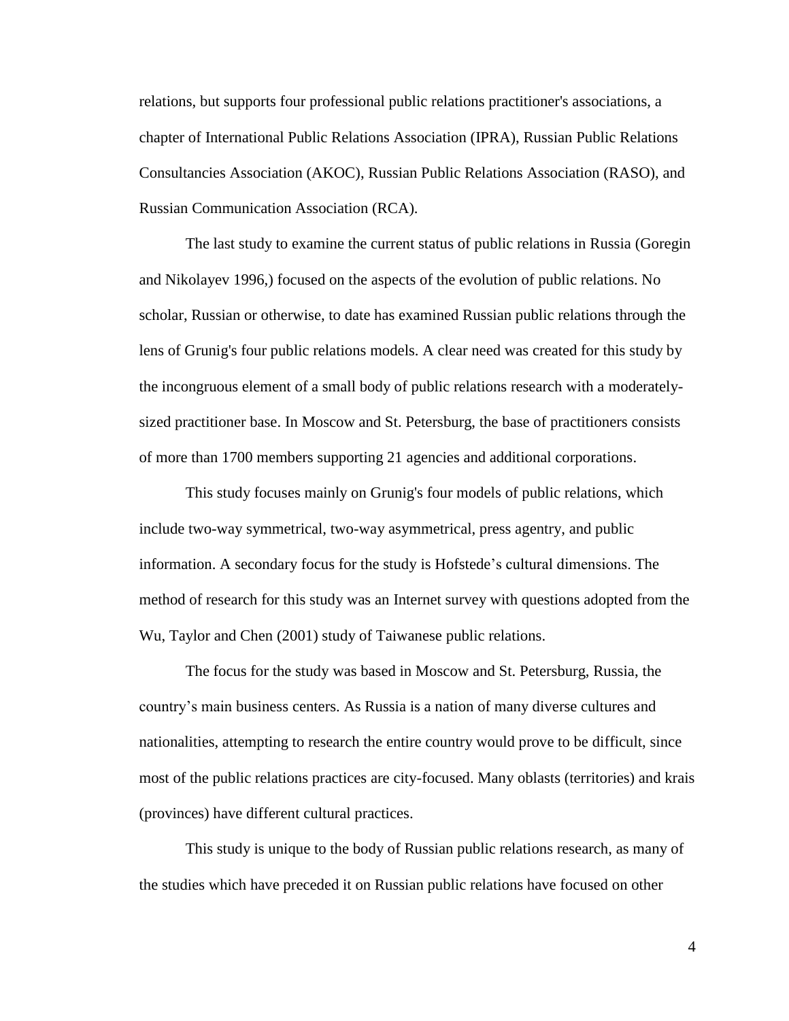relations, but supports four professional public relations practitioner's associations, a chapter of International Public Relations Association (IPRA), Russian Public Relations Consultancies Association (AKOC), Russian Public Relations Association (RASO), and Russian Communication Association (RCA).

The last study to examine the current status of public relations in Russia (Goregin and Nikolayev 1996,) focused on the aspects of the evolution of public relations. No scholar, Russian or otherwise, to date has examined Russian public relations through the lens of Grunig's four public relations models. A clear need was created for this study by the incongruous element of a small body of public relations research with a moderatelysized practitioner base. In Moscow and St. Petersburg, the base of practitioners consists of more than 1700 members supporting 21 agencies and additional corporations.

This study focuses mainly on Grunig's four models of public relations, which include two-way symmetrical, two-way asymmetrical, press agentry, and public information. A secondary focus for the study is Hofstede's cultural dimensions. The method of research for this study was an Internet survey with questions adopted from the Wu, Taylor and Chen (2001) study of Taiwanese public relations.

The focus for the study was based in Moscow and St. Petersburg, Russia, the country's main business centers. As Russia is a nation of many diverse cultures and nationalities, attempting to research the entire country would prove to be difficult, since most of the public relations practices are city-focused. Many oblasts (territories) and krais (provinces) have different cultural practices.

This study is unique to the body of Russian public relations research, as many of the studies which have preceded it on Russian public relations have focused on other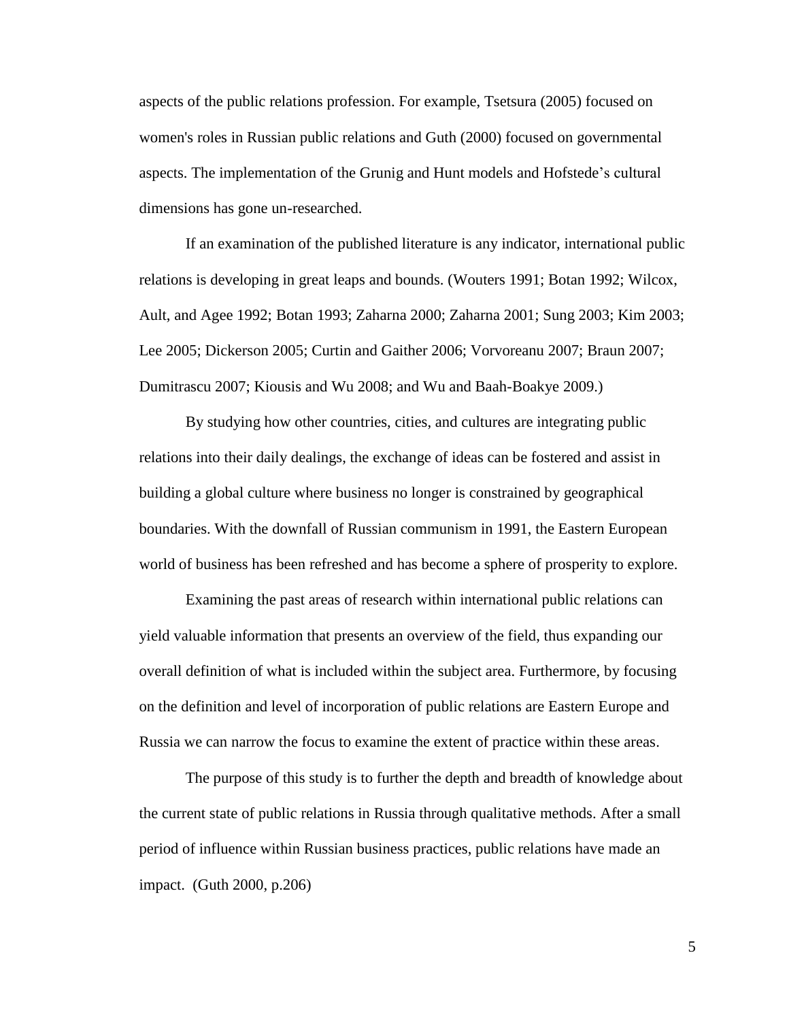aspects of the public relations profession. For example, Tsetsura (2005) focused on women's roles in Russian public relations and Guth (2000) focused on governmental aspects. The implementation of the Grunig and Hunt models and Hofstede's cultural dimensions has gone un-researched.

If an examination of the published literature is any indicator, international public relations is developing in great leaps and bounds. (Wouters 1991; Botan 1992; Wilcox, Ault, and Agee 1992; Botan 1993; Zaharna 2000; Zaharna 2001; Sung 2003; Kim 2003; Lee 2005; Dickerson 2005; Curtin and Gaither 2006; Vorvoreanu 2007; Braun 2007; Dumitrascu 2007; Kiousis and Wu 2008; and Wu and Baah-Boakye 2009.)

By studying how other countries, cities, and cultures are integrating public relations into their daily dealings, the exchange of ideas can be fostered and assist in building a global culture where business no longer is constrained by geographical boundaries. With the downfall of Russian communism in 1991, the Eastern European world of business has been refreshed and has become a sphere of prosperity to explore.

Examining the past areas of research within international public relations can yield valuable information that presents an overview of the field, thus expanding our overall definition of what is included within the subject area. Furthermore, by focusing on the definition and level of incorporation of public relations are Eastern Europe and Russia we can narrow the focus to examine the extent of practice within these areas.

The purpose of this study is to further the depth and breadth of knowledge about the current state of public relations in Russia through qualitative methods. After a small period of influence within Russian business practices, public relations have made an impact. (Guth 2000, p.206)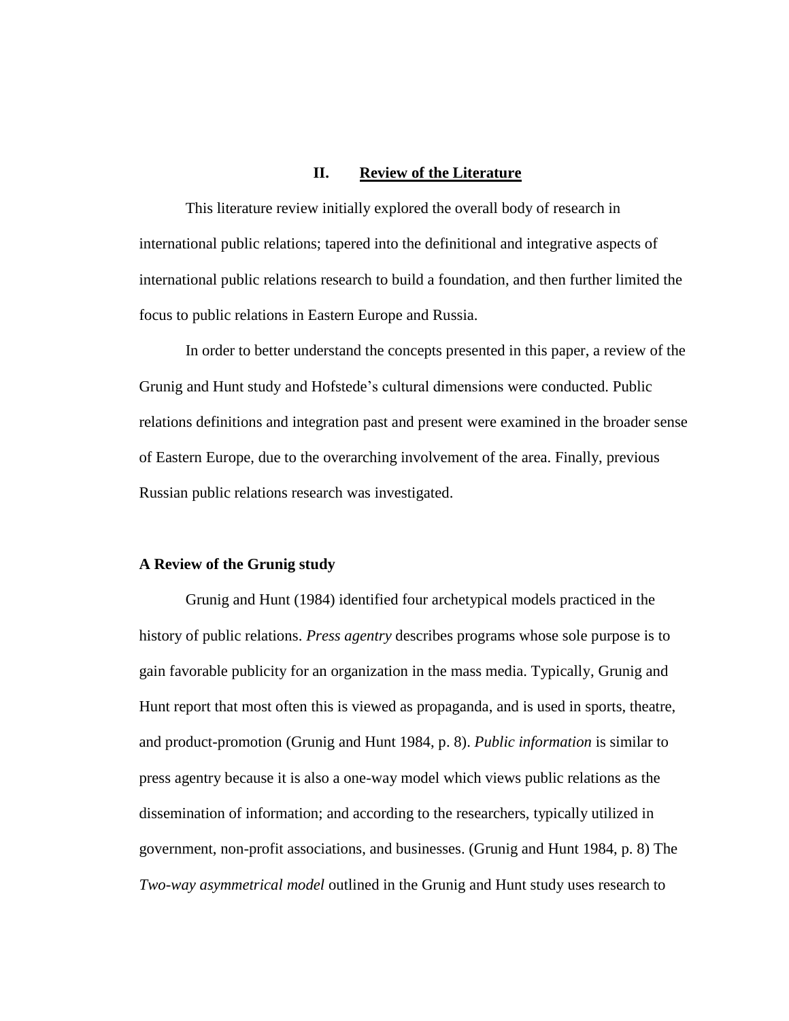## **II. Review of the Literature**

This literature review initially explored the overall body of research in international public relations; tapered into the definitional and integrative aspects of international public relations research to build a foundation, and then further limited the focus to public relations in Eastern Europe and Russia.

In order to better understand the concepts presented in this paper, a review of the Grunig and Hunt study and Hofstede's cultural dimensions were conducted. Public relations definitions and integration past and present were examined in the broader sense of Eastern Europe, due to the overarching involvement of the area. Finally, previous Russian public relations research was investigated.

#### **A Review of the Grunig study**

Grunig and Hunt (1984) identified four archetypical models practiced in the history of public relations. *Press agentry* describes programs whose sole purpose is to gain favorable publicity for an organization in the mass media. Typically, Grunig and Hunt report that most often this is viewed as propaganda, and is used in sports, theatre, and product-promotion (Grunig and Hunt 1984, p. 8). *Public information* is similar to press agentry because it is also a one-way model which views public relations as the dissemination of information; and according to the researchers, typically utilized in government, non-profit associations, and businesses. (Grunig and Hunt 1984, p. 8) The *Two-way asymmetrical model* outlined in the Grunig and Hunt study uses research to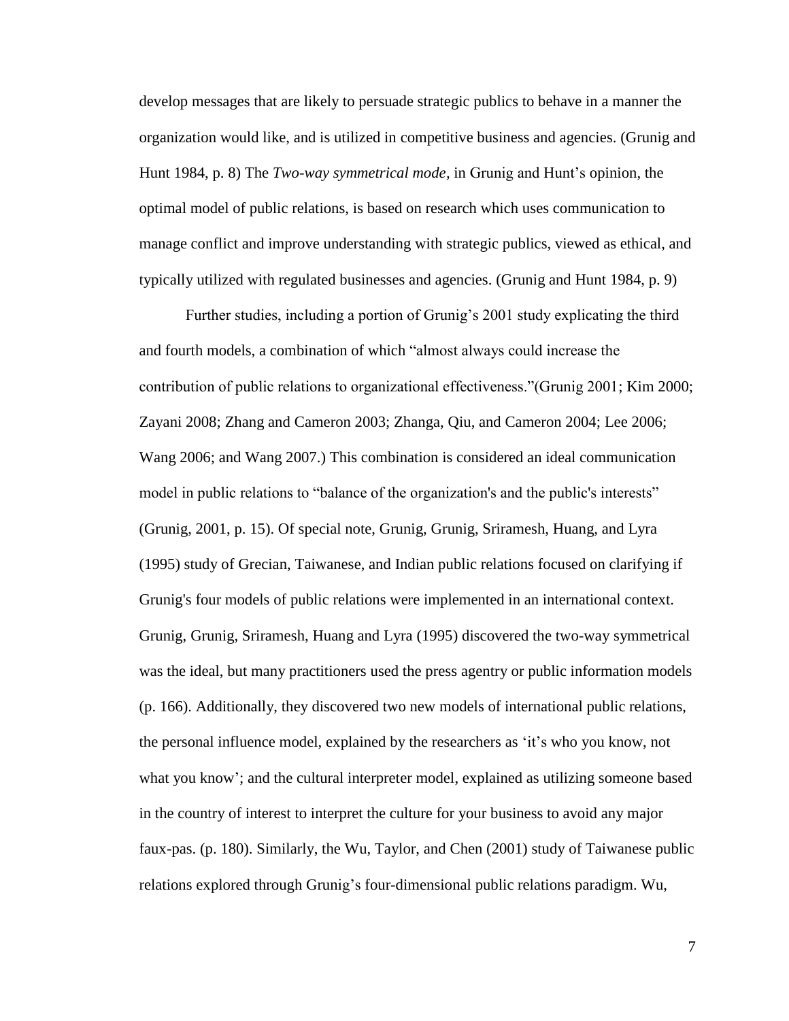develop messages that are likely to persuade strategic publics to behave in a manner the organization would like, and is utilized in competitive business and agencies. (Grunig and Hunt 1984, p. 8) The *Two-way symmetrical mode,* in Grunig and Hunt's opinion, the optimal model of public relations, is based on research which uses communication to manage conflict and improve understanding with strategic publics, viewed as ethical, and typically utilized with regulated businesses and agencies. (Grunig and Hunt 1984, p. 9)

Further studies, including a portion of Grunig's 2001 study explicating the third and fourth models, a combination of which "almost always could increase the contribution of public relations to organizational effectiveness."(Grunig 2001; Kim 2000; Zayani 2008; Zhang and Cameron 2003; Zhanga, Qiu, and Cameron 2004; Lee 2006; Wang 2006; and Wang 2007.) This combination is considered an ideal communication model in public relations to "balance of the organization's and the public's interests" (Grunig, 2001, p. 15). Of special note, Grunig, Grunig, Sriramesh, Huang, and Lyra (1995) study of Grecian, Taiwanese, and Indian public relations focused on clarifying if Grunig's four models of public relations were implemented in an international context. Grunig, Grunig, Sriramesh, Huang and Lyra (1995) discovered the two-way symmetrical was the ideal, but many practitioners used the press agentry or public information models (p. 166). Additionally, they discovered two new models of international public relations, the personal influence model, explained by the researchers as ‗it's who you know, not what you know'; and the cultural interpreter model, explained as utilizing someone based in the country of interest to interpret the culture for your business to avoid any major faux-pas. (p. 180). Similarly, the Wu, Taylor, and Chen (2001) study of Taiwanese public relations explored through Grunig's four-dimensional public relations paradigm. Wu,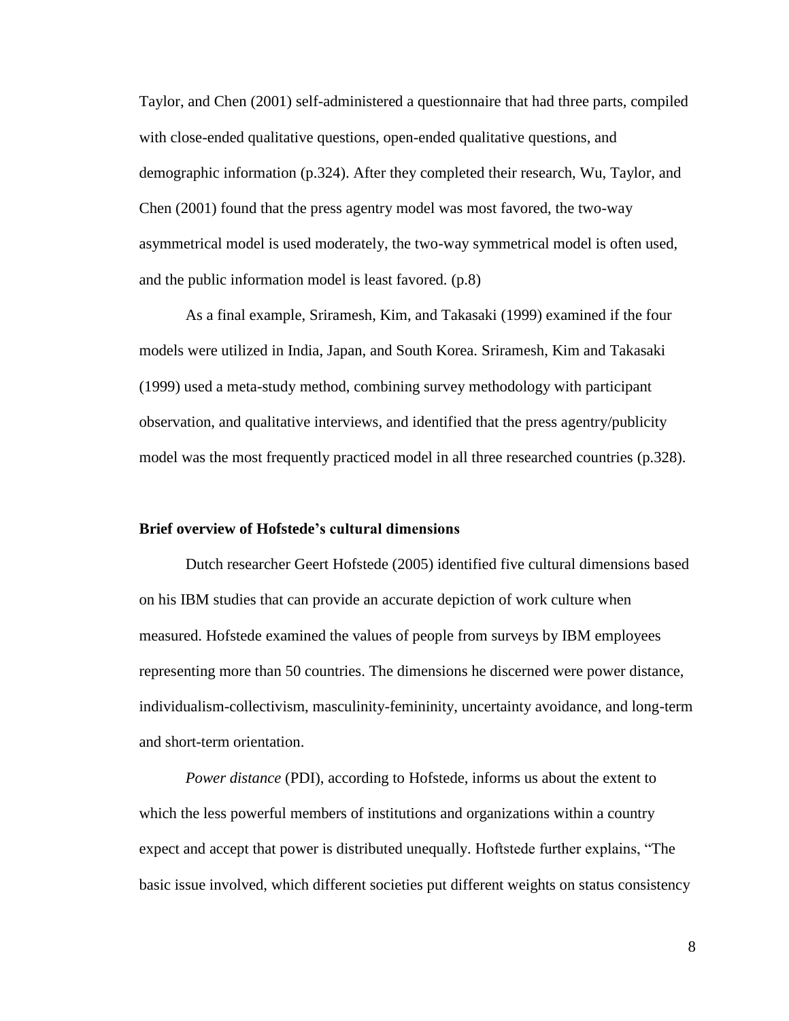Taylor, and Chen (2001) self-administered a questionnaire that had three parts, compiled with close-ended qualitative questions, open-ended qualitative questions, and demographic information (p.324). After they completed their research, Wu, Taylor, and Chen (2001) found that the press agentry model was most favored, the two-way asymmetrical model is used moderately, the two-way symmetrical model is often used, and the public information model is least favored. (p.8)

As a final example, Sriramesh, Kim, and Takasaki (1999) examined if the four models were utilized in India, Japan, and South Korea. Sriramesh, Kim and Takasaki (1999) used a meta-study method, combining survey methodology with participant observation, and qualitative interviews, and identified that the press agentry/publicity model was the most frequently practiced model in all three researched countries (p.328).

#### **Brief overview of Hofstede's cultural dimensions**

Dutch researcher Geert Hofstede (2005) identified five cultural dimensions based on his IBM studies that can provide an accurate depiction of work culture when measured. Hofstede examined the values of people from surveys by IBM employees representing more than 50 countries. The dimensions he discerned were power distance, individualism-collectivism, masculinity-femininity, uncertainty avoidance, and long-term and short-term orientation.

*Power distance* (PDI), according to Hofstede, informs us about the extent to which the less powerful members of institutions and organizations within a country expect and accept that power is distributed unequally. Hoftstede further explains, "The basic issue involved, which different societies put different weights on status consistency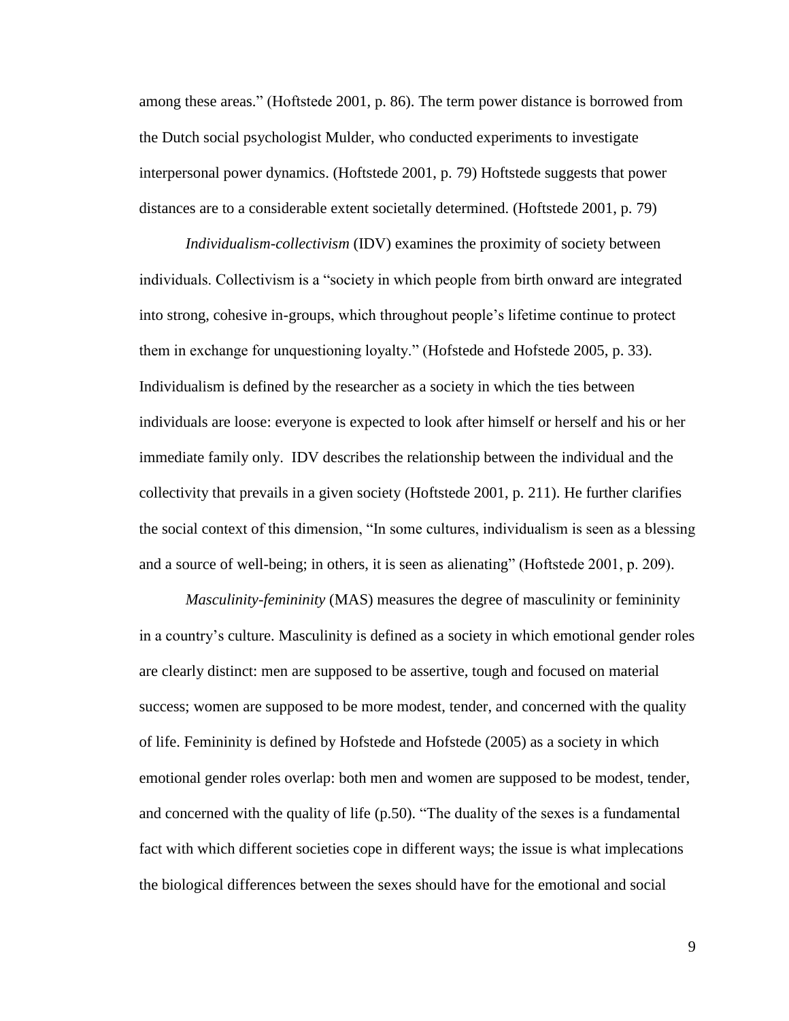among these areas." (Hoftstede 2001, p. 86). The term power distance is borrowed from the Dutch social psychologist Mulder, who conducted experiments to investigate interpersonal power dynamics. (Hoftstede 2001, p. 79) Hoftstede suggests that power distances are to a considerable extent societally determined. (Hoftstede 2001, p. 79)

*Individualism-collectivism* (IDV) examines the proximity of society between individuals. Collectivism is a "society in which people from birth onward are integrated into strong, cohesive in-groups, which throughout people's lifetime continue to protect them in exchange for unquestioning loyalty." (Hofstede and Hofstede 2005, p. 33). Individualism is defined by the researcher as a society in which the ties between individuals are loose: everyone is expected to look after himself or herself and his or her immediate family only. IDV describes the relationship between the individual and the collectivity that prevails in a given society (Hoftstede 2001, p. 211). He further clarifies the social context of this dimension, "In some cultures, individualism is seen as a blessing and a source of well-being; in others, it is seen as alienating" (Hoftstede 2001, p. 209).

*Masculinity-femininity* (MAS) measures the degree of masculinity or femininity in a country's culture. Masculinity is defined as a society in which emotional gender roles are clearly distinct: men are supposed to be assertive, tough and focused on material success; women are supposed to be more modest, tender, and concerned with the quality of life. Femininity is defined by Hofstede and Hofstede (2005) as a society in which emotional gender roles overlap: both men and women are supposed to be modest, tender, and concerned with the quality of life  $(p.50)$ . "The duality of the sexes is a fundamental fact with which different societies cope in different ways; the issue is what implecations the biological differences between the sexes should have for the emotional and social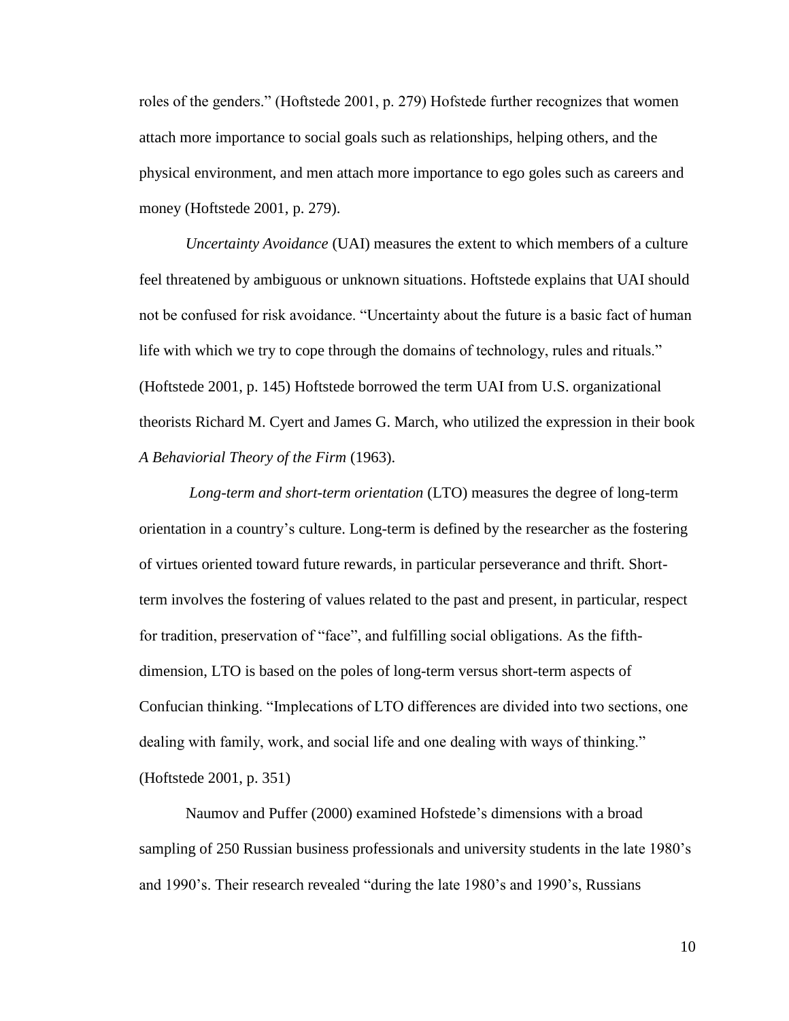roles of the genders." (Hoftstede 2001, p. 279) Hofstede further recognizes that women attach more importance to social goals such as relationships, helping others, and the physical environment, and men attach more importance to ego goles such as careers and money (Hoftstede 2001, p. 279).

*Uncertainty Avoidance* (UAI) measures the extent to which members of a culture feel threatened by ambiguous or unknown situations. Hoftstede explains that UAI should not be confused for risk avoidance. "Uncertainty about the future is a basic fact of human life with which we try to cope through the domains of technology, rules and rituals." (Hoftstede 2001, p. 145) Hoftstede borrowed the term UAI from U.S. organizational theorists Richard M. Cyert and James G. March, who utilized the expression in their book *A Behaviorial Theory of the Firm* (1963).

*Long-term and short-term orientation* (LTO) measures the degree of long-term orientation in a country's culture. Long-term is defined by the researcher as the fostering of virtues oriented toward future rewards, in particular perseverance and thrift. Shortterm involves the fostering of values related to the past and present, in particular, respect for tradition, preservation of "face", and fulfilling social obligations. As the fifthdimension, LTO is based on the poles of long-term versus short-term aspects of Confucian thinking. "Implecations of LTO differences are divided into two sections, one dealing with family, work, and social life and one dealing with ways of thinking." (Hoftstede 2001, p. 351)

Naumov and Puffer (2000) examined Hofstede's dimensions with a broad sampling of 250 Russian business professionals and university students in the late 1980's and 1990's. Their research revealed "during the late 1980's and 1990's, Russians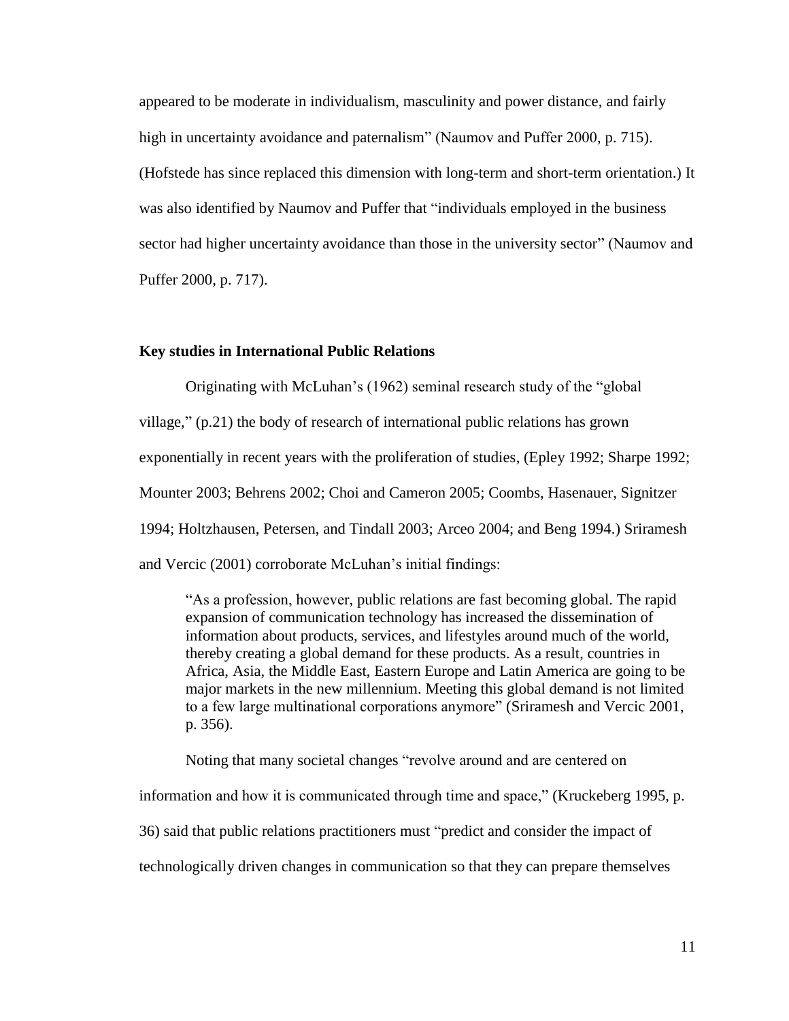appeared to be moderate in individualism, masculinity and power distance, and fairly high in uncertainty avoidance and paternalism" (Naumov and Puffer 2000, p. 715). (Hofstede has since replaced this dimension with long-term and short-term orientation.) It was also identified by Naumov and Puffer that "individuals employed in the business sector had higher uncertainty avoidance than those in the university sector" (Naumov and Puffer 2000, p. 717).

#### **Key studies in International Public Relations**

Originating with McLuhan's (1962) seminal research study of the "global

village,"  $(p.21)$  the body of research of international public relations has grown exponentially in recent years with the proliferation of studies, (Epley 1992; Sharpe 1992; Mounter 2003; Behrens 2002; Choi and Cameron 2005; Coombs, Hasenauer, Signitzer

1994; Holtzhausen, Petersen, and Tindall 2003; Arceo 2004; and Beng 1994.) Sriramesh

and Vercic (2001) corroborate McLuhan's initial findings:

―As a profession, however, public relations are fast becoming global. The rapid expansion of communication technology has increased the dissemination of information about products, services, and lifestyles around much of the world, thereby creating a global demand for these products. As a result, countries in Africa, Asia, the Middle East, Eastern Europe and Latin America are going to be major markets in the new millennium. Meeting this global demand is not limited to a few large multinational corporations anymore" (Sriramesh and Vercic 2001, p. 356).

Noting that many societal changes "revolve around and are centered on

information and how it is communicated through time and space," (Kruckeberg 1995, p.

36) said that public relations practitioners must "predict and consider the impact of

technologically driven changes in communication so that they can prepare themselves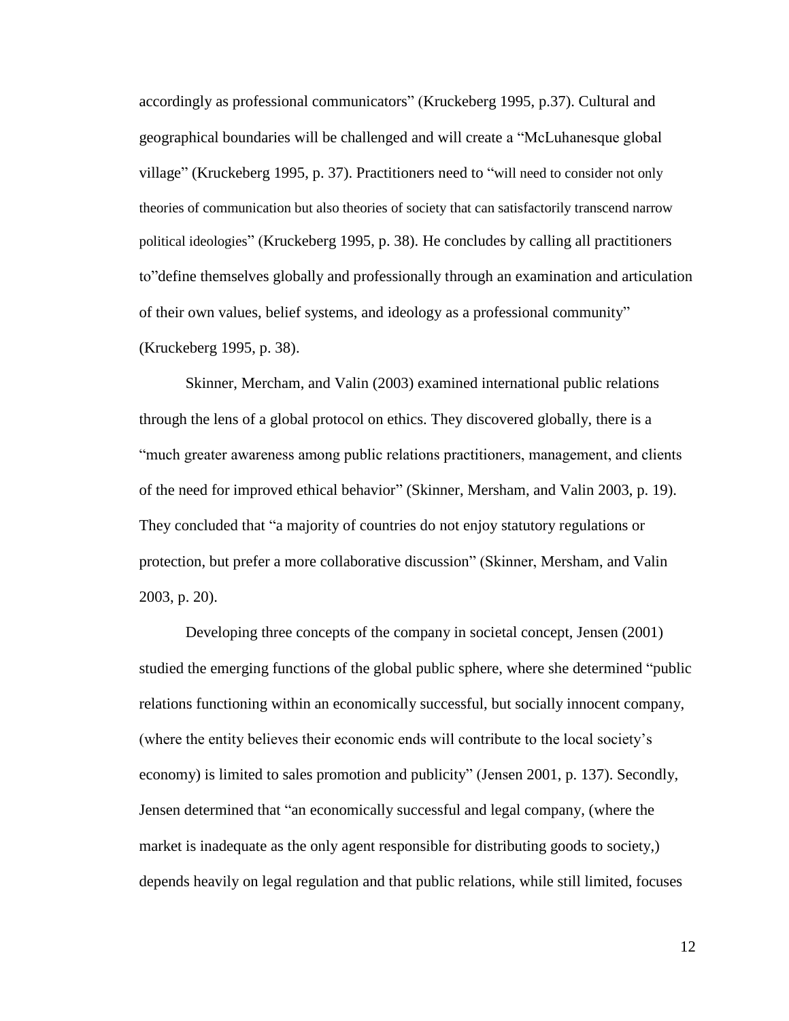accordingly as professional communicators" (Kruckeberg 1995, p.37). Cultural and geographical boundaries will be challenged and will create a "McLuhanesque global" village" (Kruckeberg 1995, p. 37). Practitioners need to "will need to consider not only theories of communication but also theories of society that can satisfactorily transcend narrow political ideologies‖ (Kruckeberg 1995, p. 38). He concludes by calling all practitioners to define themselves globally and professionally through an examination and articulation of their own values, belief systems, and ideology as a professional community" (Kruckeberg 1995, p. 38).

Skinner, Mercham, and Valin (2003) examined international public relations through the lens of a global protocol on ethics. They discovered globally, there is a "much greater awareness among public relations practitioners, management, and clients of the need for improved ethical behavior" (Skinner, Mersham, and Valin 2003, p. 19). They concluded that "a majority of countries do not enjoy statutory regulations or protection, but prefer a more collaborative discussion‖ (Skinner, Mersham, and Valin 2003, p. 20).

Developing three concepts of the company in societal concept, Jensen (2001) studied the emerging functions of the global public sphere, where she determined "public relations functioning within an economically successful, but socially innocent company, (where the entity believes their economic ends will contribute to the local society's economy) is limited to sales promotion and publicity" (Jensen 2001, p. 137). Secondly, Jensen determined that "an economically successful and legal company, (where the market is inadequate as the only agent responsible for distributing goods to society,) depends heavily on legal regulation and that public relations, while still limited, focuses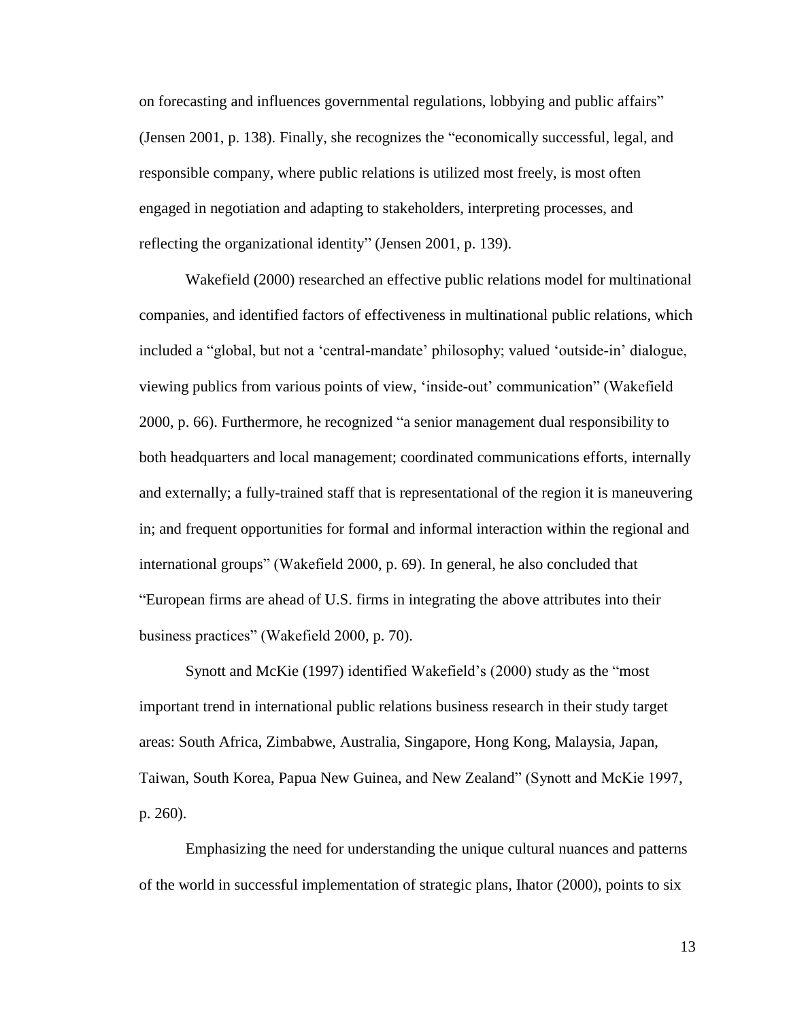on forecasting and influences governmental regulations, lobbying and public affairs" (Jensen 2001, p. 138). Finally, she recognizes the "economically successful, legal, and responsible company, where public relations is utilized most freely, is most often engaged in negotiation and adapting to stakeholders, interpreting processes, and reflecting the organizational identity" (Jensen 2001, p. 139).

Wakefield (2000) researched an effective public relations model for multinational companies, and identified factors of effectiveness in multinational public relations, which included a "global, but not a 'central-mandate' philosophy; valued 'outside-in' dialogue, viewing publics from various points of view, 'inside-out' communication'' (Wakefield  $2000$ , p. 66). Furthermore, he recognized "a senior management dual responsibility to both headquarters and local management; coordinated communications efforts, internally and externally; a fully-trained staff that is representational of the region it is maneuvering in; and frequent opportunities for formal and informal interaction within the regional and international groups" (Wakefield 2000, p. 69). In general, he also concluded that ―European firms are ahead of U.S. firms in integrating the above attributes into their business practices" (Wakefield 2000, p. 70).

Synott and McKie (1997) identified Wakefield's (2000) study as the "most important trend in international public relations business research in their study target areas: South Africa, Zimbabwe, Australia, Singapore, Hong Kong, Malaysia, Japan, Taiwan, South Korea, Papua New Guinea, and New Zealand" (Synott and McKie 1997, p. 260).

Emphasizing the need for understanding the unique cultural nuances and patterns of the world in successful implementation of strategic plans, Ihator (2000), points to six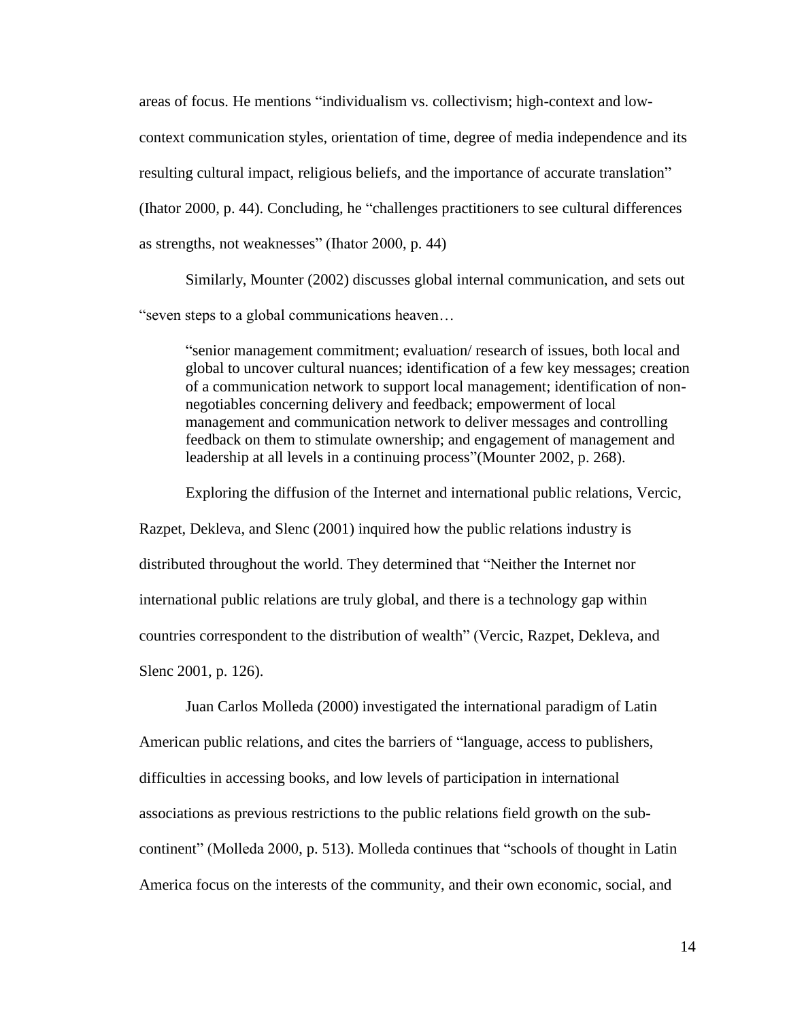areas of focus. He mentions "individualism vs. collectivism; high-context and lowcontext communication styles, orientation of time, degree of media independence and its resulting cultural impact, religious beliefs, and the importance of accurate translation" (Ihator 2000, p. 44). Concluding, he "challenges practitioners to see cultural differences" as strengths, not weaknesses" (Ihator 2000, p. 44)

Similarly, Mounter (2002) discusses global internal communication, and sets out ―seven steps to a global communications heaven…

―senior management commitment; evaluation/ research of issues, both local and global to uncover cultural nuances; identification of a few key messages; creation of a communication network to support local management; identification of nonnegotiables concerning delivery and feedback; empowerment of local management and communication network to deliver messages and controlling feedback on them to stimulate ownership; and engagement of management and leadership at all levels in a continuing process" (Mounter 2002, p. 268).

Exploring the diffusion of the Internet and international public relations, Vercic,

Razpet, Dekleva, and Slenc (2001) inquired how the public relations industry is distributed throughout the world. They determined that "Neither the Internet nor international public relations are truly global, and there is a technology gap within countries correspondent to the distribution of wealth" (Vercic, Razpet, Dekleva, and Slenc 2001, p. 126).

Juan Carlos Molleda (2000) investigated the international paradigm of Latin American public relations, and cites the barriers of "language, access to publishers, difficulties in accessing books, and low levels of participation in international associations as previous restrictions to the public relations field growth on the subcontinent" (Molleda 2000, p. 513). Molleda continues that "schools of thought in Latin America focus on the interests of the community, and their own economic, social, and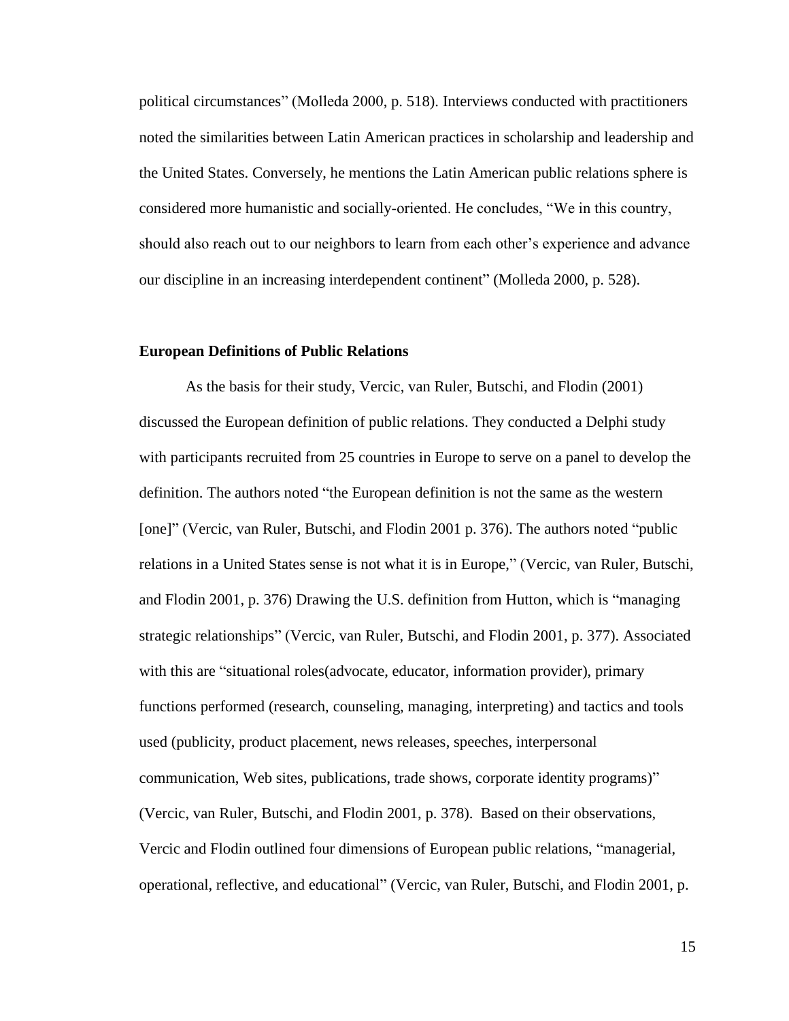political circumstances" (Molleda 2000, p. 518). Interviews conducted with practitioners noted the similarities between Latin American practices in scholarship and leadership and the United States. Conversely, he mentions the Latin American public relations sphere is considered more humanistic and socially-oriented. He concludes, "We in this country, should also reach out to our neighbors to learn from each other's experience and advance our discipline in an increasing interdependent continent" (Molleda 2000, p. 528).

#### **European Definitions of Public Relations**

As the basis for their study, Vercic, van Ruler, Butschi, and Flodin (2001) discussed the European definition of public relations. They conducted a Delphi study with participants recruited from 25 countries in Europe to serve on a panel to develop the definition. The authors noted "the European definition is not the same as the western [one]" (Vercic, van Ruler, Butschi, and Flodin 2001 p. 376). The authors noted "public relations in a United States sense is not what it is in Europe," (Vercic, van Ruler, Butschi, and Flodin 2001, p. 376) Drawing the U.S. definition from Hutton, which is "managing strategic relationships" (Vercic, van Ruler, Butschi, and Flodin 2001, p. 377). Associated with this are "situational roles(advocate, educator, information provider), primary functions performed (research, counseling, managing, interpreting) and tactics and tools used (publicity, product placement, news releases, speeches, interpersonal communication, Web sites, publications, trade shows, corporate identity programs)" (Vercic, van Ruler, Butschi, and Flodin 2001, p. 378). Based on their observations, Vercic and Flodin outlined four dimensions of European public relations, "managerial, operational, reflective, and educational" (Vercic, van Ruler, Butschi, and Flodin 2001, p.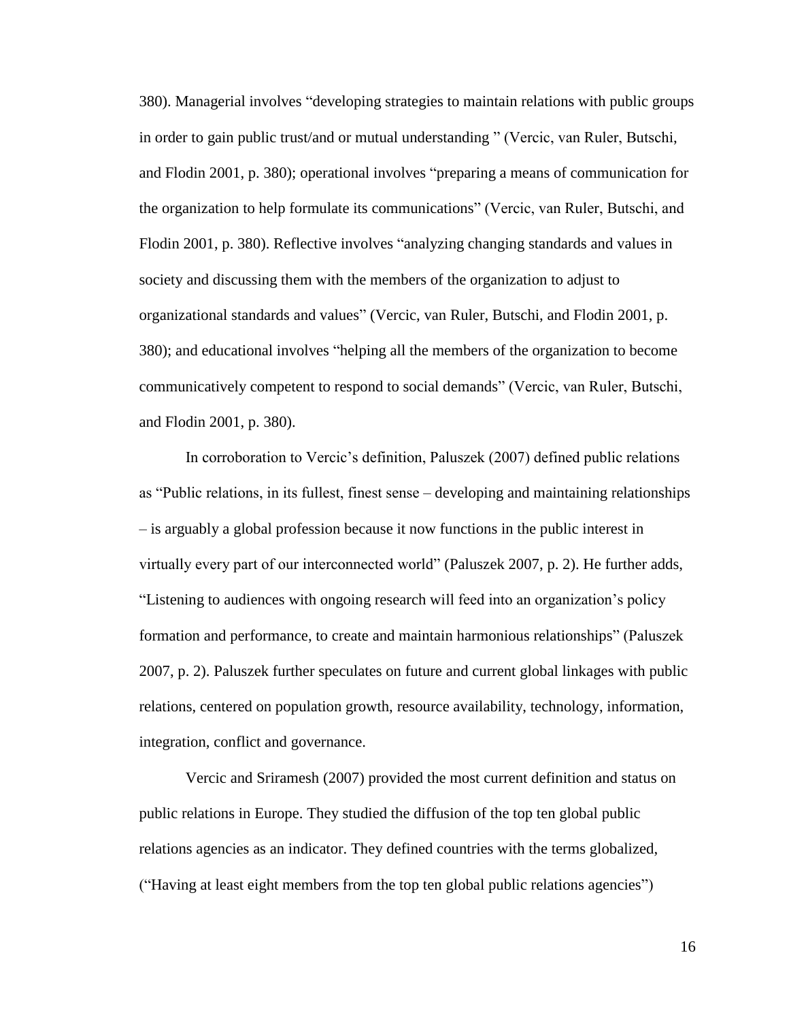380). Managerial involves "developing strategies to maintain relations with public groups in order to gain public trust/and or mutual understanding " (Vercic, van Ruler, Butschi, and Flodin 2001, p. 380); operational involves "preparing a means of communication for the organization to help formulate its communications‖ (Vercic, van Ruler, Butschi, and Flodin 2001, p. 380). Reflective involves "analyzing changing standards and values in society and discussing them with the members of the organization to adjust to organizational standards and values‖ (Vercic, van Ruler, Butschi, and Flodin 2001, p. 380); and educational involves "helping all the members of the organization to become communicatively competent to respond to social demands‖ (Vercic, van Ruler, Butschi, and Flodin 2001, p. 380).

In corroboration to Vercic's definition, Paluszek (2007) defined public relations as "Public relations, in its fullest, finest sense – developing and maintaining relationships – is arguably a global profession because it now functions in the public interest in virtually every part of our interconnected world" (Paluszek 2007, p. 2). He further adds, ―Listening to audiences with ongoing research will feed into an organization's policy formation and performance, to create and maintain harmonious relationships" (Paluszek 2007, p. 2). Paluszek further speculates on future and current global linkages with public relations, centered on population growth, resource availability, technology, information, integration, conflict and governance.

Vercic and Sriramesh (2007) provided the most current definition and status on public relations in Europe. They studied the diffusion of the top ten global public relations agencies as an indicator. They defined countries with the terms globalized, ("Having at least eight members from the top ten global public relations agencies")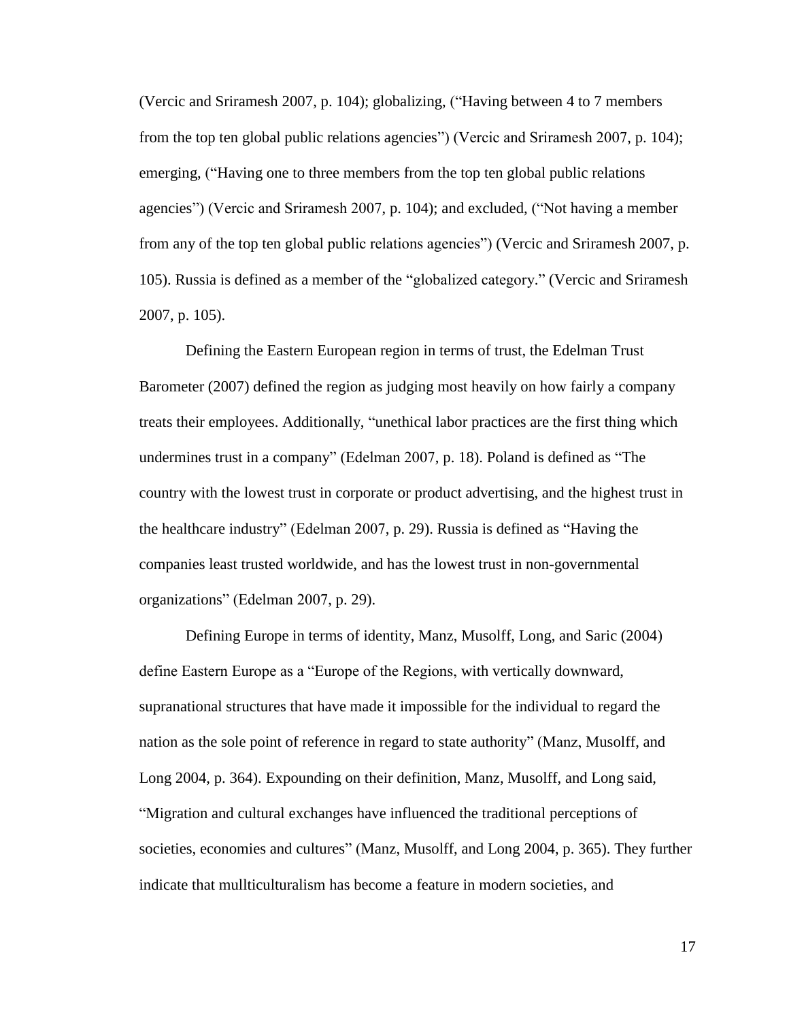(Vercic and Sriramesh 2007, p. 104); globalizing, ("Having between 4 to 7 members from the top ten global public relations agencies") (Vercic and Sriramesh 2007, p. 104); emerging, ("Having one to three members from the top ten global public relations agencies") (Vercic and Sriramesh 2007, p. 104); and excluded, ("Not having a member from any of the top ten global public relations agencies") (Vercic and Sriramesh 2007, p. 105). Russia is defined as a member of the "globalized category." (Vercic and Sriramesh 2007, p. 105).

Defining the Eastern European region in terms of trust, the Edelman Trust Barometer (2007) defined the region as judging most heavily on how fairly a company treats their employees. Additionally, "unethical labor practices are the first thing which undermines trust in a company" (Edelman 2007, p. 18). Poland is defined as "The country with the lowest trust in corporate or product advertising, and the highest trust in the healthcare industry" (Edelman 2007, p. 29). Russia is defined as "Having the companies least trusted worldwide, and has the lowest trust in non-governmental organizations‖ (Edelman 2007, p. 29).

Defining Europe in terms of identity, Manz, Musolff, Long, and Saric (2004) define Eastern Europe as a "Europe of the Regions, with vertically downward, supranational structures that have made it impossible for the individual to regard the nation as the sole point of reference in regard to state authority" (Manz, Musolff, and Long 2004, p. 364). Expounding on their definition, Manz, Musolff, and Long said, ―Migration and cultural exchanges have influenced the traditional perceptions of societies, economies and cultures" (Manz, Musolff, and Long 2004, p. 365). They further indicate that mullticulturalism has become a feature in modern societies, and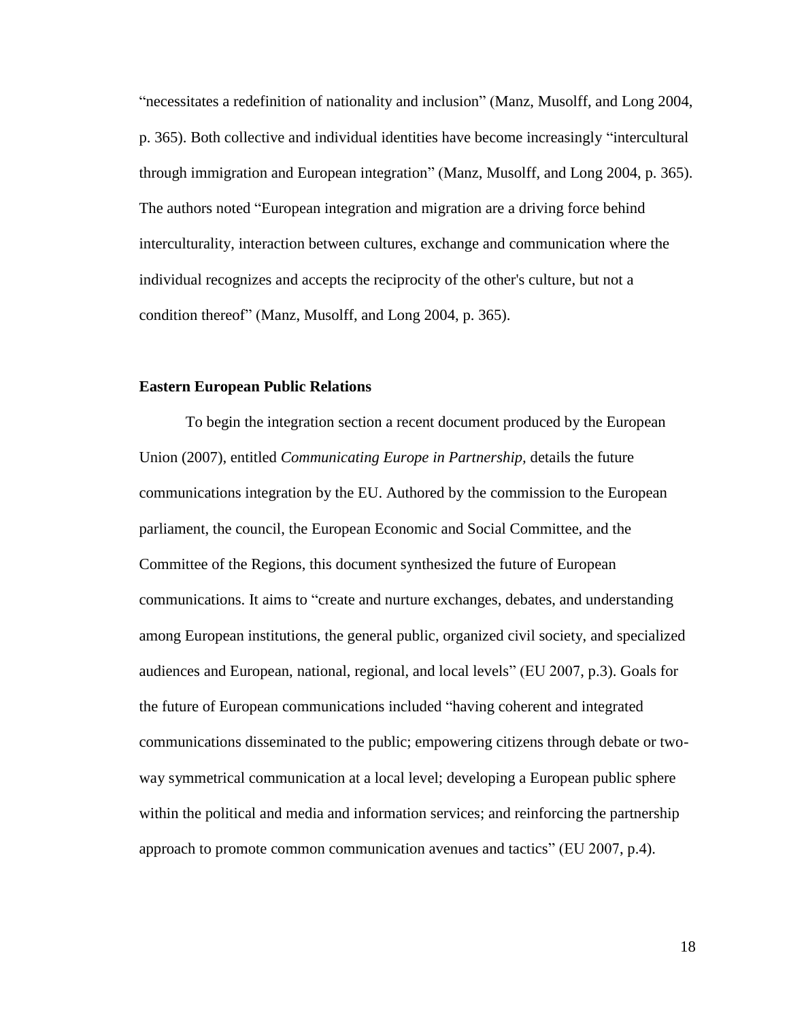―necessitates a redefinition of nationality and inclusion‖ (Manz, Musolff, and Long 2004, p. 365). Both collective and individual identities have become increasingly "intercultural through immigration and European integration‖ (Manz, Musolff, and Long 2004, p. 365). The authors noted "European integration and migration are a driving force behind interculturality, interaction between cultures, exchange and communication where the individual recognizes and accepts the reciprocity of the other's culture, but not a condition thereof" (Manz, Musolff, and Long 2004, p. 365).

### **Eastern European Public Relations**

To begin the integration section a recent document produced by the European Union (2007), entitled *Communicating Europe in Partnership,* details the future communications integration by the EU. Authored by the commission to the European parliament, the council, the European Economic and Social Committee, and the Committee of the Regions, this document synthesized the future of European communications. It aims to "create and nurture exchanges, debates, and understanding among European institutions, the general public, organized civil society, and specialized audiences and European, national, regional, and local levels‖ (EU 2007, p.3). Goals for the future of European communications included "having coherent and integrated communications disseminated to the public; empowering citizens through debate or twoway symmetrical communication at a local level; developing a European public sphere within the political and media and information services; and reinforcing the partnership approach to promote common communication avenues and tactics" (EU 2007, p.4).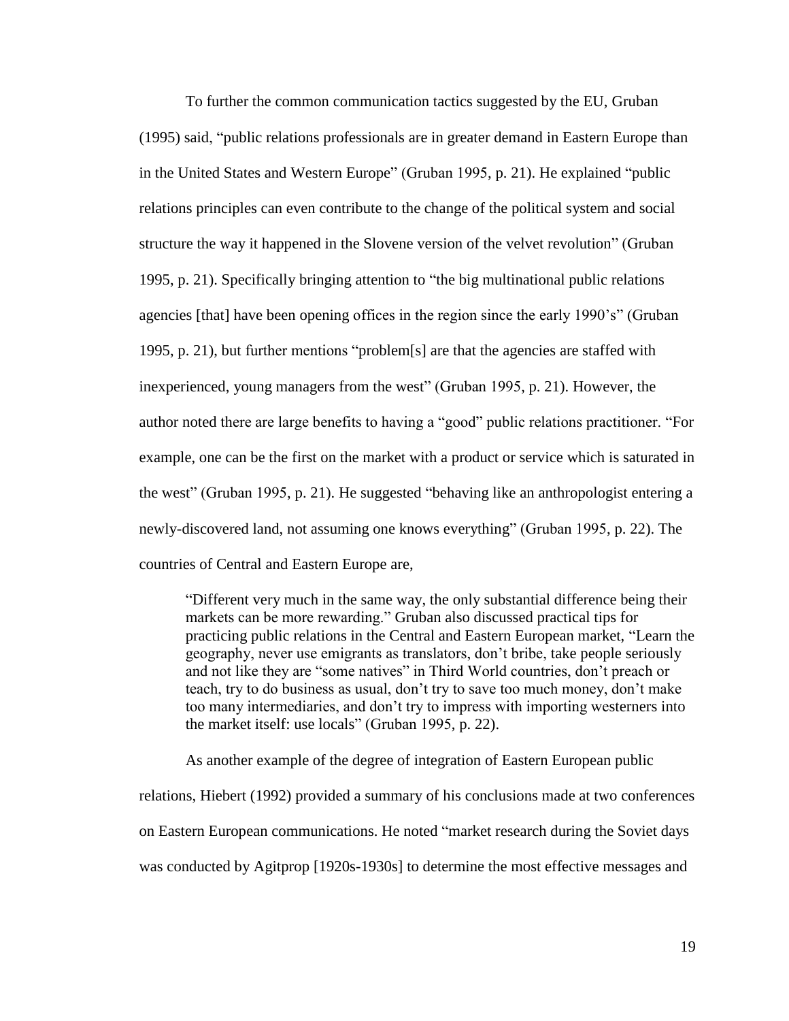To further the common communication tactics suggested by the EU, Gruban (1995) said, "public relations professionals are in greater demand in Eastern Europe than in the United States and Western Europe" (Gruban 1995, p. 21). He explained "public relations principles can even contribute to the change of the political system and social structure the way it happened in the Slovene version of the velvet revolution" (Gruban 1995, p. 21). Specifically bringing attention to "the big multinational public relations agencies [that] have been opening offices in the region since the early 1990's" (Gruban 1995, p. 21), but further mentions "problem[s] are that the agencies are staffed with inexperienced, young managers from the west" (Gruban 1995, p. 21). However, the author noted there are large benefits to having a "good" public relations practitioner. "For example, one can be the first on the market with a product or service which is saturated in the west" (Gruban 1995, p. 21). He suggested "behaving like an anthropologist entering a newly-discovered land, not assuming one knows everything" (Gruban 1995, p. 22). The countries of Central and Eastern Europe are,

―Different very much in the same way, the only substantial difference being their markets can be more rewarding." Gruban also discussed practical tips for practicing public relations in the Central and Eastern European market, "Learn the geography, never use emigrants as translators, don't bribe, take people seriously and not like they are "some natives" in Third World countries, don't preach or teach, try to do business as usual, don't try to save too much money, don't make too many intermediaries, and don't try to impress with importing westerners into the market itself: use locals" (Gruban 1995, p. 22).

As another example of the degree of integration of Eastern European public relations, Hiebert (1992) provided a summary of his conclusions made at two conferences on Eastern European communications. He noted "market research during the Soviet days was conducted by Agitprop [1920s-1930s] to determine the most effective messages and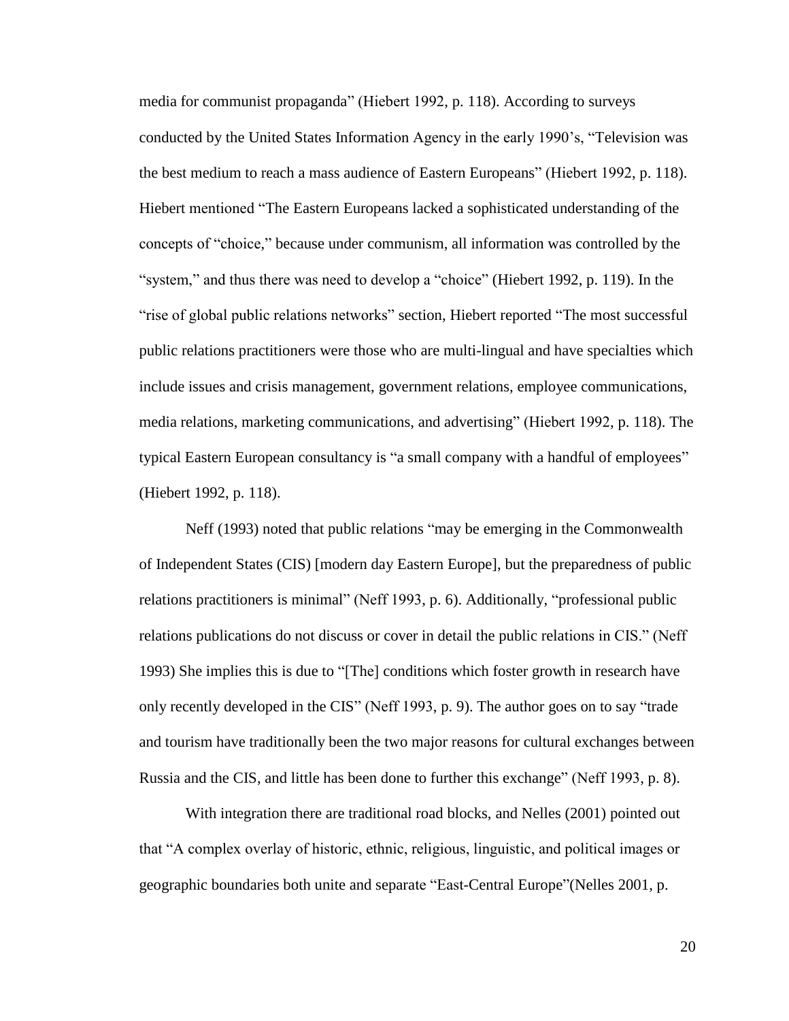media for communist propaganda" (Hiebert 1992, p. 118). According to surveys conducted by the United States Information Agency in the early 1990's, "Television was the best medium to reach a mass audience of Eastern Europeans" (Hiebert 1992, p. 118). Hiebert mentioned "The Eastern Europeans lacked a sophisticated understanding of the concepts of "choice," because under communism, all information was controlled by the "system," and thus there was need to develop a "choice" (Hiebert 1992, p. 119). In the "rise of global public relations networks" section, Hiebert reported "The most successful public relations practitioners were those who are multi-lingual and have specialties which include issues and crisis management, government relations, employee communications, media relations, marketing communications, and advertising" (Hiebert 1992, p. 118). The typical Eastern European consultancy is "a small company with a handful of employees" (Hiebert 1992, p. 118).

Neff (1993) noted that public relations "may be emerging in the Commonwealth of Independent States (CIS) [modern day Eastern Europe], but the preparedness of public relations practitioners is minimal" (Neff 1993, p. 6). Additionally, "professional public relations publications do not discuss or cover in detail the public relations in CIS." (Neff 1993) She implies this is due to "[The] conditions which foster growth in research have only recently developed in the CIS" (Neff 1993, p. 9). The author goes on to say "trade and tourism have traditionally been the two major reasons for cultural exchanges between Russia and the CIS, and little has been done to further this exchange" (Neff 1993, p. 8).

With integration there are traditional road blocks, and Nelles (2001) pointed out that ―A complex overlay of historic, ethnic, religious, linguistic, and political images or geographic boundaries both unite and separate "East-Central Europe" (Nelles 2001, p.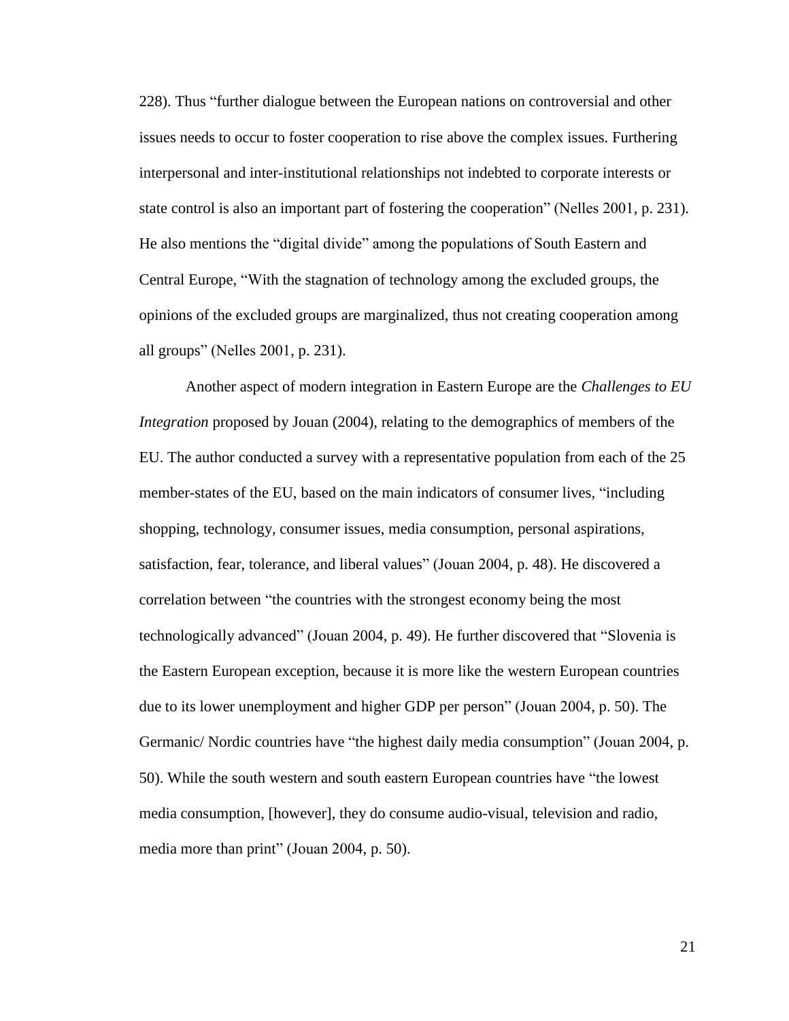228). Thus "further dialogue between the European nations on controversial and other issues needs to occur to foster cooperation to rise above the complex issues. Furthering interpersonal and inter-institutional relationships not indebted to corporate interests or state control is also an important part of fostering the cooperation" (Nelles 2001, p. 231). He also mentions the "digital divide" among the populations of South Eastern and Central Europe, "With the stagnation of technology among the excluded groups, the opinions of the excluded groups are marginalized, thus not creating cooperation among all groups" (Nelles 2001, p. 231).

Another aspect of modern integration in Eastern Europe are the *Challenges to EU Integration* proposed by Jouan (2004), relating to the demographics of members of the EU. The author conducted a survey with a representative population from each of the 25 member-states of the EU, based on the main indicators of consumer lives, "including shopping, technology, consumer issues, media consumption, personal aspirations, satisfaction, fear, tolerance, and liberal values" (Jouan 2004, p. 48). He discovered a correlation between "the countries with the strongest economy being the most technologically advanced" (Jouan 2004, p. 49). He further discovered that "Slovenia is the Eastern European exception, because it is more like the western European countries due to its lower unemployment and higher GDP per person" (Jouan 2004, p. 50). The Germanic/ Nordic countries have "the highest daily media consumption" (Jouan 2004, p. 50). While the south western and south eastern European countries have "the lowest" media consumption, [however], they do consume audio-visual, television and radio, media more than print" (Jouan 2004, p. 50).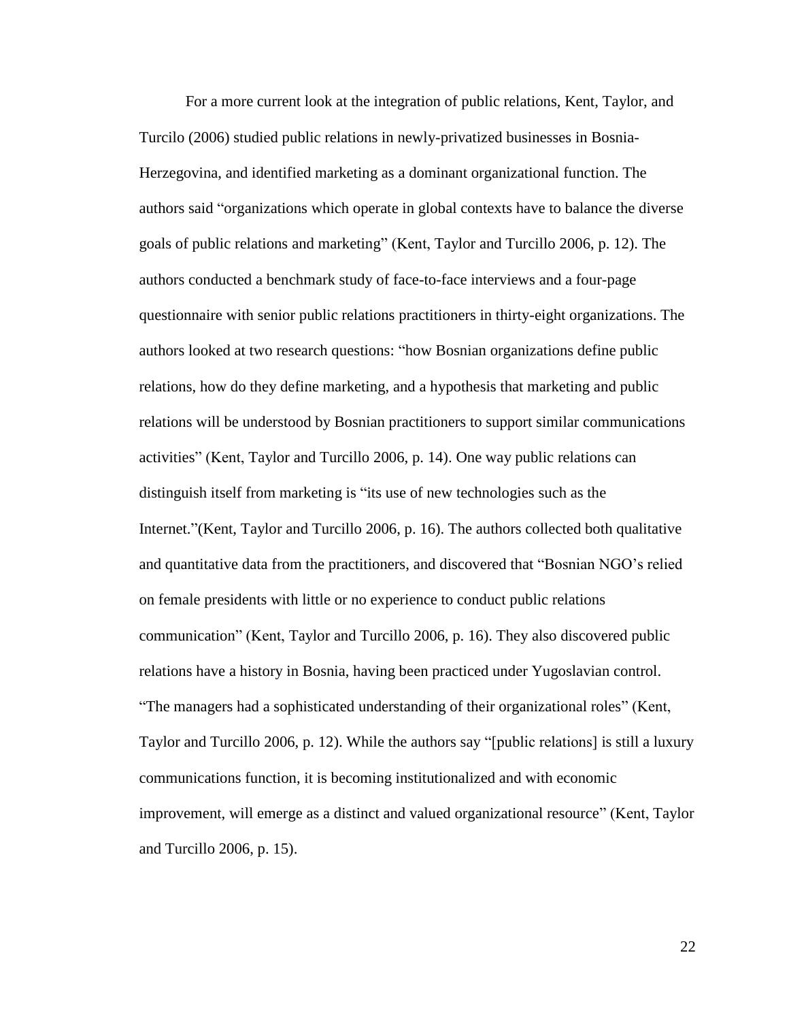For a more current look at the integration of public relations, Kent, Taylor, and Turcilo (2006) studied public relations in newly-privatized businesses in Bosnia-Herzegovina, and identified marketing as a dominant organizational function. The authors said "organizations which operate in global contexts have to balance the diverse goals of public relations and marketing" (Kent, Taylor and Turcillo 2006, p. 12). The authors conducted a benchmark study of face-to-face interviews and a four-page questionnaire with senior public relations practitioners in thirty-eight organizations. The authors looked at two research questions: "how Bosnian organizations define public relations, how do they define marketing, and a hypothesis that marketing and public relations will be understood by Bosnian practitioners to support similar communications activities‖ (Kent, Taylor and Turcillo 2006, p. 14). One way public relations can distinguish itself from marketing is "its use of new technologies such as the Internet."(Kent, Taylor and Turcillo 2006, p. 16). The authors collected both qualitative and quantitative data from the practitioners, and discovered that "Bosnian NGO's relied on female presidents with little or no experience to conduct public relations communication‖ (Kent, Taylor and Turcillo 2006, p. 16). They also discovered public relations have a history in Bosnia, having been practiced under Yugoslavian control. ―The managers had a sophisticated understanding of their organizational roles‖ (Kent, Taylor and Turcillo 2006, p. 12). While the authors say "[public relations] is still a luxury communications function, it is becoming institutionalized and with economic improvement, will emerge as a distinct and valued organizational resource" (Kent, Taylor and Turcillo 2006, p. 15).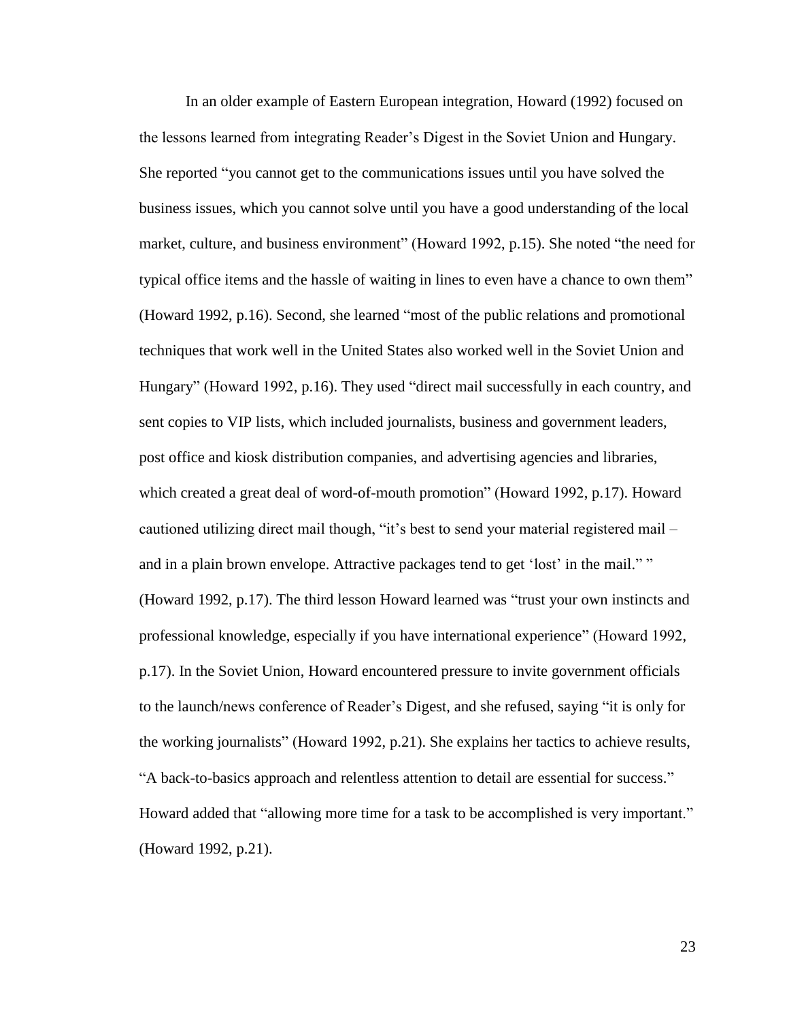In an older example of Eastern European integration, Howard (1992) focused on the lessons learned from integrating Reader's Digest in the Soviet Union and Hungary. She reported "you cannot get to the communications issues until you have solved the business issues, which you cannot solve until you have a good understanding of the local market, culture, and business environment" (Howard 1992, p.15). She noted "the need for typical office items and the hassle of waiting in lines to even have a chance to own them<sup>"</sup> (Howard 1992, p.16). Second, she learned "most of the public relations and promotional techniques that work well in the United States also worked well in the Soviet Union and Hungary" (Howard 1992, p.16). They used "direct mail successfully in each country, and sent copies to VIP lists, which included journalists, business and government leaders, post office and kiosk distribution companies, and advertising agencies and libraries, which created a great deal of word-of-mouth promotion" (Howard 1992, p.17). Howard cautioned utilizing direct mail though, "it's best to send your material registered mail – and in a plain brown envelope. Attractive packages tend to get 'lost' in the mail."" (Howard 1992,  $p.17$ ). The third lesson Howard learned was "trust your own instincts and professional knowledge, especially if you have international experience" (Howard 1992, p.17). In the Soviet Union, Howard encountered pressure to invite government officials to the launch/news conference of Reader's Digest, and she refused, saying "it is only for the working journalists" (Howard 1992,  $p.21$ ). She explains her tactics to achieve results, "A back-to-basics approach and relentless attention to detail are essential for success." Howard added that "allowing more time for a task to be accomplished is very important." (Howard 1992, p.21).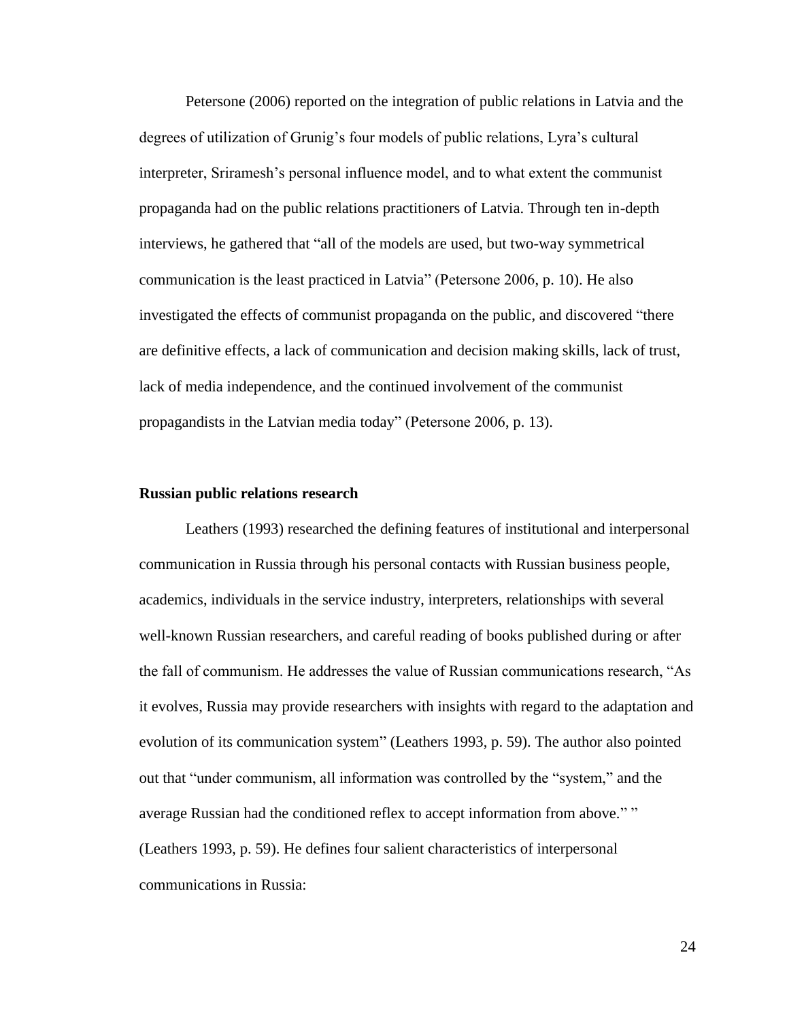Petersone (2006) reported on the integration of public relations in Latvia and the degrees of utilization of Grunig's four models of public relations, Lyra's cultural interpreter, Sriramesh's personal influence model, and to what extent the communist propaganda had on the public relations practitioners of Latvia. Through ten in-depth interviews, he gathered that "all of the models are used, but two-way symmetrical communication is the least practiced in Latvia" (Petersone 2006, p. 10). He also investigated the effects of communist propaganda on the public, and discovered "there are definitive effects, a lack of communication and decision making skills, lack of trust, lack of media independence, and the continued involvement of the communist propagandists in the Latvian media today" (Petersone 2006, p. 13).

#### **Russian public relations research**

Leathers (1993) researched the defining features of institutional and interpersonal communication in Russia through his personal contacts with Russian business people, academics, individuals in the service industry, interpreters, relationships with several well-known Russian researchers, and careful reading of books published during or after the fall of communism. He addresses the value of Russian communications research, "As it evolves, Russia may provide researchers with insights with regard to the adaptation and evolution of its communication system" (Leathers 1993, p. 59). The author also pointed out that "under communism, all information was controlled by the "system," and the average Russian had the conditioned reflex to accept information from above."" (Leathers 1993, p. 59). He defines four salient characteristics of interpersonal communications in Russia: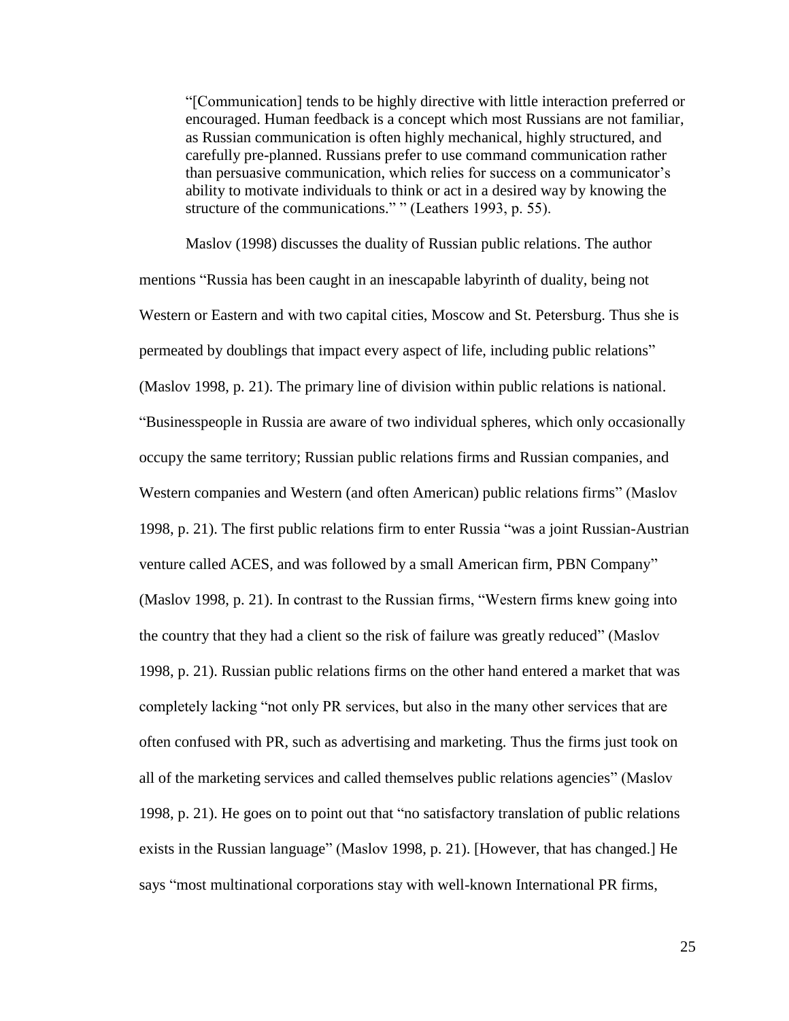―[Communication] tends to be highly directive with little interaction preferred or encouraged. Human feedback is a concept which most Russians are not familiar, as Russian communication is often highly mechanical, highly structured, and carefully pre-planned. Russians prefer to use command communication rather than persuasive communication, which relies for success on a communicator's ability to motivate individuals to think or act in a desired way by knowing the structure of the communications." " (Leathers 1993, p. 55).

Maslov (1998) discusses the duality of Russian public relations. The author mentions "Russia has been caught in an inescapable labyrinth of duality, being not Western or Eastern and with two capital cities, Moscow and St. Petersburg. Thus she is permeated by doublings that impact every aspect of life, including public relations" (Maslov 1998, p. 21). The primary line of division within public relations is national. ―Businesspeople in Russia are aware of two individual spheres, which only occasionally occupy the same territory; Russian public relations firms and Russian companies, and Western companies and Western (and often American) public relations firms" (Maslov 1998, p. 21). The first public relations firm to enter Russia "was a joint Russian-Austrian venture called ACES, and was followed by a small American firm, PBN Company" (Maslov 1998, p. 21). In contrast to the Russian firms, "Western firms knew going into the country that they had a client so the risk of failure was greatly reduced‖ (Maslov 1998, p. 21). Russian public relations firms on the other hand entered a market that was completely lacking "not only PR services, but also in the many other services that are often confused with PR, such as advertising and marketing. Thus the firms just took on all of the marketing services and called themselves public relations agencies" (Maslov 1998, p. 21). He goes on to point out that "no satisfactory translation of public relations exists in the Russian language" (Maslov 1998, p. 21). [However, that has changed.] He says "most multinational corporations stay with well-known International PR firms,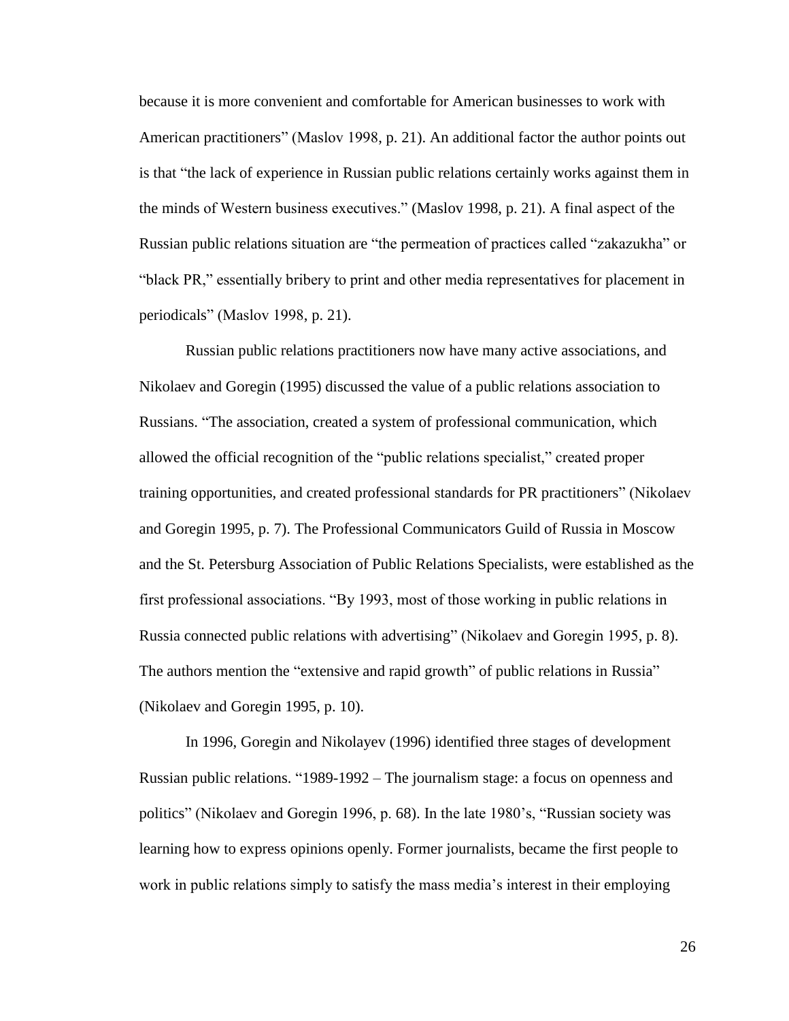because it is more convenient and comfortable for American businesses to work with American practitioners" (Maslov 1998, p. 21). An additional factor the author points out is that "the lack of experience in Russian public relations certainly works against them in the minds of Western business executives.‖ (Maslov 1998, p. 21). A final aspect of the Russian public relations situation are "the permeation of practices called "zakazukha" or "black PR," essentially bribery to print and other media representatives for placement in periodicals" (Maslov 1998, p. 21).

Russian public relations practitioners now have many active associations, and Nikolaev and Goregin (1995) discussed the value of a public relations association to Russians. "The association, created a system of professional communication, which allowed the official recognition of the "public relations specialist," created proper training opportunities, and created professional standards for PR practitioners" (Nikolaev and Goregin 1995, p. 7). The Professional Communicators Guild of Russia in Moscow and the St. Petersburg Association of Public Relations Specialists, were established as the first professional associations. "By 1993, most of those working in public relations in Russia connected public relations with advertising" (Nikolaev and Goregin 1995, p. 8). The authors mention the "extensive and rapid growth" of public relations in Russia" (Nikolaev and Goregin 1995, p. 10).

In 1996, Goregin and Nikolayev (1996) identified three stages of development Russian public relations. "1989-1992 – The journalism stage: a focus on openness and politics" (Nikolaev and Goregin 1996, p. 68). In the late 1980's, "Russian society was learning how to express opinions openly. Former journalists, became the first people to work in public relations simply to satisfy the mass media's interest in their employing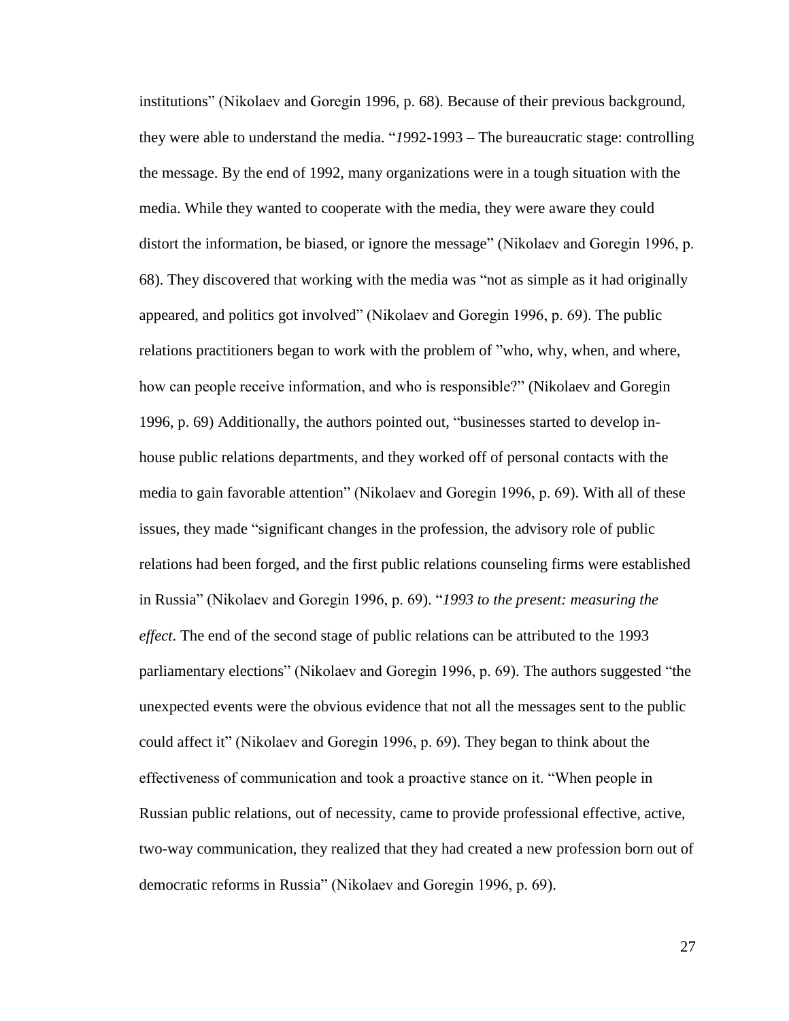institutions" (Nikolaev and Goregin 1996, p. 68). Because of their previous background, they were able to understand the media. "1992-1993 – The bureaucratic stage: controlling the message. By the end of 1992, many organizations were in a tough situation with the media. While they wanted to cooperate with the media, they were aware they could distort the information, be biased, or ignore the message" (Nikolaev and Goregin 1996, p. 68). They discovered that working with the media was "not as simple as it had originally appeared, and politics got involved" (Nikolaev and Goregin 1996, p. 69). The public relations practitioners began to work with the problem of "who, why, when, and where, how can people receive information, and who is responsible?" (Nikolaev and Goregin 1996, p. 69) Additionally, the authors pointed out, "businesses started to develop inhouse public relations departments, and they worked off of personal contacts with the media to gain favorable attention" (Nikolaev and Goregin 1996, p. 69). With all of these issues, they made "significant changes in the profession, the advisory role of public relations had been forged, and the first public relations counseling firms were established in Russia" (Nikolaev and Goregin 1996, p. 69). "1993 to the present: measuring the *effect*. The end of the second stage of public relations can be attributed to the 1993 parliamentary elections" (Nikolaev and Goregin 1996, p. 69). The authors suggested "the unexpected events were the obvious evidence that not all the messages sent to the public could affect it" (Nikolaev and Goregin 1996, p. 69). They began to think about the effectiveness of communication and took a proactive stance on it. "When people in Russian public relations, out of necessity, came to provide professional effective, active, two-way communication, they realized that they had created a new profession born out of democratic reforms in Russia" (Nikolaev and Goregin 1996, p. 69).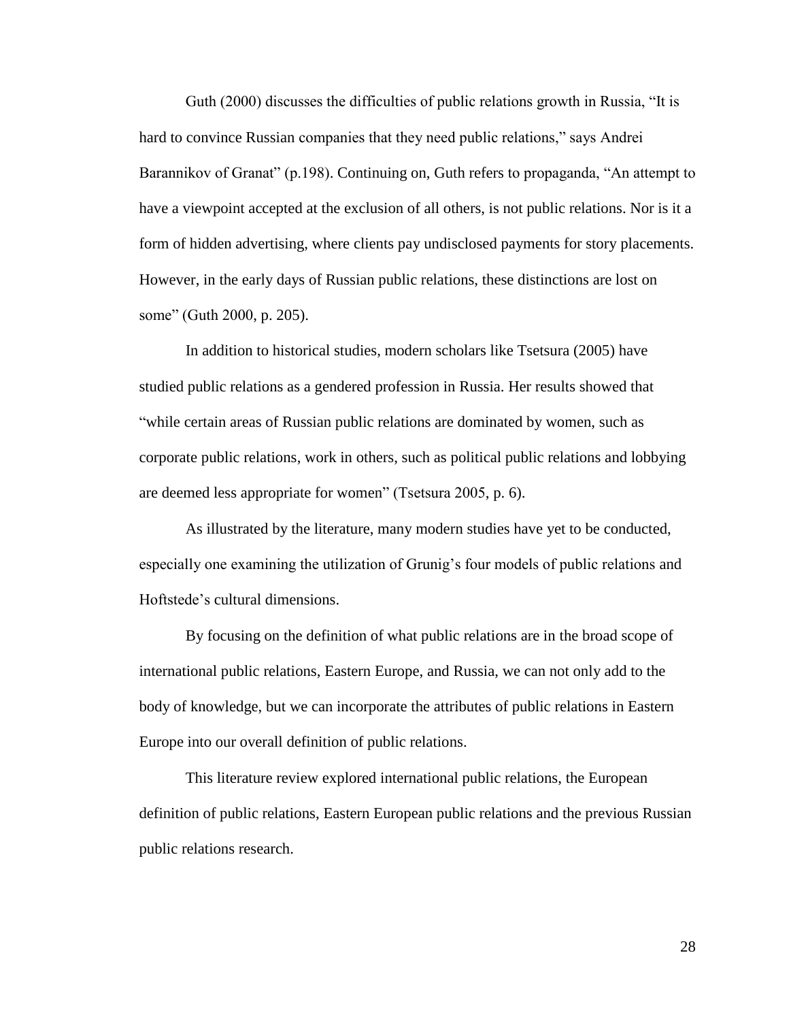Guth (2000) discusses the difficulties of public relations growth in Russia, "It is hard to convince Russian companies that they need public relations," says Andrei Barannikov of Granat" (p.198). Continuing on, Guth refers to propaganda, "An attempt to have a viewpoint accepted at the exclusion of all others, is not public relations. Nor is it a form of hidden advertising, where clients pay undisclosed payments for story placements. However, in the early days of Russian public relations, these distinctions are lost on some" (Guth 2000, p. 205).

In addition to historical studies, modern scholars like Tsetsura (2005) have studied public relations as a gendered profession in Russia. Her results showed that "while certain areas of Russian public relations are dominated by women, such as corporate public relations, work in others, such as political public relations and lobbying are deemed less appropriate for women" (Tsetsura 2005, p. 6).

As illustrated by the literature, many modern studies have yet to be conducted, especially one examining the utilization of Grunig's four models of public relations and Hoftstede's cultural dimensions.

By focusing on the definition of what public relations are in the broad scope of international public relations, Eastern Europe, and Russia, we can not only add to the body of knowledge, but we can incorporate the attributes of public relations in Eastern Europe into our overall definition of public relations.

This literature review explored international public relations, the European definition of public relations, Eastern European public relations and the previous Russian public relations research.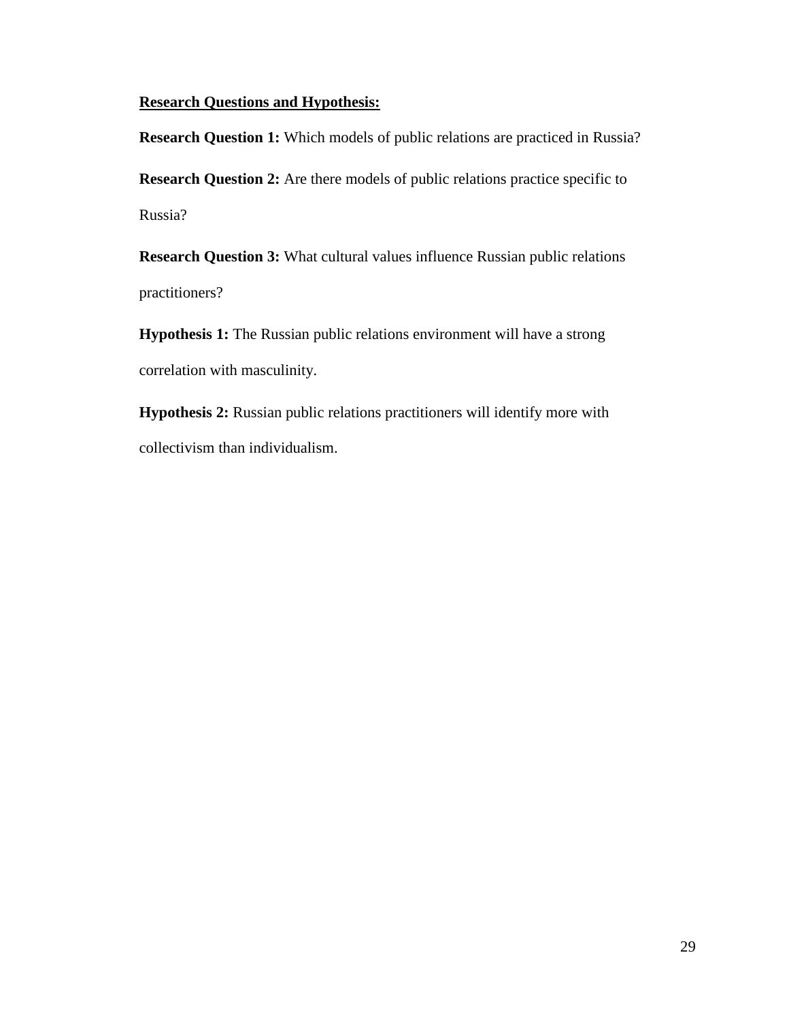## **Research Questions and Hypothesis:**

**Research Question 1:** Which models of public relations are practiced in Russia?

**Research Question 2:** Are there models of public relations practice specific to Russia?

**Research Question 3:** What cultural values influence Russian public relations practitioners?

**Hypothesis 1:** The Russian public relations environment will have a strong correlation with masculinity.

**Hypothesis 2:** Russian public relations practitioners will identify more with collectivism than individualism.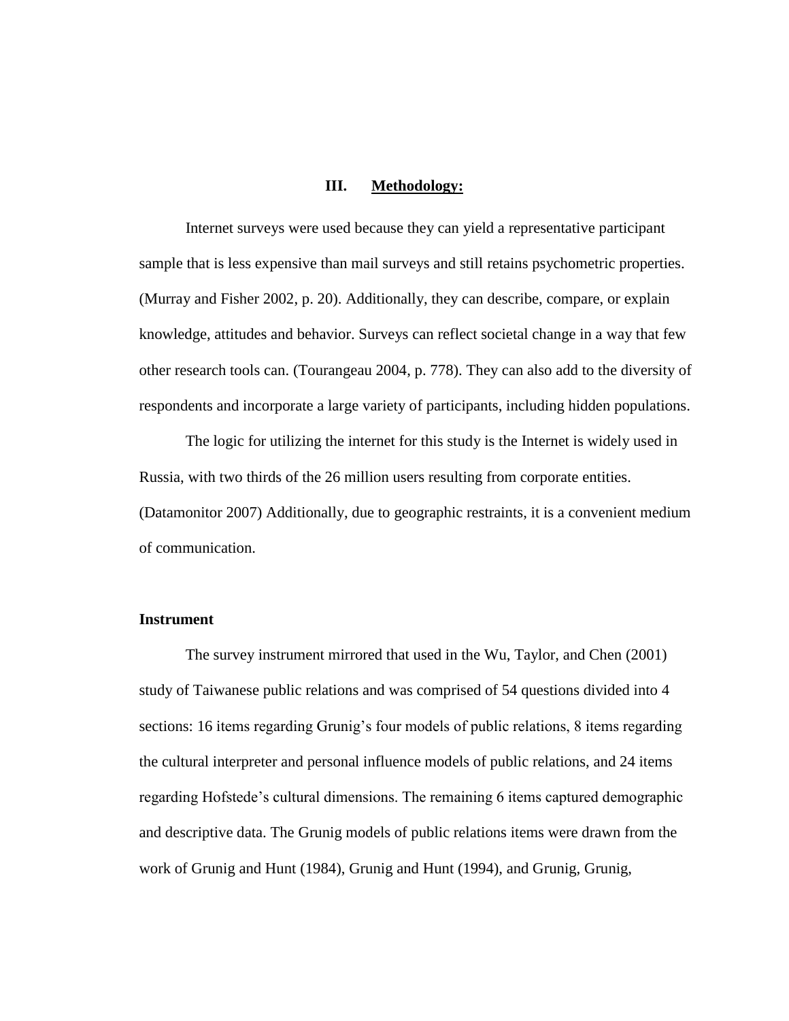#### **III. Methodology:**

Internet surveys were used because they can yield a representative participant sample that is less expensive than mail surveys and still retains psychometric properties. (Murray and Fisher 2002, p. 20). Additionally, they can describe, compare, or explain knowledge, attitudes and behavior. Surveys can reflect societal change in a way that few other research tools can. (Tourangeau 2004, p. 778). They can also add to the diversity of respondents and incorporate a large variety of participants, including hidden populations.

The logic for utilizing the internet for this study is the Internet is widely used in Russia, with two thirds of the 26 million users resulting from corporate entities. (Datamonitor 2007) Additionally, due to geographic restraints, it is a convenient medium of communication.

### **Instrument**

The survey instrument mirrored that used in the Wu, Taylor, and Chen (2001) study of Taiwanese public relations and was comprised of 54 questions divided into 4 sections: 16 items regarding Grunig's four models of public relations, 8 items regarding the cultural interpreter and personal influence models of public relations, and 24 items regarding Hofstede's cultural dimensions. The remaining 6 items captured demographic and descriptive data. The Grunig models of public relations items were drawn from the work of Grunig and Hunt (1984), Grunig and Hunt (1994), and Grunig, Grunig,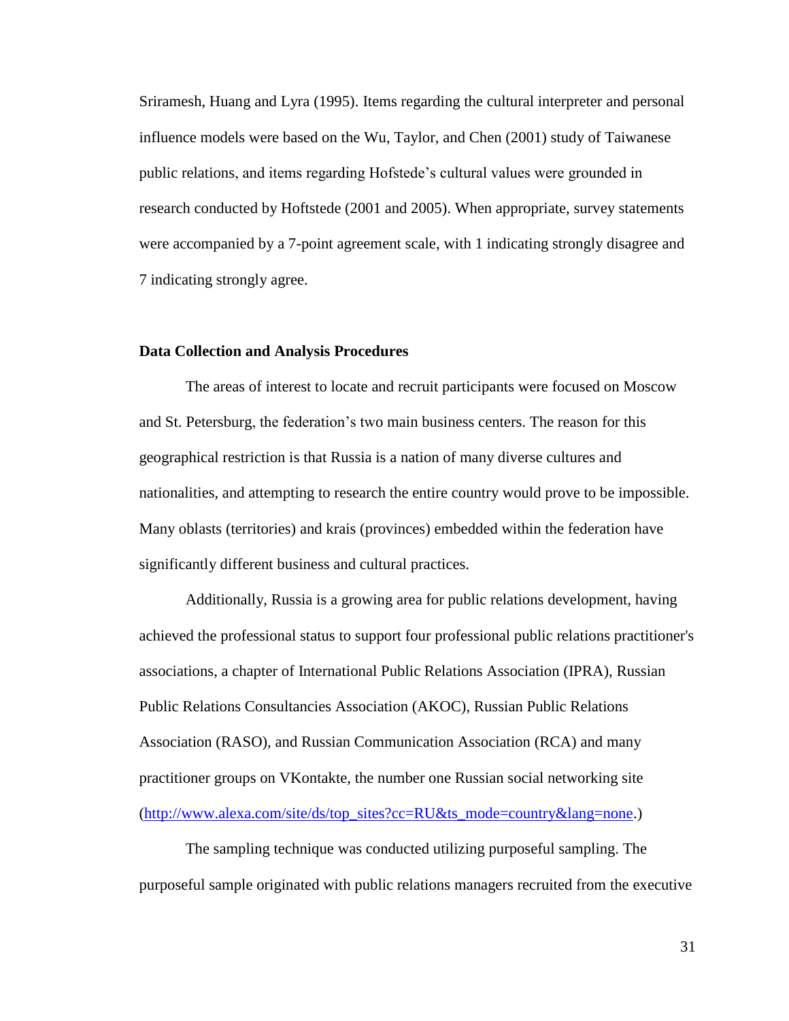Sriramesh, Huang and Lyra (1995). Items regarding the cultural interpreter and personal influence models were based on the Wu, Taylor, and Chen (2001) study of Taiwanese public relations, and items regarding Hofstede's cultural values were grounded in research conducted by Hoftstede (2001 and 2005). When appropriate, survey statements were accompanied by a 7-point agreement scale, with 1 indicating strongly disagree and 7 indicating strongly agree.

#### **Data Collection and Analysis Procedures**

The areas of interest to locate and recruit participants were focused on Moscow and St. Petersburg, the federation's two main business centers. The reason for this geographical restriction is that Russia is a nation of many diverse cultures and nationalities, and attempting to research the entire country would prove to be impossible. Many oblasts (territories) and krais (provinces) embedded within the federation have significantly different business and cultural practices.

Additionally, Russia is a growing area for public relations development, having achieved the professional status to support four professional public relations practitioner's associations, a chapter of International Public Relations Association (IPRA), Russian Public Relations Consultancies Association (AKOC), Russian Public Relations Association (RASO), and Russian Communication Association (RCA) and many practitioner groups on VKontakte, the number one Russian social networking site [\(http://www.alexa.com/site/ds/top\\_sites?cc=RU&ts\\_mode=country&lang=none.](http://www.alexa.com/site/ds/top_sites?cc=RU&ts_mode=country&lang=none))

The sampling technique was conducted utilizing purposeful sampling. The purposeful sample originated with public relations managers recruited from the executive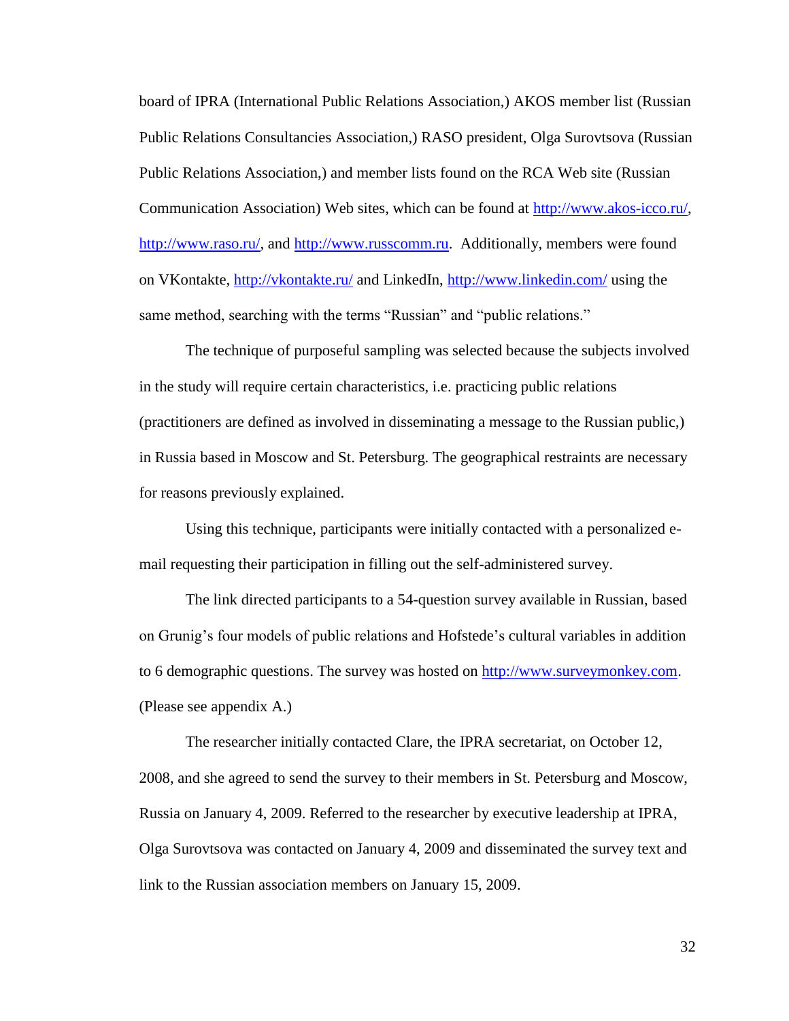board of IPRA (International Public Relations Association,) AKOS member list (Russian Public Relations Consultancies Association,) RASO president, Olga Surovtsova (Russian Public Relations Association,) and member lists found on the RCA Web site (Russian Communication Association) Web sites, which can be found at [http://www.akos-icco.ru/,](http://www.akos-icco.ru/) [http://www.raso.ru/,](http://www.raso.ru/) and [http://www.russcomm.ru.](http://www.russcomm.ru/) Additionally, members were found on VKontakte,<http://vkontakte.ru/> and LinkedIn, <http://www.linkedin.com/> using the same method, searching with the terms "Russian" and "public relations."

The technique of purposeful sampling was selected because the subjects involved in the study will require certain characteristics, i.e. practicing public relations (practitioners are defined as involved in disseminating a message to the Russian public,) in Russia based in Moscow and St. Petersburg. The geographical restraints are necessary for reasons previously explained.

Using this technique, participants were initially contacted with a personalized email requesting their participation in filling out the self-administered survey.

The link directed participants to a 54-question survey available in Russian, based on Grunig's four models of public relations and Hofstede's cultural variables in addition to 6 demographic questions. The survey was hosted on [http://www.surveymonkey.com.](http://www.surveymonkey.com/) (Please see appendix A.)

The researcher initially contacted Clare, the IPRA secretariat, on October 12, 2008, and she agreed to send the survey to their members in St. Petersburg and Moscow, Russia on January 4, 2009. Referred to the researcher by executive leadership at IPRA, Olga Surovtsova was contacted on January 4, 2009 and disseminated the survey text and link to the Russian association members on January 15, 2009.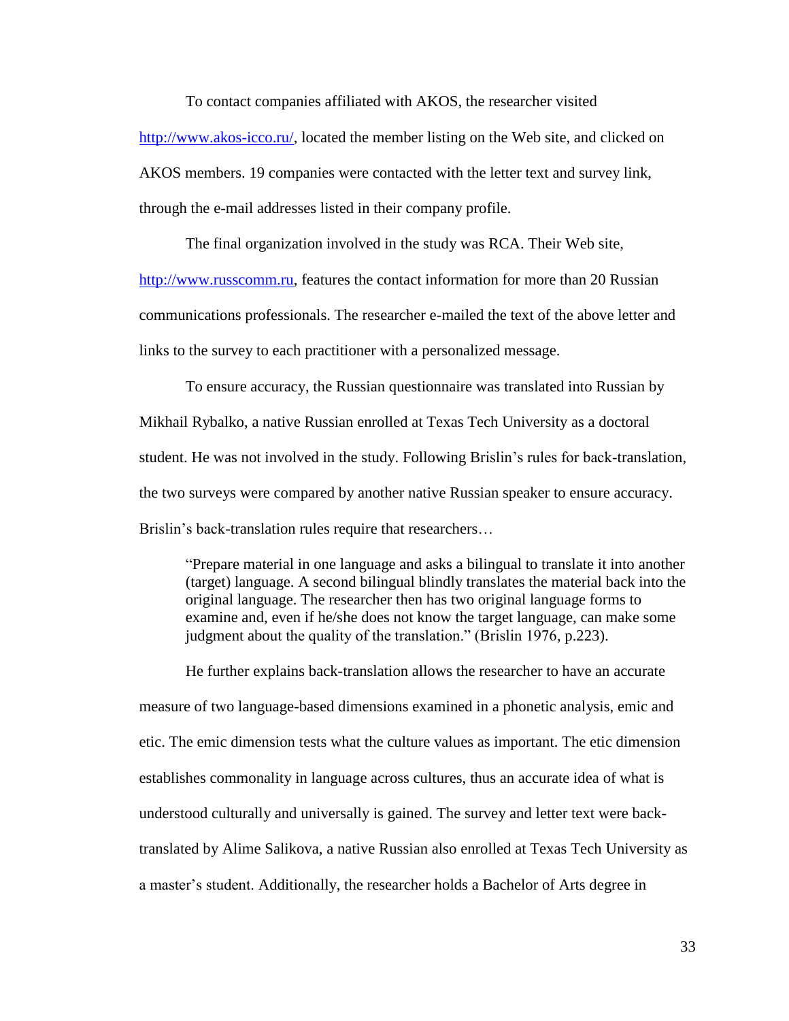To contact companies affiliated with AKOS, the researcher visited

[http://www.akos-icco.ru/,](http://www.akos-icco.ru/) located the member listing on the Web site, and clicked on

AKOS members. 19 companies were contacted with the letter text and survey link,

through the e-mail addresses listed in their company profile.

The final organization involved in the study was RCA. Their Web site,

[http://www.russcomm.ru,](http://www.russcomm.ru/) features the contact information for more than 20 Russian

communications professionals. The researcher e-mailed the text of the above letter and

links to the survey to each practitioner with a personalized message.

To ensure accuracy, the Russian questionnaire was translated into Russian by Mikhail Rybalko, a native Russian enrolled at Texas Tech University as a doctoral student. He was not involved in the study. Following Brislin's rules for back-translation, the two surveys were compared by another native Russian speaker to ensure accuracy. Brislin's back-translation rules require that researchers…

―Prepare material in one language and asks a bilingual to translate it into another (target) language. A second bilingual blindly translates the material back into the original language. The researcher then has two original language forms to examine and, even if he/she does not know the target language, can make some judgment about the quality of the translation." (Brislin 1976, p.223).

He further explains back-translation allows the researcher to have an accurate measure of two language-based dimensions examined in a phonetic analysis, emic and etic. The emic dimension tests what the culture values as important. The etic dimension establishes commonality in language across cultures, thus an accurate idea of what is understood culturally and universally is gained. The survey and letter text were backtranslated by Alime Salikova, a native Russian also enrolled at Texas Tech University as a master's student. Additionally, the researcher holds a Bachelor of Arts degree in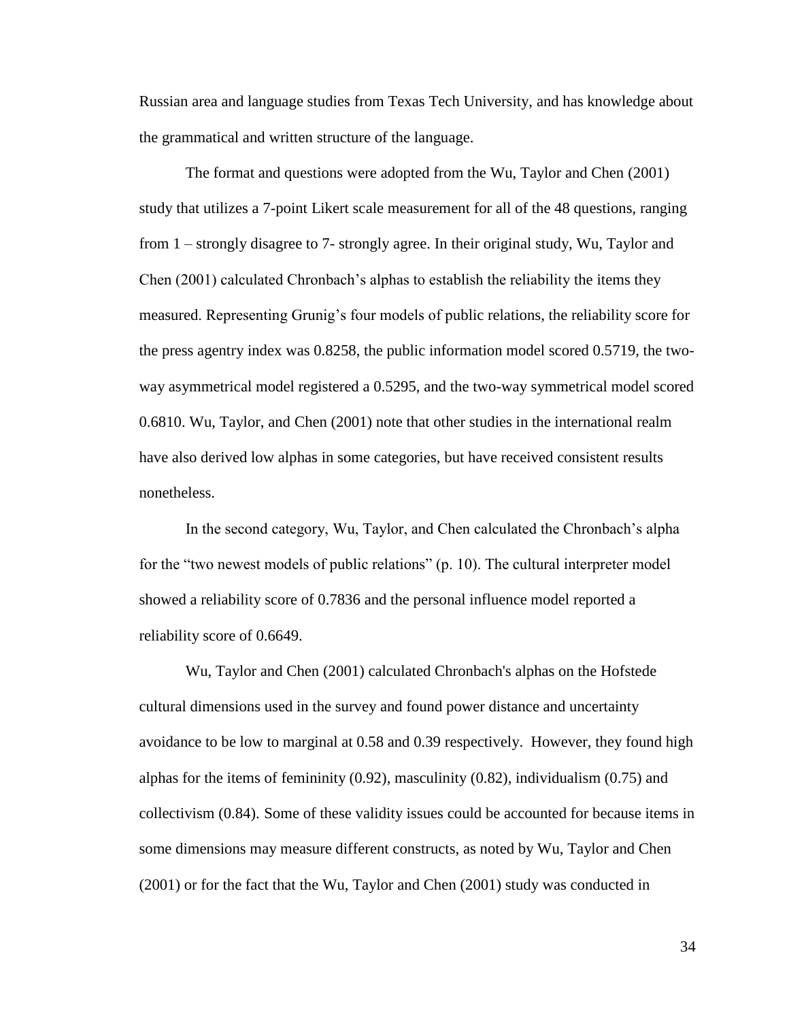Russian area and language studies from Texas Tech University, and has knowledge about the grammatical and written structure of the language.

The format and questions were adopted from the Wu, Taylor and Chen (2001) study that utilizes a 7-point Likert scale measurement for all of the 48 questions, ranging from 1 – strongly disagree to 7- strongly agree. In their original study, Wu, Taylor and Chen (2001) calculated Chronbach's alphas to establish the reliability the items they measured. Representing Grunig's four models of public relations, the reliability score for the press agentry index was 0.8258, the public information model scored 0.5719, the twoway asymmetrical model registered a 0.5295, and the two-way symmetrical model scored 0.6810. Wu, Taylor, and Chen (2001) note that other studies in the international realm have also derived low alphas in some categories, but have received consistent results nonetheless.

In the second category, Wu, Taylor, and Chen calculated the Chronbach's alpha for the "two newest models of public relations"  $(p. 10)$ . The cultural interpreter model showed a reliability score of 0.7836 and the personal influence model reported a reliability score of 0.6649.

Wu, Taylor and Chen (2001) calculated Chronbach's alphas on the Hofstede cultural dimensions used in the survey and found power distance and uncertainty avoidance to be low to marginal at 0.58 and 0.39 respectively. However, they found high alphas for the items of femininity  $(0.92)$ , masculinity  $(0.82)$ , individualism  $(0.75)$  and collectivism (0.84). Some of these validity issues could be accounted for because items in some dimensions may measure different constructs, as noted by Wu, Taylor and Chen (2001) or for the fact that the Wu, Taylor and Chen (2001) study was conducted in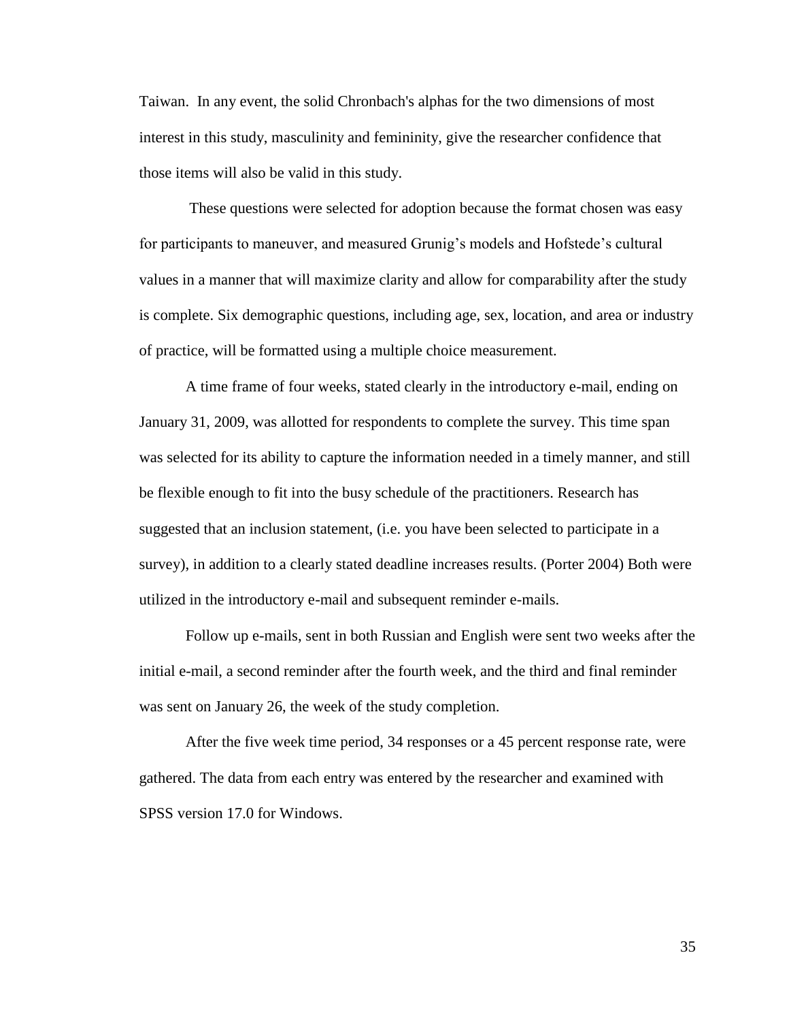Taiwan. In any event, the solid Chronbach's alphas for the two dimensions of most interest in this study, masculinity and femininity, give the researcher confidence that those items will also be valid in this study.

These questions were selected for adoption because the format chosen was easy for participants to maneuver, and measured Grunig's models and Hofstede's cultural values in a manner that will maximize clarity and allow for comparability after the study is complete. Six demographic questions, including age, sex, location, and area or industry of practice, will be formatted using a multiple choice measurement.

A time frame of four weeks, stated clearly in the introductory e-mail, ending on January 31, 2009, was allotted for respondents to complete the survey. This time span was selected for its ability to capture the information needed in a timely manner, and still be flexible enough to fit into the busy schedule of the practitioners. Research has suggested that an inclusion statement, (i.e. you have been selected to participate in a survey), in addition to a clearly stated deadline increases results. (Porter 2004) Both were utilized in the introductory e-mail and subsequent reminder e-mails.

Follow up e-mails, sent in both Russian and English were sent two weeks after the initial e-mail, a second reminder after the fourth week, and the third and final reminder was sent on January 26, the week of the study completion.

After the five week time period, 34 responses or a 45 percent response rate, were gathered. The data from each entry was entered by the researcher and examined with SPSS version 17.0 for Windows.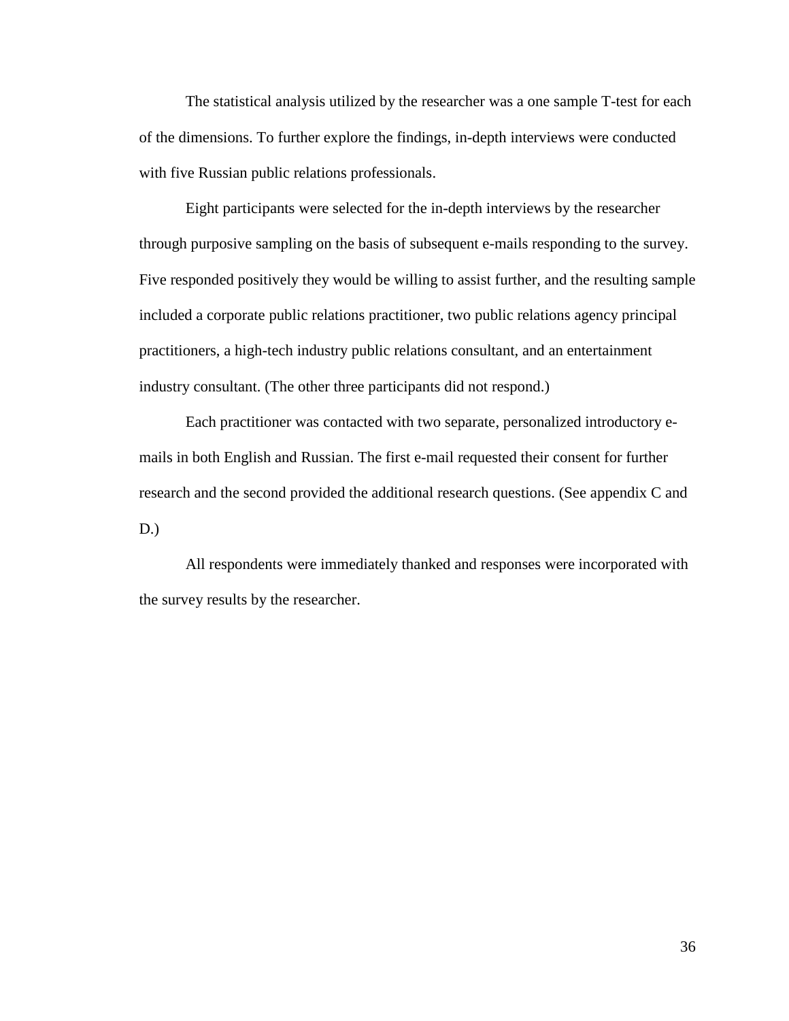The statistical analysis utilized by the researcher was a one sample T-test for each of the dimensions. To further explore the findings, in-depth interviews were conducted with five Russian public relations professionals.

Eight participants were selected for the in-depth interviews by the researcher through purposive sampling on the basis of subsequent e-mails responding to the survey. Five responded positively they would be willing to assist further, and the resulting sample included a corporate public relations practitioner, two public relations agency principal practitioners, a high-tech industry public relations consultant, and an entertainment industry consultant. (The other three participants did not respond.)

Each practitioner was contacted with two separate, personalized introductory emails in both English and Russian. The first e-mail requested their consent for further research and the second provided the additional research questions. (See appendix C and D.)

All respondents were immediately thanked and responses were incorporated with the survey results by the researcher.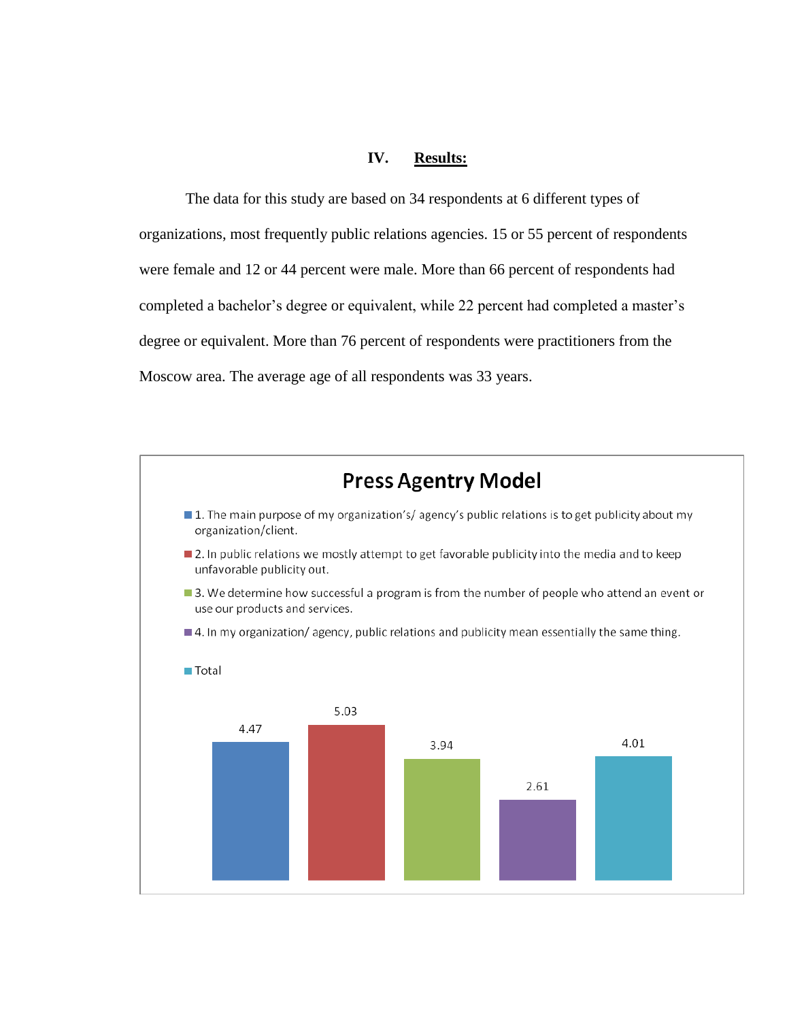## **IV. Results:**

The data for this study are based on 34 respondents at 6 different types of organizations, most frequently public relations agencies. 15 or 55 percent of respondents were female and 12 or 44 percent were male. More than 66 percent of respondents had completed a bachelor's degree or equivalent, while 22 percent had completed a master's degree or equivalent. More than 76 percent of respondents were practitioners from the Moscow area. The average age of all respondents was 33 years.

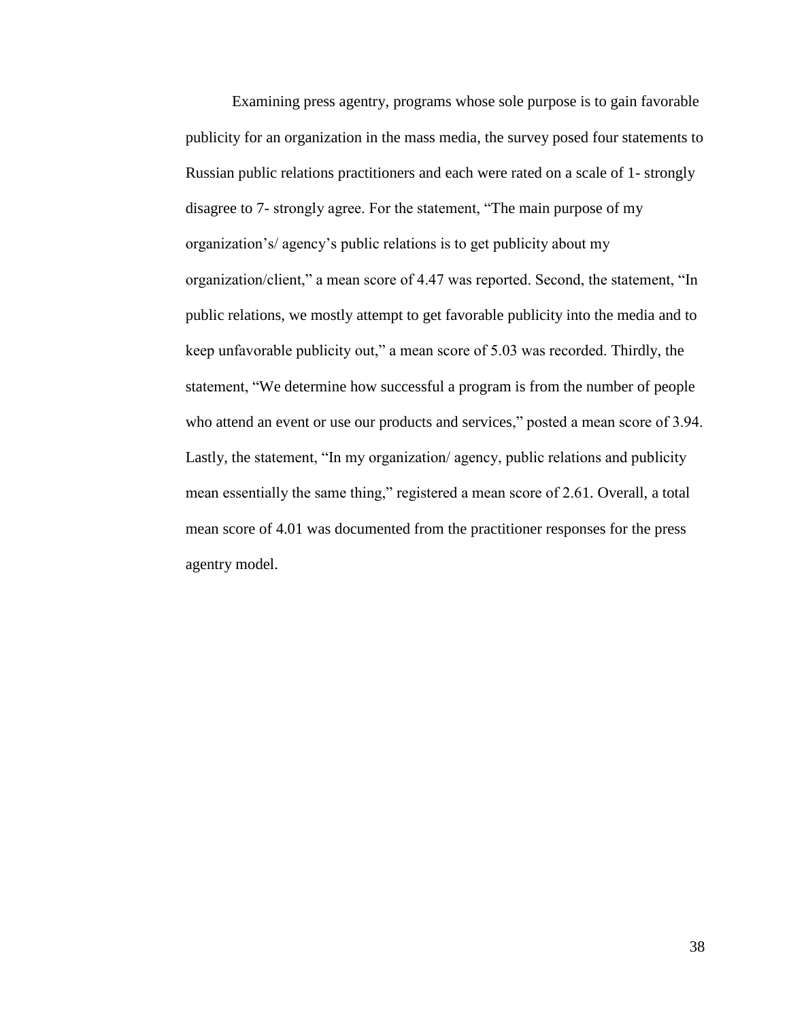Examining press agentry, programs whose sole purpose is to gain favorable publicity for an organization in the mass media, the survey posed four statements to Russian public relations practitioners and each were rated on a scale of 1- strongly disagree to 7- strongly agree. For the statement, "The main purpose of my organization's/ agency's public relations is to get publicity about my organization/client," a mean score of 4.47 was reported. Second, the statement, "In public relations, we mostly attempt to get favorable publicity into the media and to keep unfavorable publicity out," a mean score of 5.03 was recorded. Thirdly, the statement, "We determine how successful a program is from the number of people who attend an event or use our products and services," posted a mean score of 3.94. Lastly, the statement, "In my organization/ agency, public relations and publicity mean essentially the same thing," registered a mean score of 2.61. Overall, a total mean score of 4.01 was documented from the practitioner responses for the press agentry model.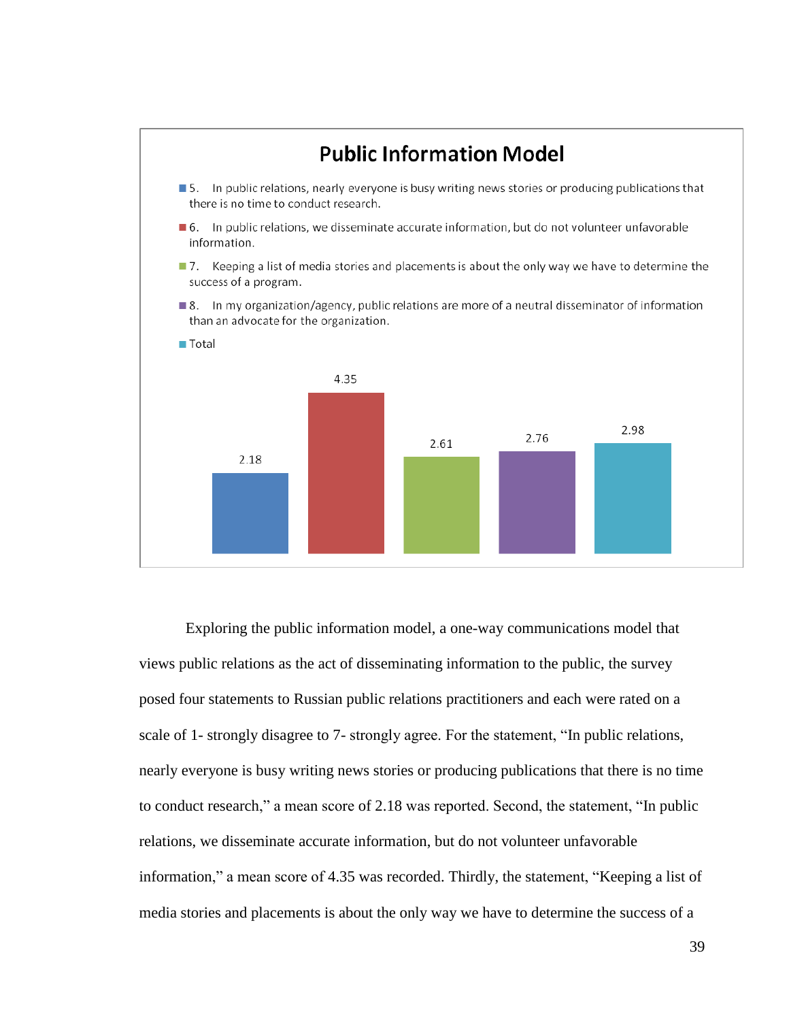

Exploring the public information model, a one-way communications model that views public relations as the act of disseminating information to the public, the survey posed four statements to Russian public relations practitioners and each were rated on a scale of 1- strongly disagree to 7- strongly agree. For the statement, "In public relations, nearly everyone is busy writing news stories or producing publications that there is no time to conduct research," a mean score of 2.18 was reported. Second, the statement, "In public relations, we disseminate accurate information, but do not volunteer unfavorable information," a mean score of 4.35 was recorded. Thirdly, the statement, "Keeping a list of media stories and placements is about the only way we have to determine the success of a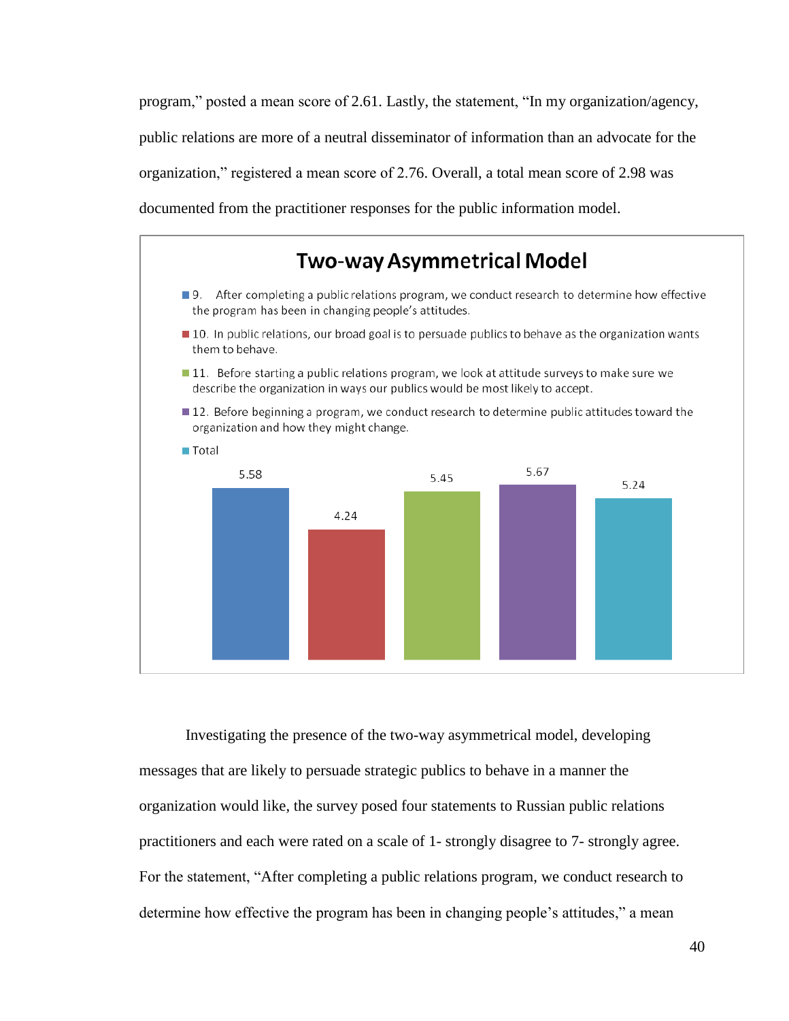program," posted a mean score of 2.61. Lastly, the statement, "In my organization/agency, public relations are more of a neutral disseminator of information than an advocate for the organization,‖ registered a mean score of 2.76. Overall, a total mean score of 2.98 was documented from the practitioner responses for the public information model.



Investigating the presence of the two-way asymmetrical model, developing messages that are likely to persuade strategic publics to behave in a manner the organization would like, the survey posed four statements to Russian public relations practitioners and each were rated on a scale of 1- strongly disagree to 7- strongly agree. For the statement, "After completing a public relations program, we conduct research to determine how effective the program has been in changing people's attitudes," a mean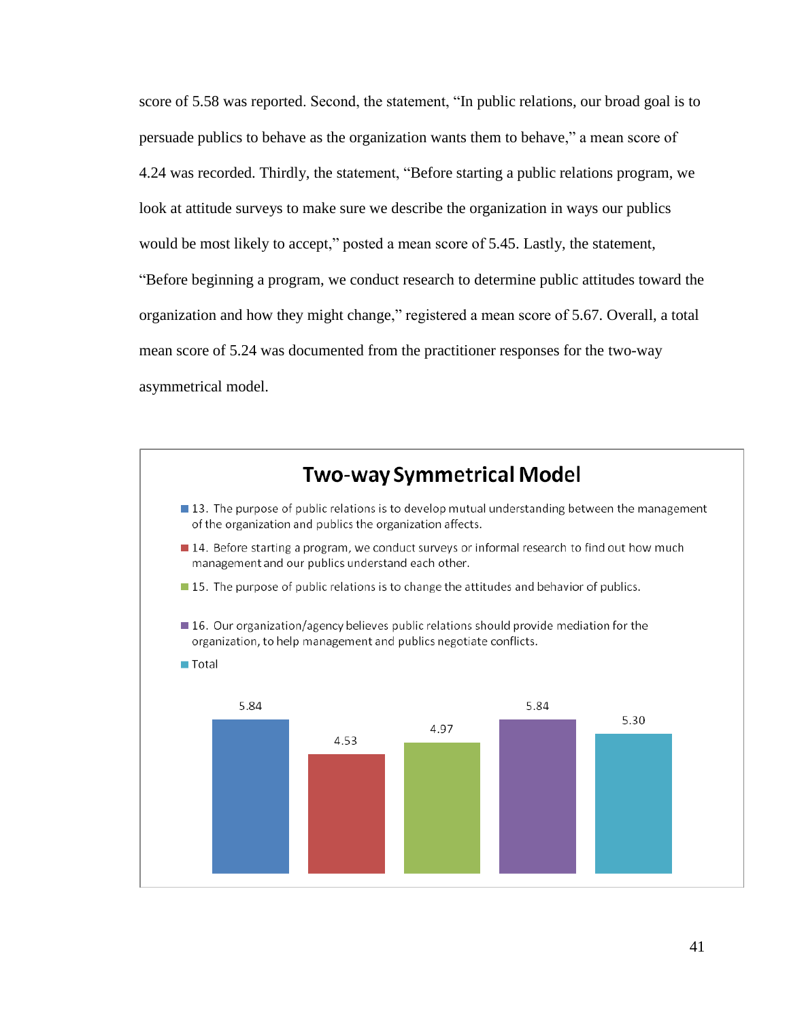score of 5.58 was reported. Second, the statement, "In public relations, our broad goal is to persuade publics to behave as the organization wants them to behave," a mean score of 4.24 was recorded. Thirdly, the statement, "Before starting a public relations program, we look at attitude surveys to make sure we describe the organization in ways our publics would be most likely to accept," posted a mean score of 5.45. Lastly, the statement, ―Before beginning a program, we conduct research to determine public attitudes toward the organization and how they might change," registered a mean score of 5.67. Overall, a total mean score of 5.24 was documented from the practitioner responses for the two-way asymmetrical model.

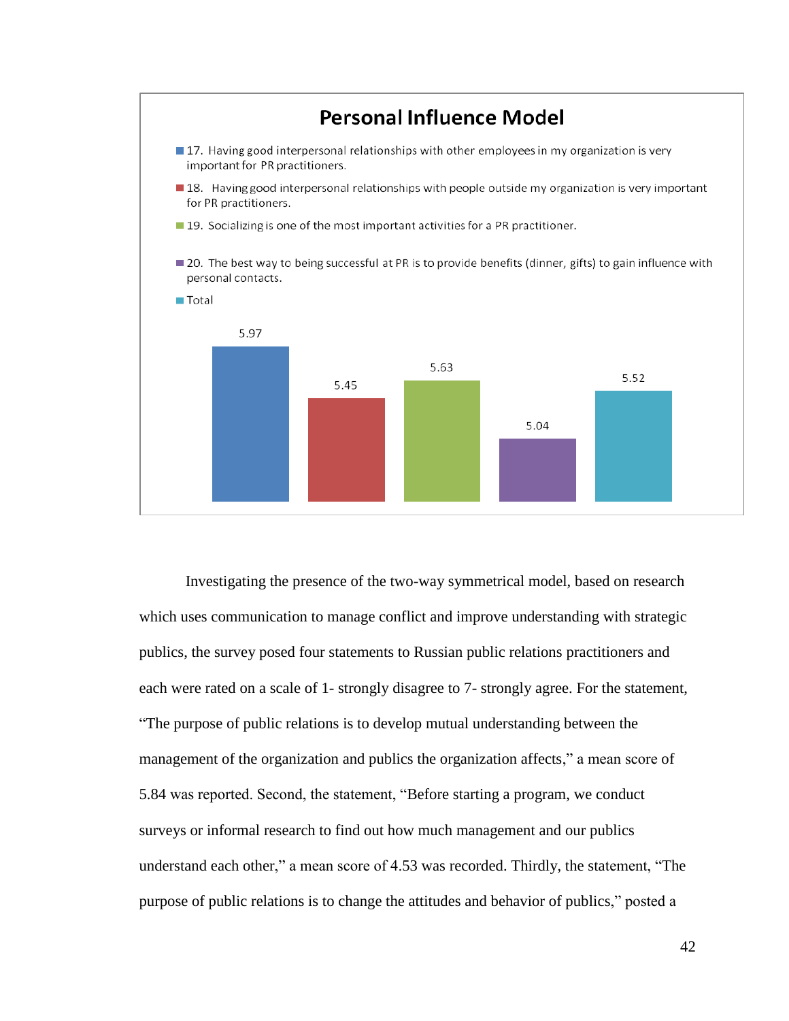

Investigating the presence of the two-way symmetrical model, based on research which uses communication to manage conflict and improve understanding with strategic publics, the survey posed four statements to Russian public relations practitioners and each were rated on a scale of 1- strongly disagree to 7- strongly agree. For the statement, ―The purpose of public relations is to develop mutual understanding between the management of the organization and publics the organization affects," a mean score of 5.84 was reported. Second, the statement, "Before starting a program, we conduct surveys or informal research to find out how much management and our publics understand each other," a mean score of 4.53 was recorded. Thirdly, the statement, "The purpose of public relations is to change the attitudes and behavior of publics," posted a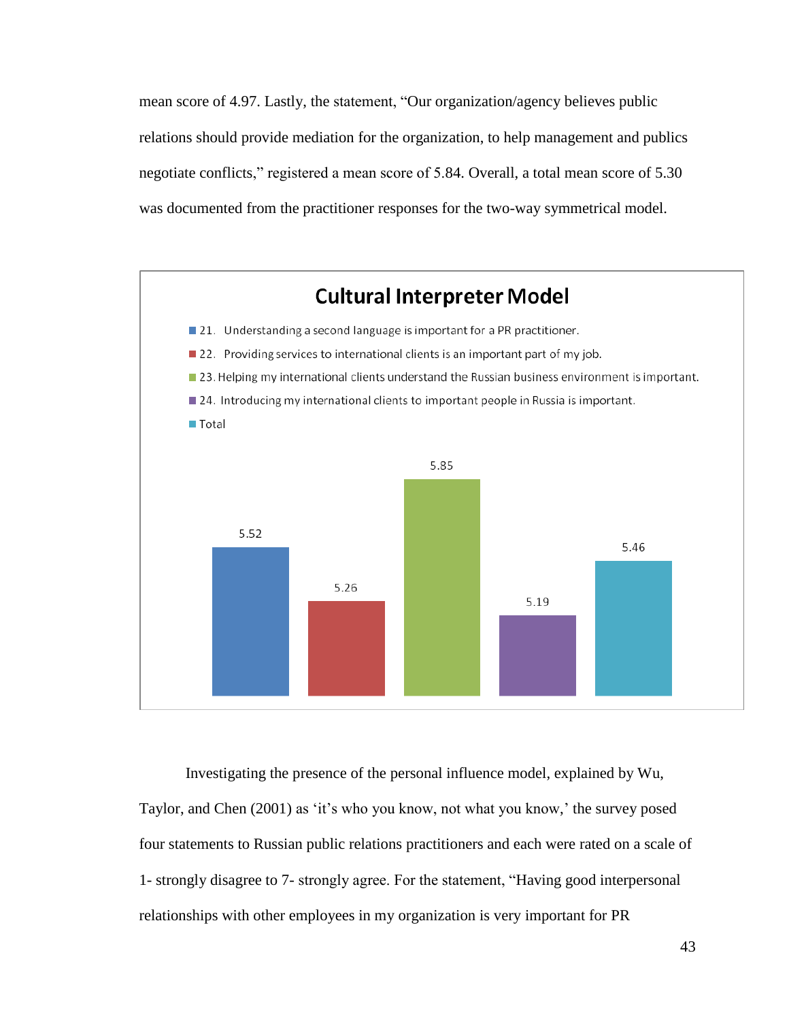mean score of 4.97. Lastly, the statement, "Our organization/agency believes public relations should provide mediation for the organization, to help management and publics negotiate conflicts," registered a mean score of 5.84. Overall, a total mean score of 5.30 was documented from the practitioner responses for the two-way symmetrical model.



Investigating the presence of the personal influence model, explained by Wu, Taylor, and Chen (2001) as 'it's who you know, not what you know,' the survey posed four statements to Russian public relations practitioners and each were rated on a scale of 1- strongly disagree to 7- strongly agree. For the statement, "Having good interpersonal relationships with other employees in my organization is very important for PR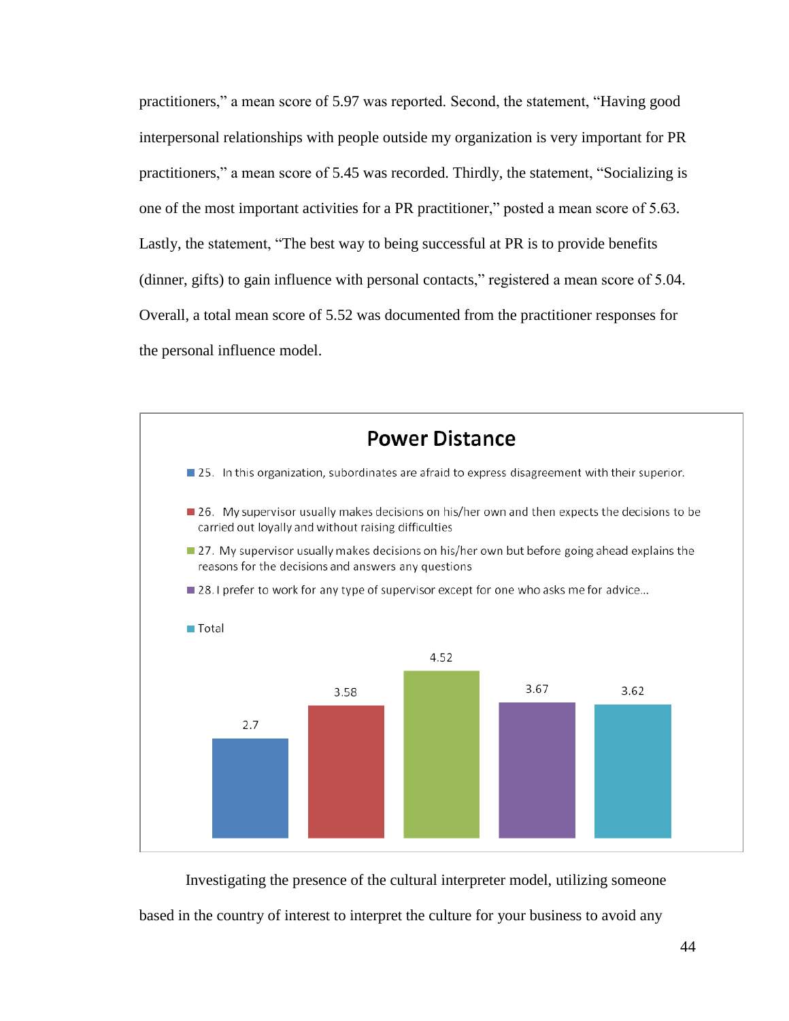practitioners," a mean score of 5.97 was reported. Second, the statement, "Having good interpersonal relationships with people outside my organization is very important for PR practitioners," a mean score of 5.45 was recorded. Thirdly, the statement, "Socializing is one of the most important activities for a PR practitioner," posted a mean score of 5.63. Lastly, the statement, "The best way to being successful at PR is to provide benefits (dinner, gifts) to gain influence with personal contacts," registered a mean score of 5.04. Overall, a total mean score of 5.52 was documented from the practitioner responses for the personal influence model.



Investigating the presence of the cultural interpreter model, utilizing someone based in the country of interest to interpret the culture for your business to avoid any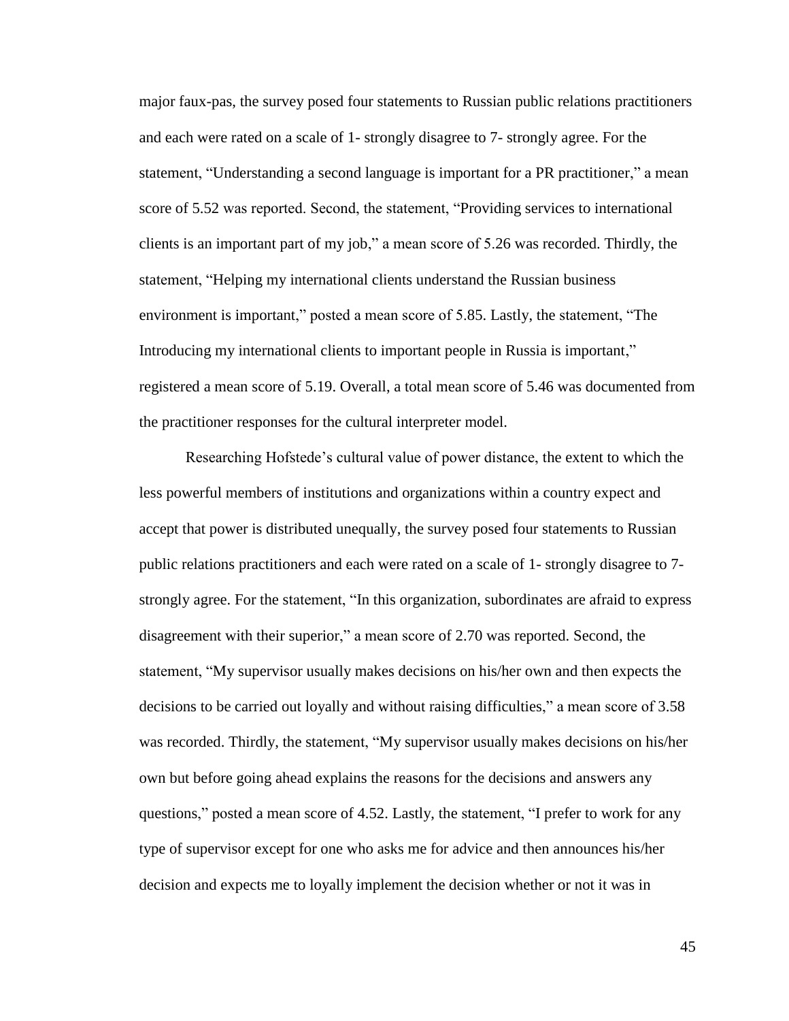major faux-pas, the survey posed four statements to Russian public relations practitioners and each were rated on a scale of 1- strongly disagree to 7- strongly agree. For the statement, "Understanding a second language is important for a PR practitioner," a mean score of 5.52 was reported. Second, the statement, "Providing services to international clients is an important part of my job," a mean score of  $5.26$  was recorded. Thirdly, the statement, "Helping my international clients understand the Russian business environment is important," posted a mean score of 5.85. Lastly, the statement, "The Introducing my international clients to important people in Russia is important," registered a mean score of 5.19. Overall, a total mean score of 5.46 was documented from the practitioner responses for the cultural interpreter model.

Researching Hofstede's cultural value of power distance, the extent to which the less powerful members of institutions and organizations within a country expect and accept that power is distributed unequally, the survey posed four statements to Russian public relations practitioners and each were rated on a scale of 1- strongly disagree to 7 strongly agree. For the statement, "In this organization, subordinates are afraid to express disagreement with their superior," a mean score of 2.70 was reported. Second, the statement, "My supervisor usually makes decisions on his/her own and then expects the decisions to be carried out loyally and without raising difficulties," a mean score of 3.58 was recorded. Thirdly, the statement, "My supervisor usually makes decisions on his/her own but before going ahead explains the reasons for the decisions and answers any questions," posted a mean score of 4.52. Lastly, the statement, "I prefer to work for any type of supervisor except for one who asks me for advice and then announces his/her decision and expects me to loyally implement the decision whether or not it was in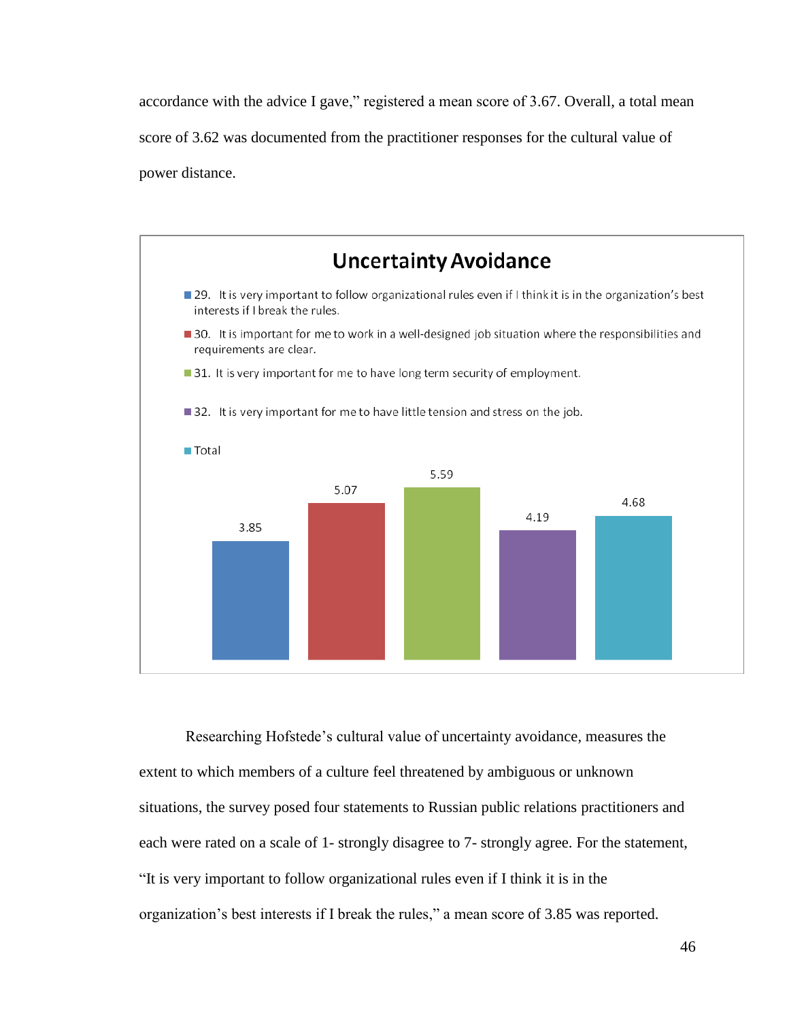accordance with the advice I gave," registered a mean score of 3.67. Overall, a total mean score of 3.62 was documented from the practitioner responses for the cultural value of power distance.



Researching Hofstede's cultural value of uncertainty avoidance, measures the extent to which members of a culture feel threatened by ambiguous or unknown situations, the survey posed four statements to Russian public relations practitioners and each were rated on a scale of 1- strongly disagree to 7- strongly agree. For the statement, ―It is very important to follow organizational rules even if I think it is in the organization's best interests if I break the rules," a mean score of 3.85 was reported.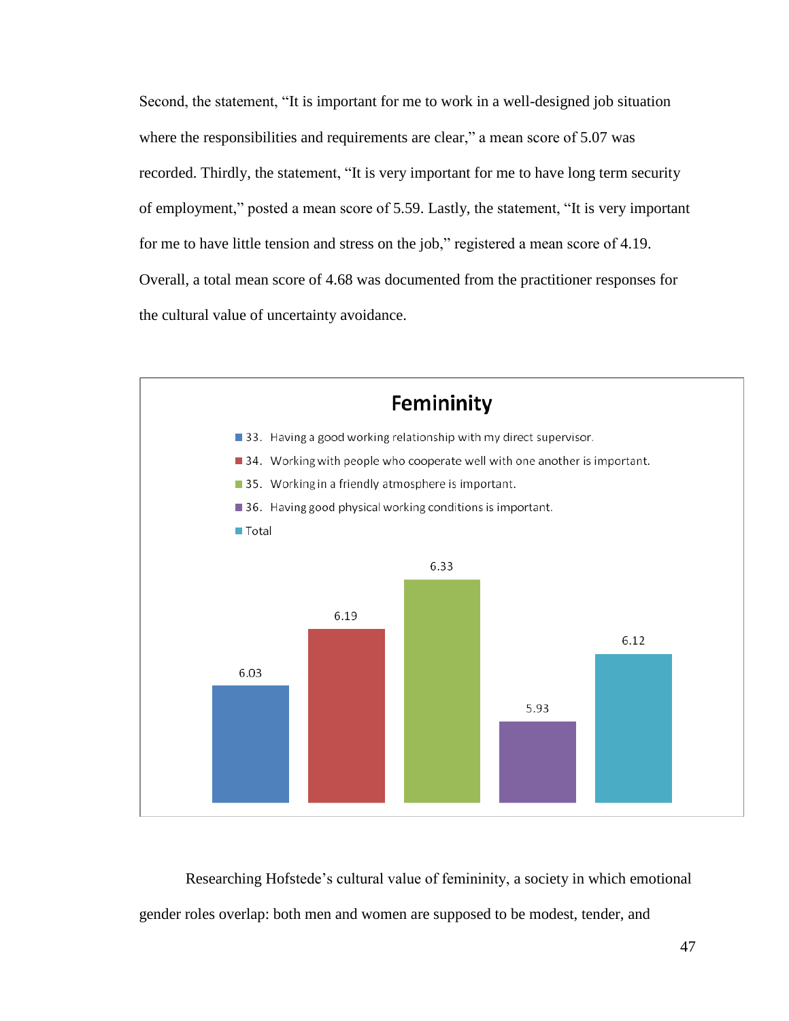Second, the statement, "It is important for me to work in a well-designed job situation where the responsibilities and requirements are clear," a mean score of 5.07 was recorded. Thirdly, the statement, "It is very important for me to have long term security of employment," posted a mean score of 5.59. Lastly, the statement, "It is very important for me to have little tension and stress on the job," registered a mean score of 4.19. Overall, a total mean score of 4.68 was documented from the practitioner responses for the cultural value of uncertainty avoidance.



Researching Hofstede's cultural value of femininity, a society in which emotional gender roles overlap: both men and women are supposed to be modest, tender, and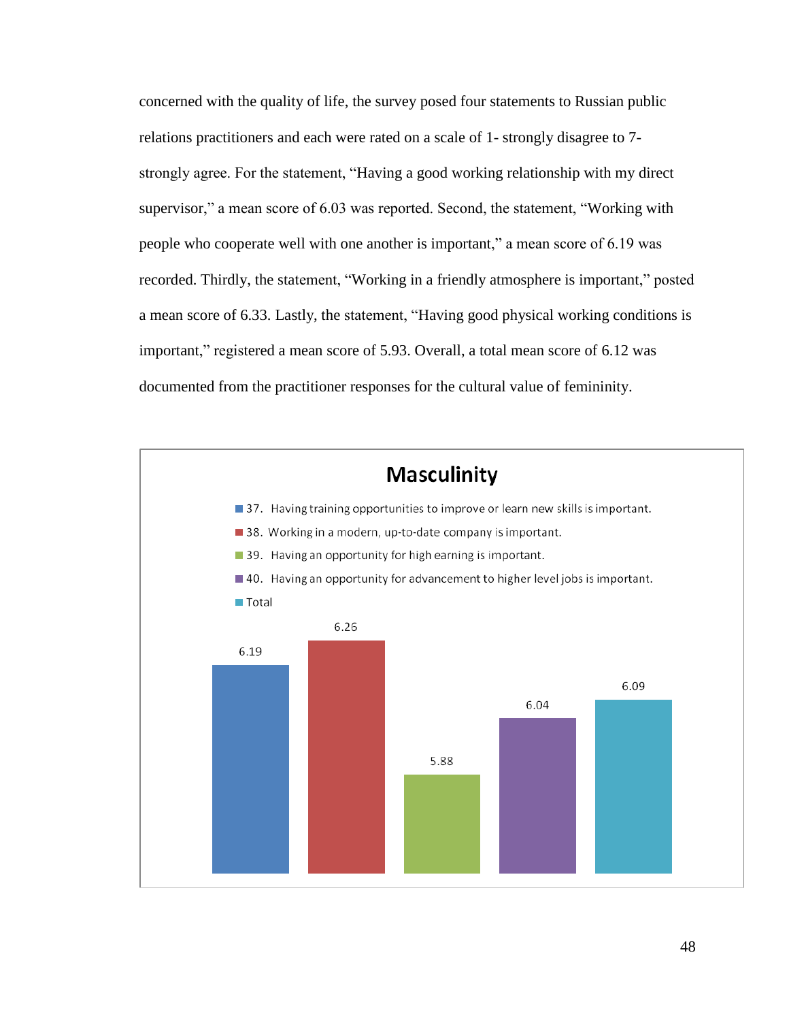concerned with the quality of life, the survey posed four statements to Russian public relations practitioners and each were rated on a scale of 1- strongly disagree to 7 strongly agree. For the statement, "Having a good working relationship with my direct supervisor," a mean score of 6.03 was reported. Second, the statement, "Working with people who cooperate well with one another is important," a mean score of 6.19 was recorded. Thirdly, the statement, "Working in a friendly atmosphere is important," posted a mean score of 6.33. Lastly, the statement, "Having good physical working conditions is important," registered a mean score of 5.93. Overall, a total mean score of 6.12 was documented from the practitioner responses for the cultural value of femininity.

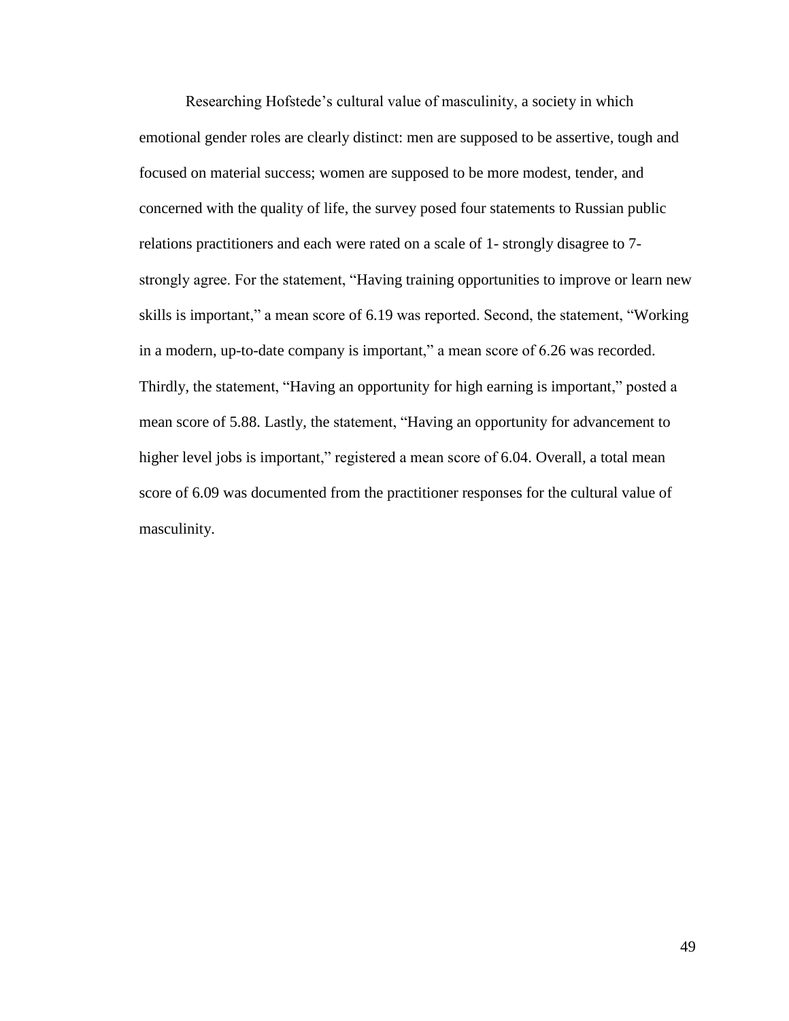Researching Hofstede's cultural value of masculinity, a society in which emotional gender roles are clearly distinct: men are supposed to be assertive, tough and focused on material success; women are supposed to be more modest, tender, and concerned with the quality of life, the survey posed four statements to Russian public relations practitioners and each were rated on a scale of 1- strongly disagree to 7 strongly agree. For the statement, "Having training opportunities to improve or learn new skills is important," a mean score of 6.19 was reported. Second, the statement, "Working in a modern, up-to-date company is important," a mean score of 6.26 was recorded. Thirdly, the statement, "Having an opportunity for high earning is important," posted a mean score of 5.88. Lastly, the statement, "Having an opportunity for advancement to higher level jobs is important," registered a mean score of 6.04. Overall, a total mean score of 6.09 was documented from the practitioner responses for the cultural value of masculinity.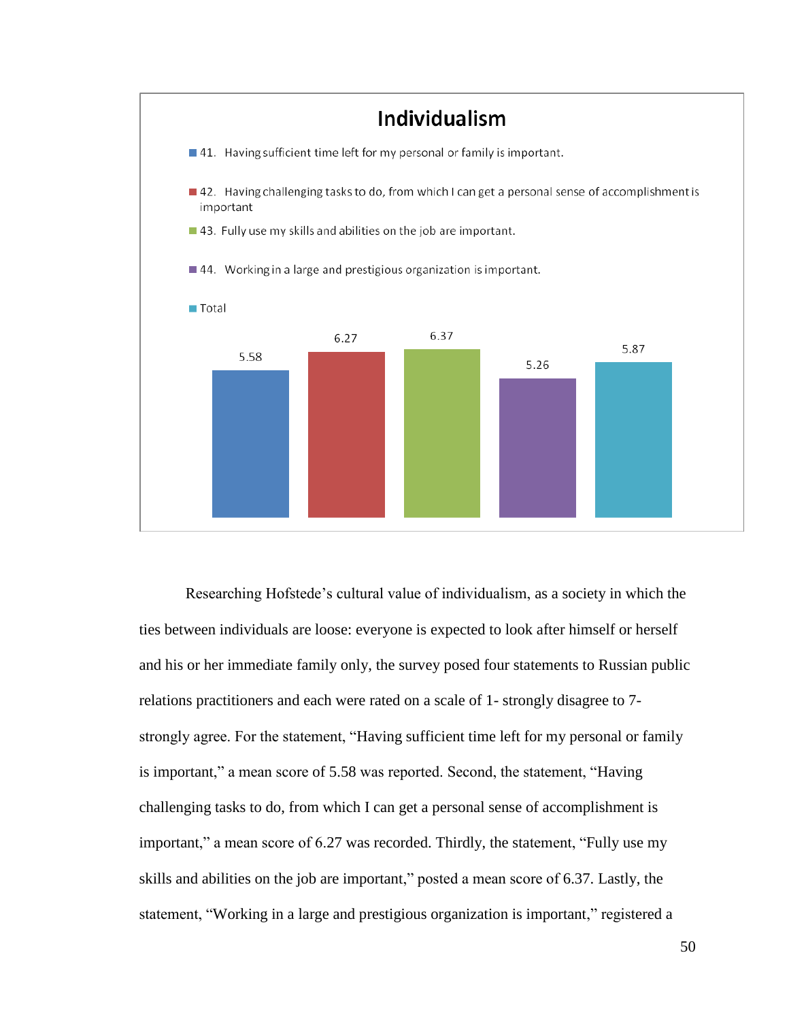

Researching Hofstede's cultural value of individualism, as a society in which the ties between individuals are loose: everyone is expected to look after himself or herself and his or her immediate family only, the survey posed four statements to Russian public relations practitioners and each were rated on a scale of 1- strongly disagree to 7 strongly agree. For the statement, "Having sufficient time left for my personal or family is important," a mean score of 5.58 was reported. Second, the statement, "Having challenging tasks to do, from which I can get a personal sense of accomplishment is important," a mean score of 6.27 was recorded. Thirdly, the statement, "Fully use my skills and abilities on the job are important," posted a mean score of 6.37. Lastly, the statement, "Working in a large and prestigious organization is important," registered a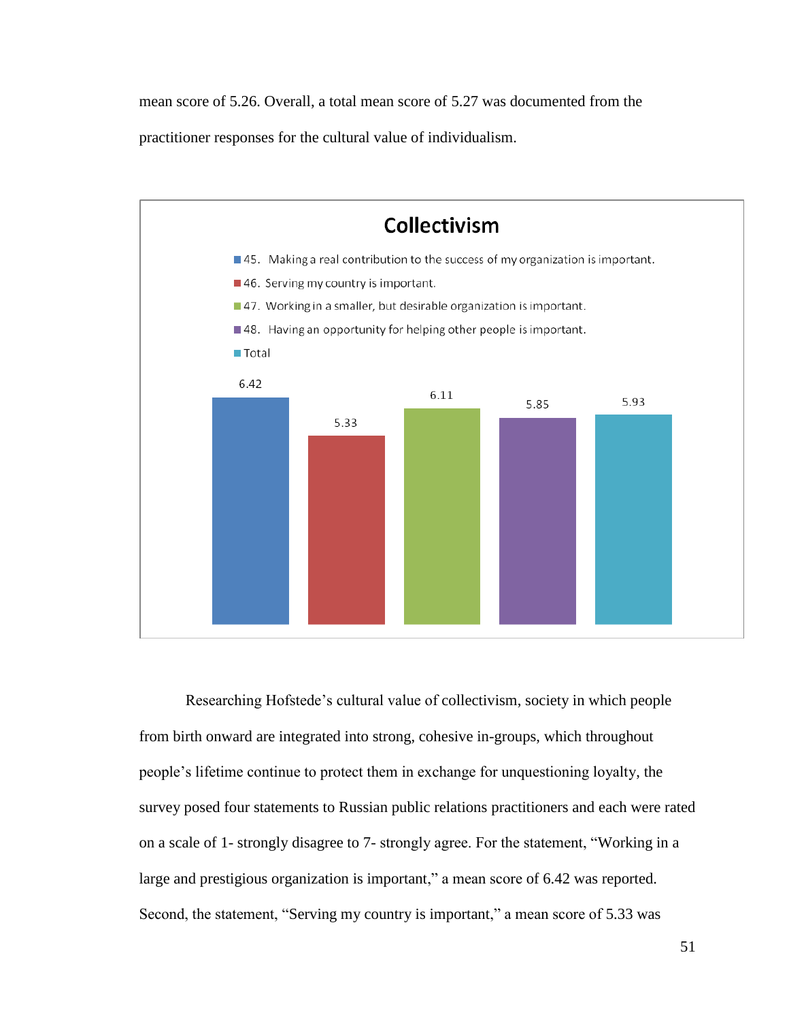mean score of 5.26. Overall, a total mean score of 5.27 was documented from the

practitioner responses for the cultural value of individualism.



Researching Hofstede's cultural value of collectivism, society in which people from birth onward are integrated into strong, cohesive in-groups, which throughout people's lifetime continue to protect them in exchange for unquestioning loyalty, the survey posed four statements to Russian public relations practitioners and each were rated on a scale of 1- strongly disagree to 7- strongly agree. For the statement, "Working in a large and prestigious organization is important," a mean score of 6.42 was reported. Second, the statement, "Serving my country is important," a mean score of 5.33 was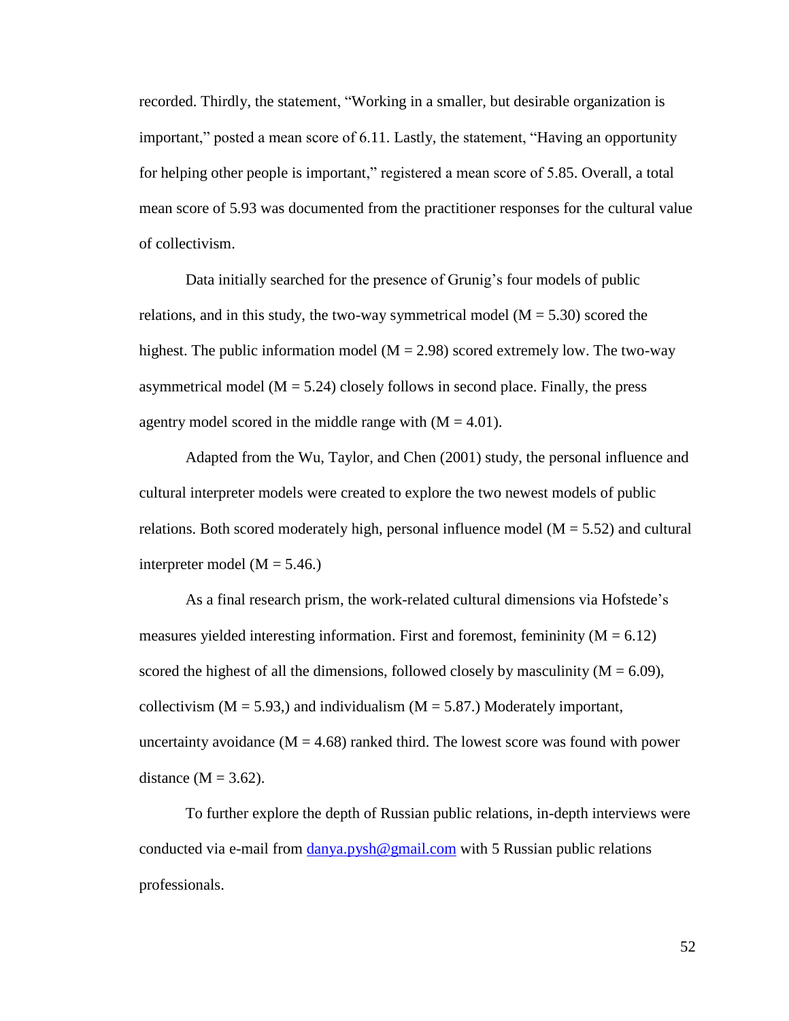recorded. Thirdly, the statement, "Working in a smaller, but desirable organization is important," posted a mean score of  $6.11$ . Lastly, the statement, "Having an opportunity for helping other people is important," registered a mean score of 5.85. Overall, a total mean score of 5.93 was documented from the practitioner responses for the cultural value of collectivism.

Data initially searched for the presence of Grunig's four models of public relations, and in this study, the two-way symmetrical model  $(M = 5.30)$  scored the highest. The public information model  $(M = 2.98)$  scored extremely low. The two-way asymmetrical model ( $M = 5.24$ ) closely follows in second place. Finally, the press agentry model scored in the middle range with  $(M = 4.01)$ .

Adapted from the Wu, Taylor, and Chen (2001) study, the personal influence and cultural interpreter models were created to explore the two newest models of public relations. Both scored moderately high, personal influence model ( $M = 5.52$ ) and cultural interpreter model  $(M = 5.46)$ 

As a final research prism, the work-related cultural dimensions via Hofstede's measures yielded interesting information. First and foremost, femininity  $(M = 6.12)$ scored the highest of all the dimensions, followed closely by masculinity  $(M = 6.09)$ , collectivism ( $M = 5.93$ ), and individualism ( $M = 5.87$ .) Moderately important, uncertainty avoidance  $(M = 4.68)$  ranked third. The lowest score was found with power distance  $(M = 3.62)$ .

To further explore the depth of Russian public relations, in-depth interviews were conducted via e-mail from [danya.pysh@gmail.com](mailto:danya.pysh@gmail.com) with 5 Russian public relations professionals.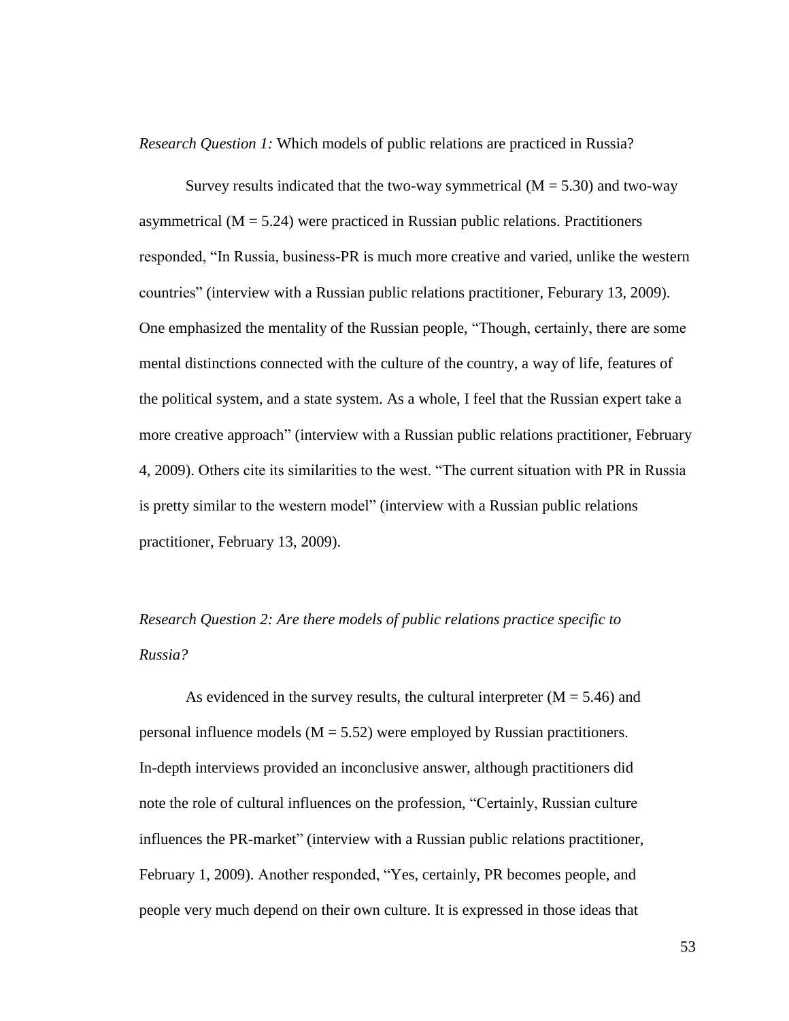*Research Question 1:* Which models of public relations are practiced in Russia?

Survey results indicated that the two-way symmetrical  $(M = 5.30)$  and two-way asymmetrical ( $M = 5.24$ ) were practiced in Russian public relations. Practitioners responded, "In Russia, business-PR is much more creative and varied, unlike the western countries" (interview with a Russian public relations practitioner, Feburary 13, 2009). One emphasized the mentality of the Russian people, "Though, certainly, there are some mental distinctions connected with the culture of the country, a way of life, features of the political system, and a state system. As a whole, I feel that the Russian expert take a more creative approach" (interview with a Russian public relations practitioner, February 4, 2009). Others cite its similarities to the west. "The current situation with PR in Russia is pretty similar to the western model" (interview with a Russian public relations practitioner, February 13, 2009).

*Research Question 2: Are there models of public relations practice specific to Russia?*

As evidenced in the survey results, the cultural interpreter  $(M = 5.46)$  and personal influence models  $(M = 5.52)$  were employed by Russian practitioners. In-depth interviews provided an inconclusive answer, although practitioners did note the role of cultural influences on the profession, "Certainly, Russian culture influences the PR-market" (interview with a Russian public relations practitioner, February 1, 2009). Another responded, "Yes, certainly, PR becomes people, and people very much depend on their own culture. It is expressed in those ideas that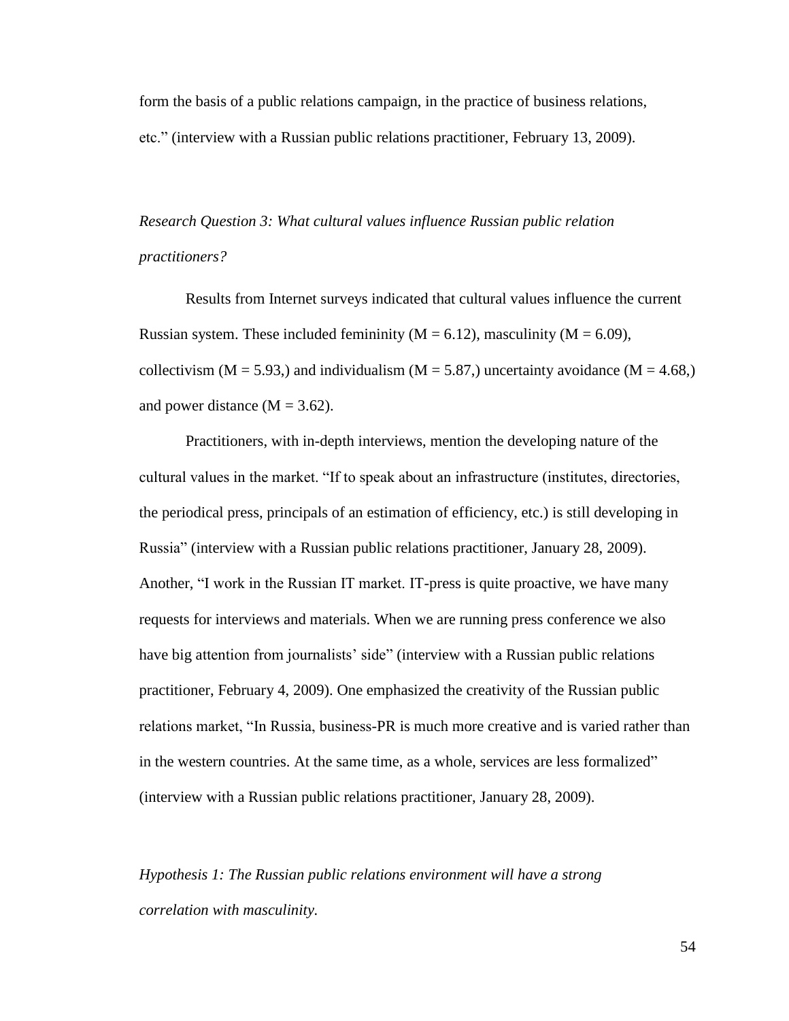form the basis of a public relations campaign, in the practice of business relations, etc.‖ (interview with a Russian public relations practitioner, February 13, 2009).

*Research Question 3: What cultural values influence Russian public relation practitioners?*

Results from Internet surveys indicated that cultural values influence the current Russian system. These included femininity ( $M = 6.12$ ), masculinity ( $M = 6.09$ ), collectivism ( $M = 5.93$ .) and individualism ( $M = 5.87$ .) uncertainty avoidance ( $M = 4.68$ .) and power distance  $(M = 3.62)$ .

Practitioners, with in-depth interviews, mention the developing nature of the cultural values in the market. "If to speak about an infrastructure (institutes, directories, the periodical press, principals of an estimation of efficiency, etc.) is still developing in Russia‖ (interview with a Russian public relations practitioner, January 28, 2009). Another, "I work in the Russian IT market. IT-press is quite proactive, we have many requests for interviews and materials. When we are running press conference we also have big attention from journalists' side" (interview with a Russian public relations practitioner, February 4, 2009). One emphasized the creativity of the Russian public relations market, "In Russia, business-PR is much more creative and is varied rather than in the western countries. At the same time, as a whole, services are less formalized" (interview with a Russian public relations practitioner, January 28, 2009).

*Hypothesis 1: The Russian public relations environment will have a strong correlation with masculinity.*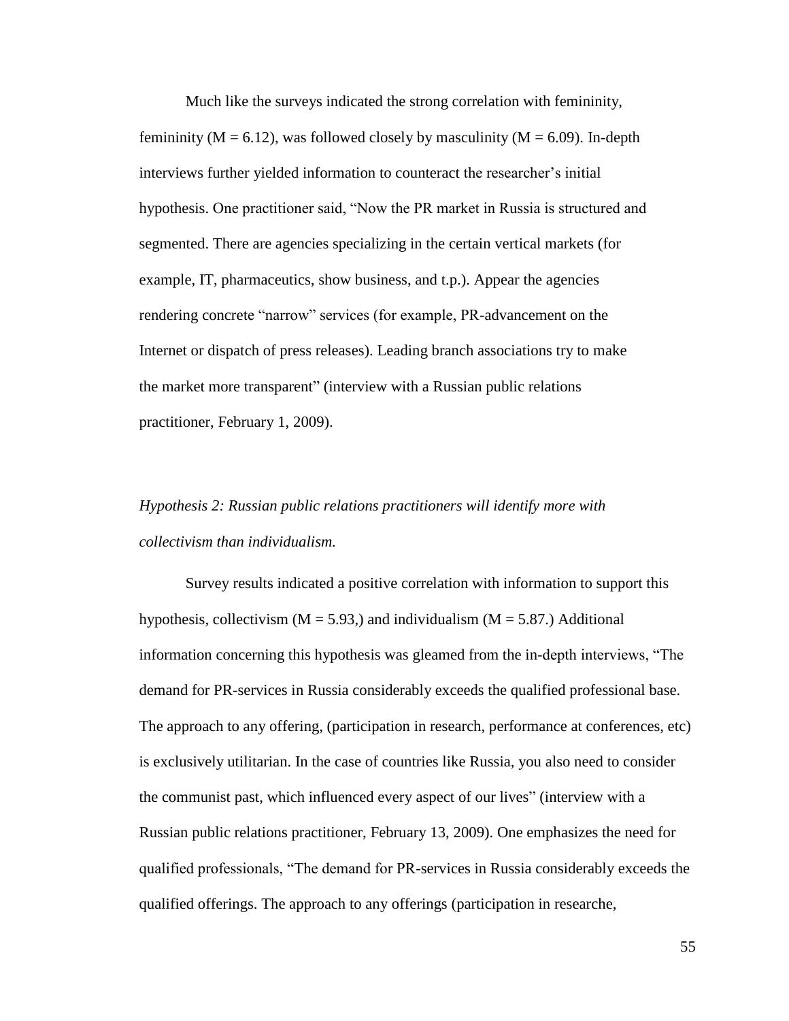Much like the surveys indicated the strong correlation with femininity, femininity ( $M = 6.12$ ), was followed closely by masculinity ( $M = 6.09$ ). In-depth interviews further yielded information to counteract the researcher's initial hypothesis. One practitioner said, "Now the PR market in Russia is structured and segmented. There are agencies specializing in the certain vertical markets (for example, IT, pharmaceutics, show business, and t.p.). Appear the agencies rendering concrete "narrow" services (for example, PR-advancement on the Internet or dispatch of press releases). Leading branch associations try to make the market more transparent" (interview with a Russian public relations practitioner, February 1, 2009).

## *Hypothesis 2: Russian public relations practitioners will identify more with collectivism than individualism.*

Survey results indicated a positive correlation with information to support this hypothesis, collectivism ( $M = 5.93$ ) and individualism ( $M = 5.87$ .) Additional information concerning this hypothesis was gleamed from the in-depth interviews, "The demand for PR-services in Russia considerably exceeds the qualified professional base. The approach to any offering, (participation in research, performance at conferences, etc) is exclusively utilitarian. In the case of countries like Russia, you also need to consider the communist past, which influenced every aspect of our lives‖ (interview with a Russian public relations practitioner, February 13, 2009). One emphasizes the need for qualified professionals, ―The demand for PR-services in Russia considerably exceeds the qualified offerings. The approach to any offerings (participation in researche,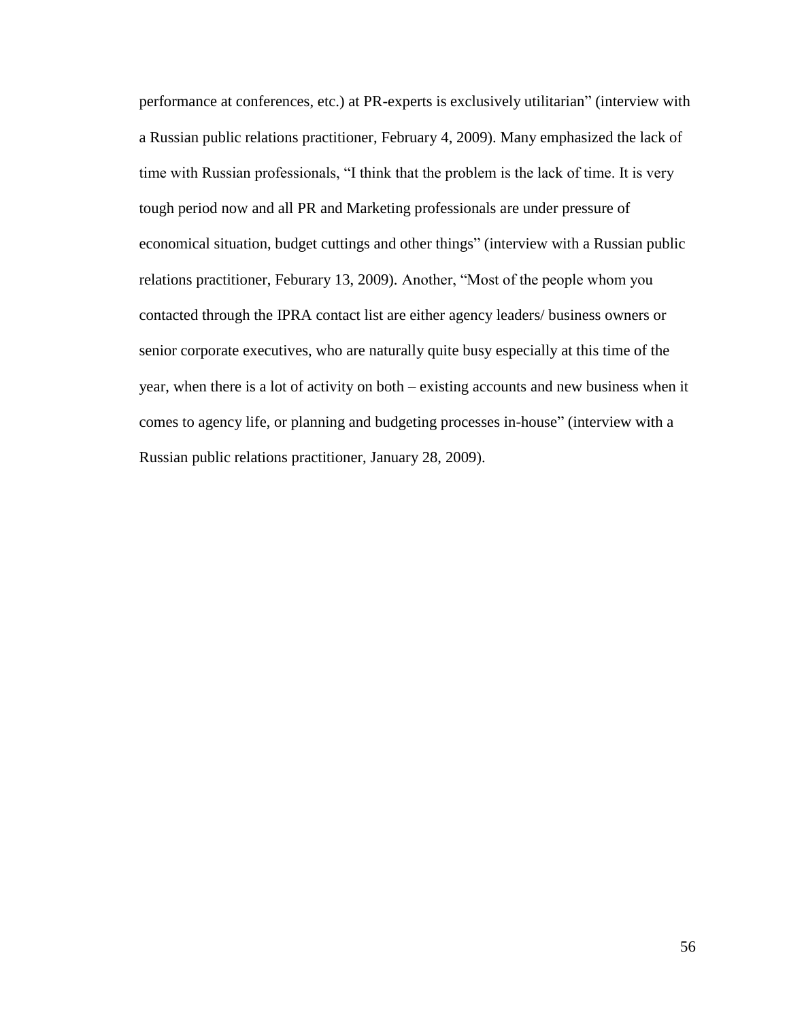performance at conferences, etc.) at PR-experts is exclusively utilitarian" (interview with a Russian public relations practitioner, February 4, 2009). Many emphasized the lack of time with Russian professionals, "I think that the problem is the lack of time. It is very tough period now and all PR and Marketing professionals are under pressure of economical situation, budget cuttings and other things" (interview with a Russian public relations practitioner, Feburary 13, 2009). Another, "Most of the people whom you contacted through the IPRA contact list are either agency leaders/ business owners or senior corporate executives, who are naturally quite busy especially at this time of the year, when there is a lot of activity on both – existing accounts and new business when it comes to agency life, or planning and budgeting processes in-house" (interview with a Russian public relations practitioner, January 28, 2009).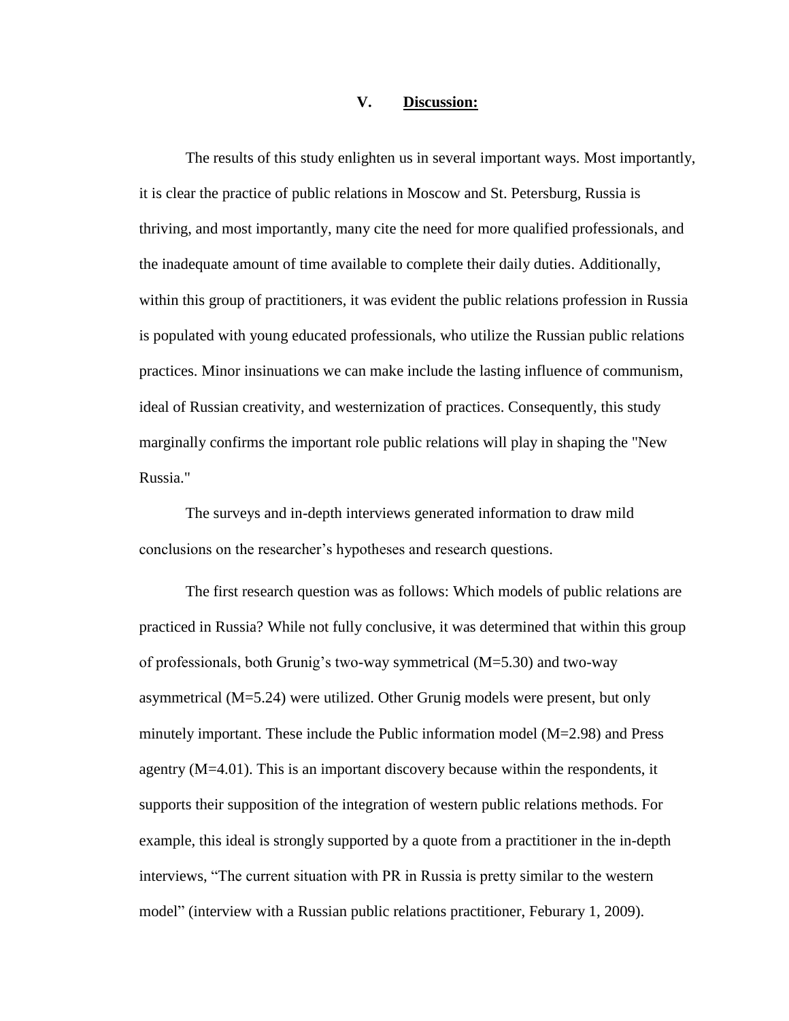## **V. Discussion:**

The results of this study enlighten us in several important ways. Most importantly, it is clear the practice of public relations in Moscow and St. Petersburg, Russia is thriving, and most importantly, many cite the need for more qualified professionals, and the inadequate amount of time available to complete their daily duties. Additionally, within this group of practitioners, it was evident the public relations profession in Russia is populated with young educated professionals, who utilize the Russian public relations practices. Minor insinuations we can make include the lasting influence of communism, ideal of Russian creativity, and westernization of practices. Consequently, this study marginally confirms the important role public relations will play in shaping the "New Russia."

The surveys and in-depth interviews generated information to draw mild conclusions on the researcher's hypotheses and research questions.

The first research question was as follows: Which models of public relations are practiced in Russia? While not fully conclusive, it was determined that within this group of professionals, both Grunig's two-way symmetrical (M=5.30) and two-way asymmetrical (M=5.24) were utilized. Other Grunig models were present, but only minutely important. These include the Public information model (M=2.98) and Press agentry (M=4.01). This is an important discovery because within the respondents, it supports their supposition of the integration of western public relations methods. For example, this ideal is strongly supported by a quote from a practitioner in the in-depth interviews, "The current situation with PR in Russia is pretty similar to the western model" (interview with a Russian public relations practitioner, Feburary 1, 2009).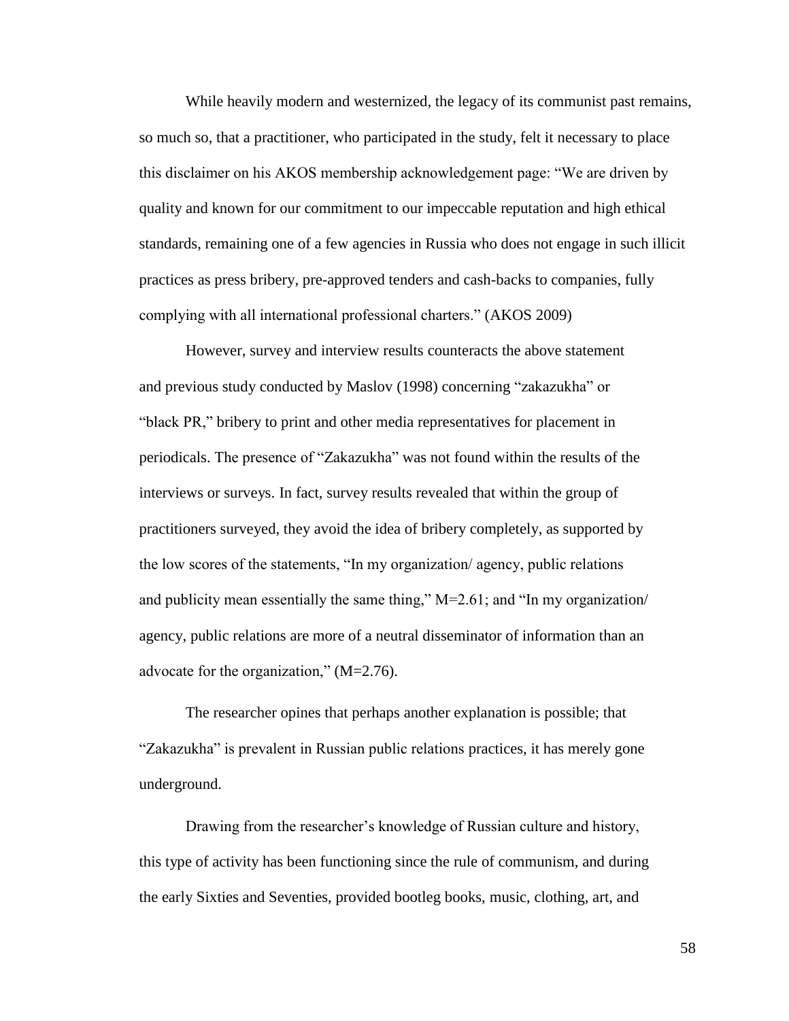While heavily modern and westernized, the legacy of its communist past remains, so much so, that a practitioner, who participated in the study, felt it necessary to place this disclaimer on his AKOS membership acknowledgement page: "We are driven by quality and known for our commitment to our impeccable reputation and high ethical standards, remaining one of a few agencies in Russia who does not engage in such illicit practices as press bribery, pre-approved tenders and cash-backs to companies, fully complying with all international professional charters." (AKOS 2009)

However, survey and interview results counteracts the above statement and previous study conducted by Maslov (1998) concerning "zakazukha" or "black PR," bribery to print and other media representatives for placement in periodicals. The presence of "Zakazukha" was not found within the results of the interviews or surveys. In fact, survey results revealed that within the group of practitioners surveyed, they avoid the idea of bribery completely, as supported by the low scores of the statements, "In my organization/ agency, public relations and publicity mean essentially the same thing,"  $M=2.61$ ; and "In my organization/ agency, public relations are more of a neutral disseminator of information than an advocate for the organization,"  $(M=2.76)$ .

The researcher opines that perhaps another explanation is possible; that "Zakazukha" is prevalent in Russian public relations practices, it has merely gone underground.

Drawing from the researcher's knowledge of Russian culture and history, this type of activity has been functioning since the rule of communism, and during the early Sixties and Seventies, provided bootleg books, music, clothing, art, and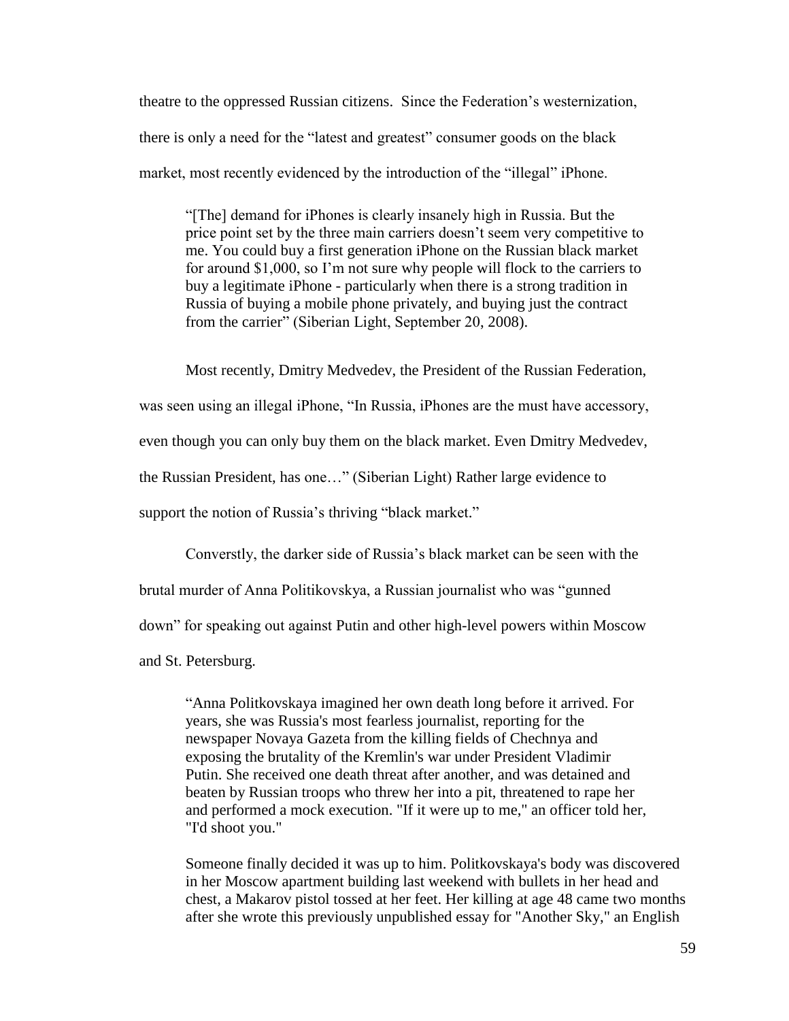theatre to the oppressed Russian citizens. Since the Federation's westernization, there is only a need for the "latest and greatest" consumer goods on the black market, most recently evidenced by the introduction of the "illegal" iPhone.

―[The] demand for iPhones is clearly insanely high in Russia. But the price point set by the three main carriers doesn't seem very competitive to me. You could buy a first generation iPhone on the Russian black market for around \$1,000, so I'm not sure why people will flock to the carriers to buy a legitimate iPhone - particularly when there is a strong tradition in Russia of buying a mobile phone privately, and buying just the contract from the carrier" (Siberian Light, September 20, 2008).

Most recently, Dmitry Medvedev, the President of the Russian Federation, was seen using an illegal iPhone, "In Russia, iPhones are the must have accessory, even though you can only buy them on the black market. Even Dmitry Medvedev, the Russian President, has one…‖ (Siberian Light) Rather large evidence to support the notion of Russia's thriving "black market."

Converstly, the darker side of Russia's black market can be seen with the brutal murder of Anna Politikovskya, a Russian journalist who was "gunned" down‖ for speaking out against Putin and other high-level powers within Moscow and St. Petersburg.

―Anna Politkovskaya imagined her own death long before it arrived. For years, she was Russia's most fearless journalist, reporting for the newspaper Novaya Gazeta from the killing fields of Chechnya and exposing the brutality of the Kremlin's war under President Vladimir Putin. She received one death threat after another, and was detained and beaten by Russian troops who threw her into a pit, threatened to rape her and performed a mock execution. "If it were up to me," an officer told her, "I'd shoot you."

Someone finally decided it was up to him. Politkovskaya's body was discovered in her Moscow apartment building last weekend with bullets in her head and chest, a Makarov pistol tossed at her feet. Her killing at age 48 came two months after she wrote this previously unpublished essay for "Another Sky," an English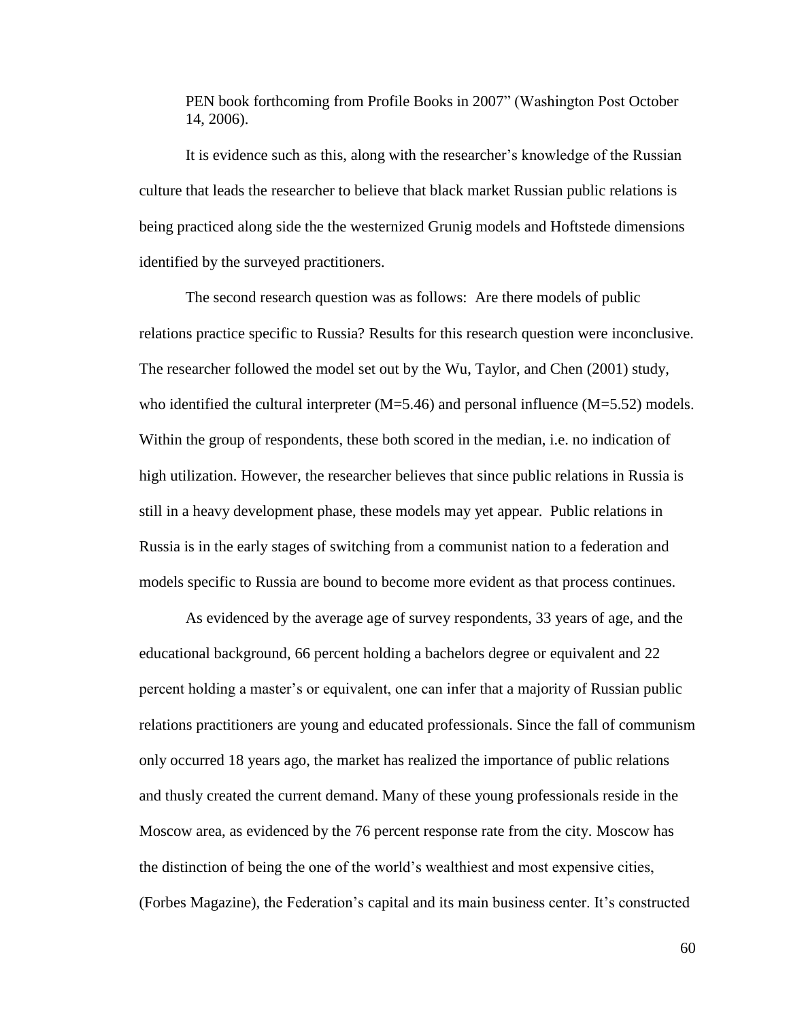PEN book forthcoming from Profile Books in 2007" (Washington Post October 14, 2006).

It is evidence such as this, along with the researcher's knowledge of the Russian culture that leads the researcher to believe that black market Russian public relations is being practiced along side the the westernized Grunig models and Hoftstede dimensions identified by the surveyed practitioners.

The second research question was as follows: Are there models of public relations practice specific to Russia? Results for this research question were inconclusive. The researcher followed the model set out by the Wu, Taylor, and Chen (2001) study, who identified the cultural interpreter  $(M=5.46)$  and personal influence  $(M=5.52)$  models. Within the group of respondents, these both scored in the median, i.e. no indication of high utilization. However, the researcher believes that since public relations in Russia is still in a heavy development phase, these models may yet appear. Public relations in Russia is in the early stages of switching from a communist nation to a federation and models specific to Russia are bound to become more evident as that process continues.

As evidenced by the average age of survey respondents, 33 years of age, and the educational background, 66 percent holding a bachelors degree or equivalent and 22 percent holding a master's or equivalent, one can infer that a majority of Russian public relations practitioners are young and educated professionals. Since the fall of communism only occurred 18 years ago, the market has realized the importance of public relations and thusly created the current demand. Many of these young professionals reside in the Moscow area, as evidenced by the 76 percent response rate from the city. Moscow has the distinction of being the one of the world's wealthiest and most expensive cities, (Forbes Magazine), the Federation's capital and its main business center. It's constructed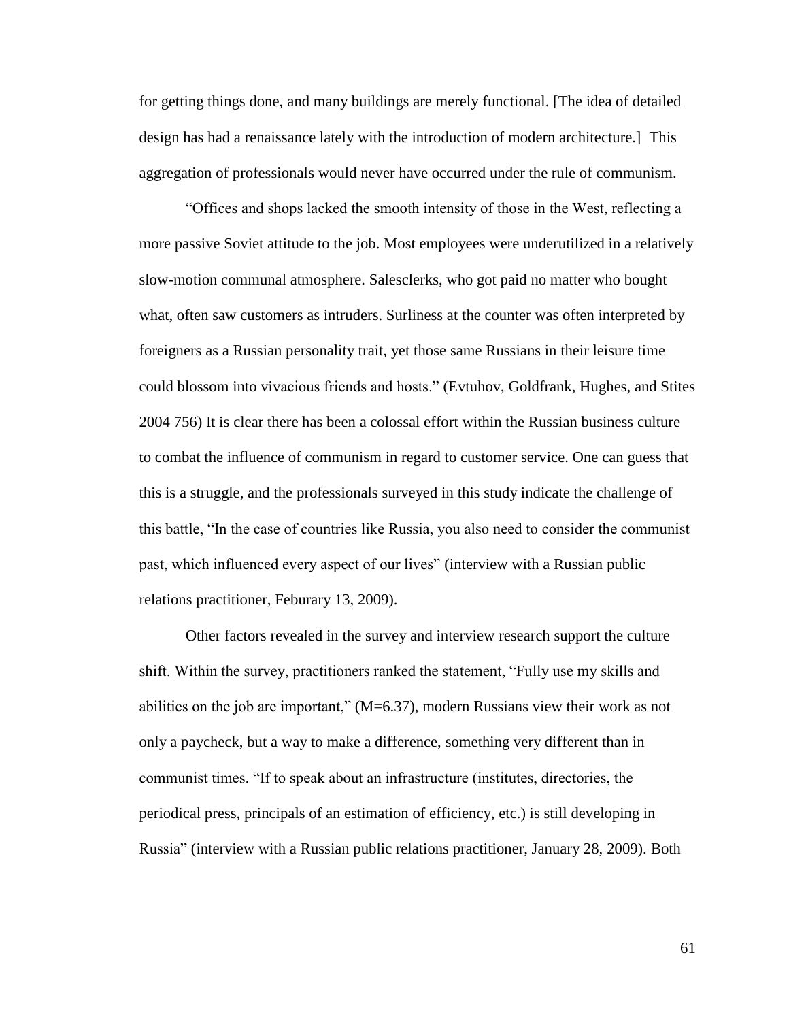for getting things done, and many buildings are merely functional. [The idea of detailed design has had a renaissance lately with the introduction of modern architecture.] This aggregation of professionals would never have occurred under the rule of communism.

―Offices and shops lacked the smooth intensity of those in the West, reflecting a more passive Soviet attitude to the job. Most employees were underutilized in a relatively slow-motion communal atmosphere. Salesclerks, who got paid no matter who bought what, often saw customers as intruders. Surliness at the counter was often interpreted by foreigners as a Russian personality trait, yet those same Russians in their leisure time could blossom into vivacious friends and hosts.‖ (Evtuhov, Goldfrank, Hughes, and Stites 2004 756) It is clear there has been a colossal effort within the Russian business culture to combat the influence of communism in regard to customer service. One can guess that this is a struggle, and the professionals surveyed in this study indicate the challenge of this battle, "In the case of countries like Russia, you also need to consider the communist past, which influenced every aspect of our lives" (interview with a Russian public relations practitioner, Feburary 13, 2009).

Other factors revealed in the survey and interview research support the culture shift. Within the survey, practitioners ranked the statement, "Fully use my skills and abilities on the job are important,"  $(M=6.37)$ , modern Russians view their work as not only a paycheck, but a way to make a difference, something very different than in communist times. ―If to speak about an infrastructure (institutes, directories, the periodical press, principals of an estimation of efficiency, etc.) is still developing in Russia‖ (interview with a Russian public relations practitioner, January 28, 2009). Both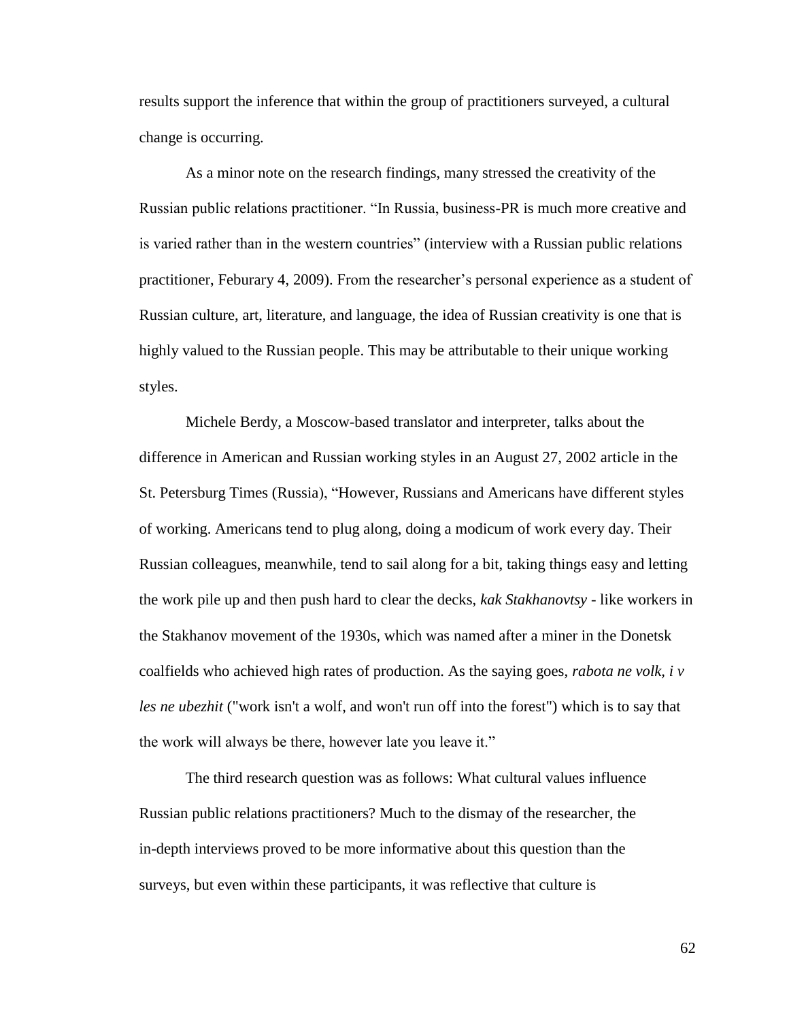results support the inference that within the group of practitioners surveyed, a cultural change is occurring.

As a minor note on the research findings, many stressed the creativity of the Russian public relations practitioner. "In Russia, business-PR is much more creative and is varied rather than in the western countries" (interview with a Russian public relations practitioner, Feburary 4, 2009). From the researcher's personal experience as a student of Russian culture, art, literature, and language, the idea of Russian creativity is one that is highly valued to the Russian people. This may be attributable to their unique working styles.

Michele Berdy, a Moscow-based translator and interpreter, talks about the difference in American and Russian working styles in an August 27, 2002 article in the St. Petersburg Times (Russia), "However, Russians and Americans have different styles of working. Americans tend to plug along, doing a modicum of work every day. Their Russian colleagues, meanwhile, tend to sail along for a bit, taking things easy and letting the work pile up and then push hard to clear the decks, *kak Stakhanovtsy* - like workers in the Stakhanov movement of the 1930s, which was named after a miner in the Donetsk coalfields who achieved high rates of production. As the saying goes, *rabota ne volk, i v les ne ubezhit* ("work isn't a wolf, and won't run off into the forest") which is to say that the work will always be there, however late you leave it."

The third research question was as follows: What cultural values influence Russian public relations practitioners? Much to the dismay of the researcher, the in-depth interviews proved to be more informative about this question than the surveys, but even within these participants, it was reflective that culture is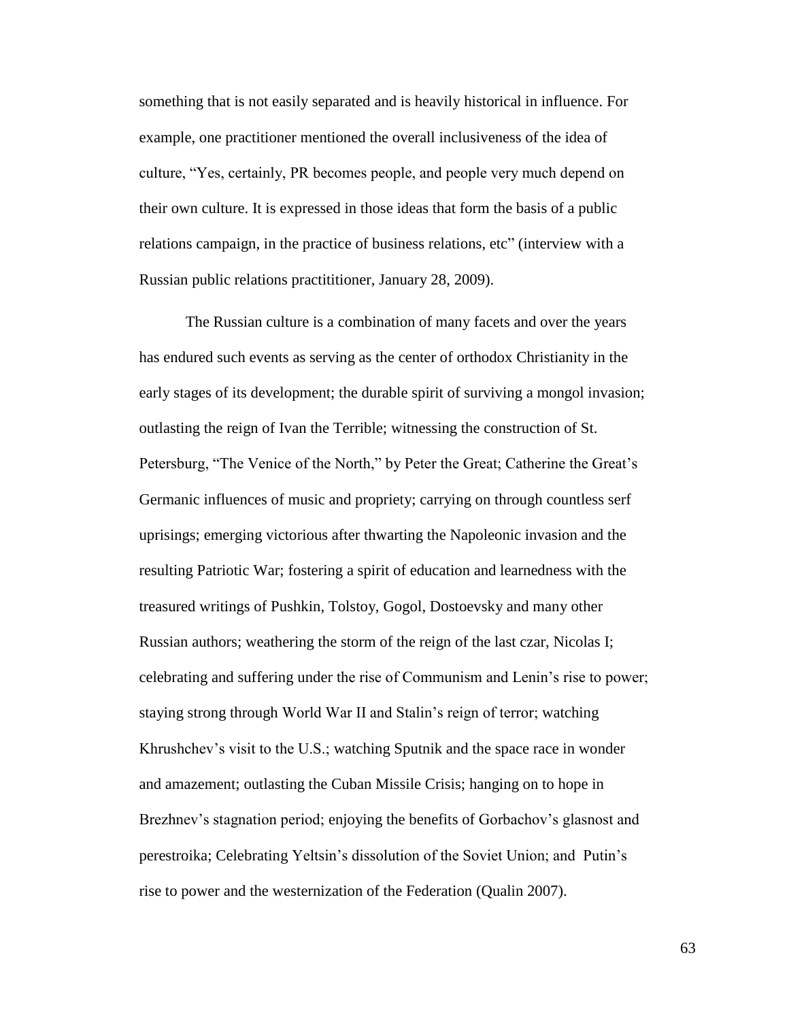something that is not easily separated and is heavily historical in influence. For example, one practitioner mentioned the overall inclusiveness of the idea of culture, "Yes, certainly, PR becomes people, and people very much depend on their own culture. It is expressed in those ideas that form the basis of a public relations campaign, in the practice of business relations, etc" (interview with a Russian public relations practititioner, January 28, 2009).

The Russian culture is a combination of many facets and over the years has endured such events as serving as the center of orthodox Christianity in the early stages of its development; the durable spirit of surviving a mongol invasion; outlasting the reign of Ivan the Terrible; witnessing the construction of St. Petersburg, "The Venice of the North," by Peter the Great; Catherine the Great's Germanic influences of music and propriety; carrying on through countless serf uprisings; emerging victorious after thwarting the Napoleonic invasion and the resulting Patriotic War; fostering a spirit of education and learnedness with the treasured writings of Pushkin, Tolstoy, Gogol, Dostoevsky and many other Russian authors; weathering the storm of the reign of the last czar, Nicolas I; celebrating and suffering under the rise of Communism and Lenin's rise to power; staying strong through World War II and Stalin's reign of terror; watching Khrushchev's visit to the U.S.; watching Sputnik and the space race in wonder and amazement; outlasting the Cuban Missile Crisis; hanging on to hope in Brezhnev's stagnation period; enjoying the benefits of Gorbachov's glasnost and perestroika; Celebrating Yeltsin's dissolution of the Soviet Union; and Putin's rise to power and the westernization of the Federation (Qualin 2007).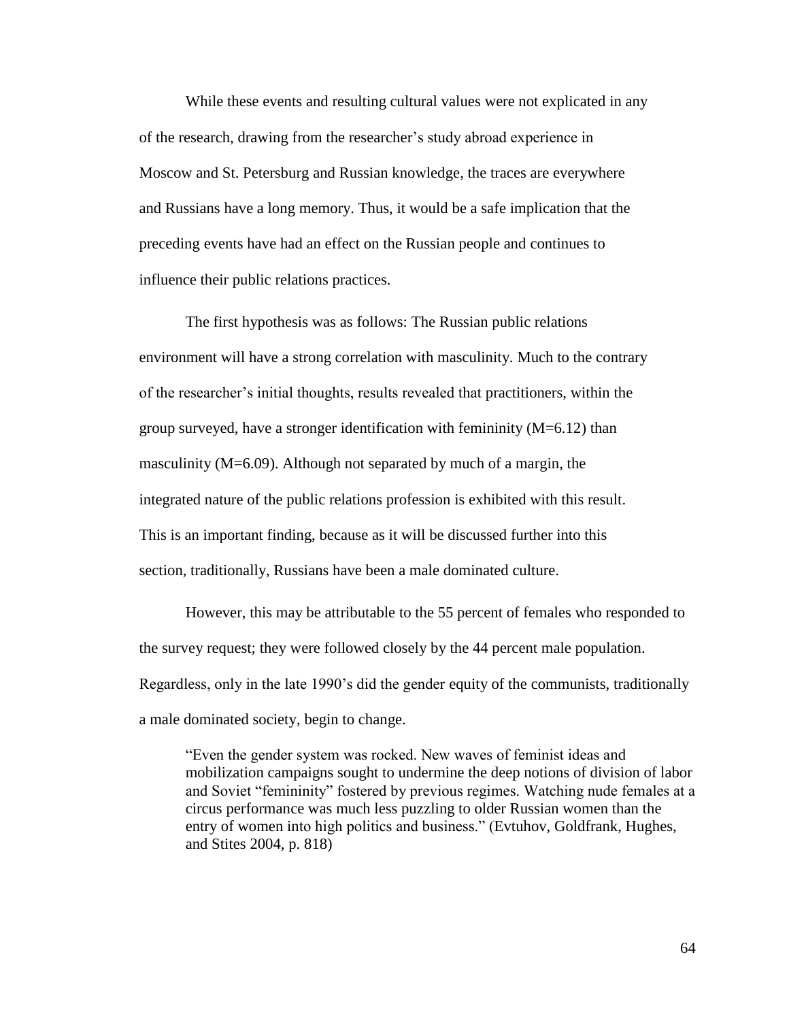While these events and resulting cultural values were not explicated in any of the research, drawing from the researcher's study abroad experience in Moscow and St. Petersburg and Russian knowledge, the traces are everywhere and Russians have a long memory. Thus, it would be a safe implication that the preceding events have had an effect on the Russian people and continues to influence their public relations practices.

The first hypothesis was as follows: The Russian public relations environment will have a strong correlation with masculinity. Much to the contrary of the researcher's initial thoughts, results revealed that practitioners, within the group surveyed, have a stronger identification with femininity  $(M=6.12)$  than masculinity (M=6.09). Although not separated by much of a margin, the integrated nature of the public relations profession is exhibited with this result. This is an important finding, because as it will be discussed further into this section, traditionally, Russians have been a male dominated culture.

However, this may be attributable to the 55 percent of females who responded to the survey request; they were followed closely by the 44 percent male population. Regardless, only in the late 1990's did the gender equity of the communists, traditionally a male dominated society, begin to change.

―Even the gender system was rocked. New waves of feminist ideas and mobilization campaigns sought to undermine the deep notions of division of labor and Soviet "femininity" fostered by previous regimes. Watching nude females at a circus performance was much less puzzling to older Russian women than the entry of women into high politics and business." (Evtuhov, Goldfrank, Hughes, and Stites 2004, p. 818)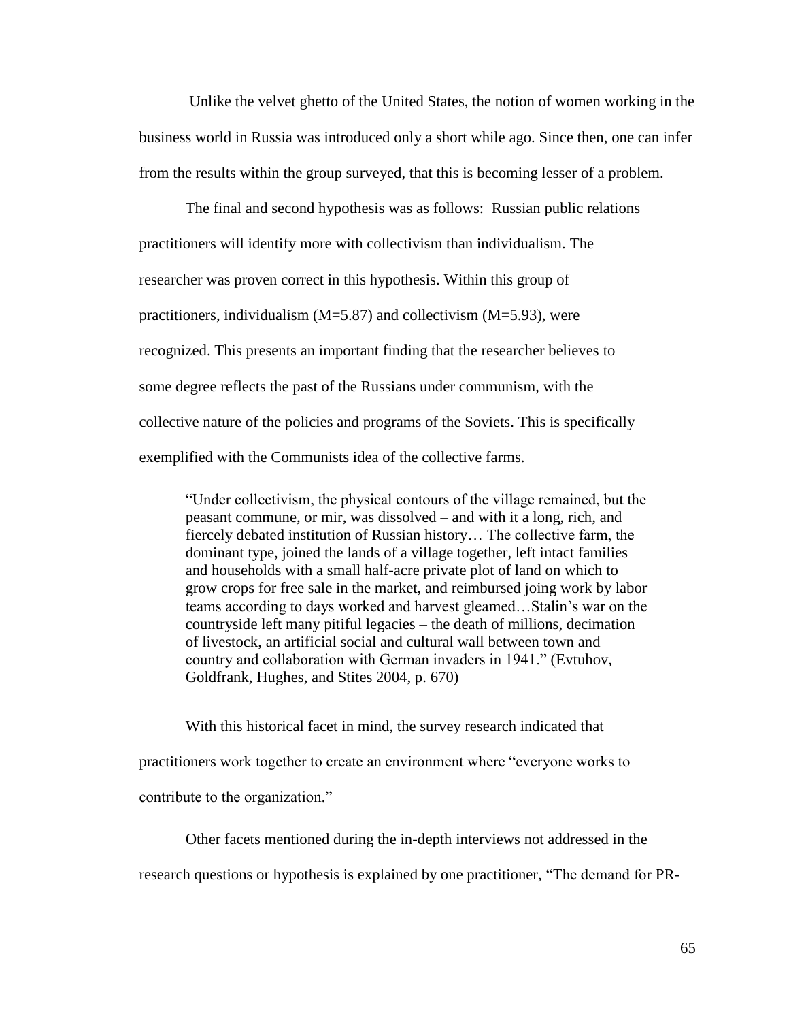Unlike the velvet ghetto of the United States, the notion of women working in the business world in Russia was introduced only a short while ago. Since then, one can infer from the results within the group surveyed, that this is becoming lesser of a problem.

The final and second hypothesis was as follows: Russian public relations practitioners will identify more with collectivism than individualism. The researcher was proven correct in this hypothesis. Within this group of practitioners, individualism (M=5.87) and collectivism (M=5.93), were recognized. This presents an important finding that the researcher believes to some degree reflects the past of the Russians under communism, with the collective nature of the policies and programs of the Soviets. This is specifically exemplified with the Communists idea of the collective farms.

―Under collectivism, the physical contours of the village remained, but the peasant commune, or mir, was dissolved – and with it a long, rich, and fiercely debated institution of Russian history… The collective farm, the dominant type, joined the lands of a village together, left intact families and households with a small half-acre private plot of land on which to grow crops for free sale in the market, and reimbursed joing work by labor teams according to days worked and harvest gleamed…Stalin's war on the countryside left many pitiful legacies – the death of millions, decimation of livestock, an artificial social and cultural wall between town and country and collaboration with German invaders in 1941." (Evtuhov, Goldfrank, Hughes, and Stites 2004, p. 670)

With this historical facet in mind, the survey research indicated that

practitioners work together to create an environment where "everyone works to

contribute to the organization."

Other facets mentioned during the in-depth interviews not addressed in the

research questions or hypothesis is explained by one practitioner, "The demand for PR-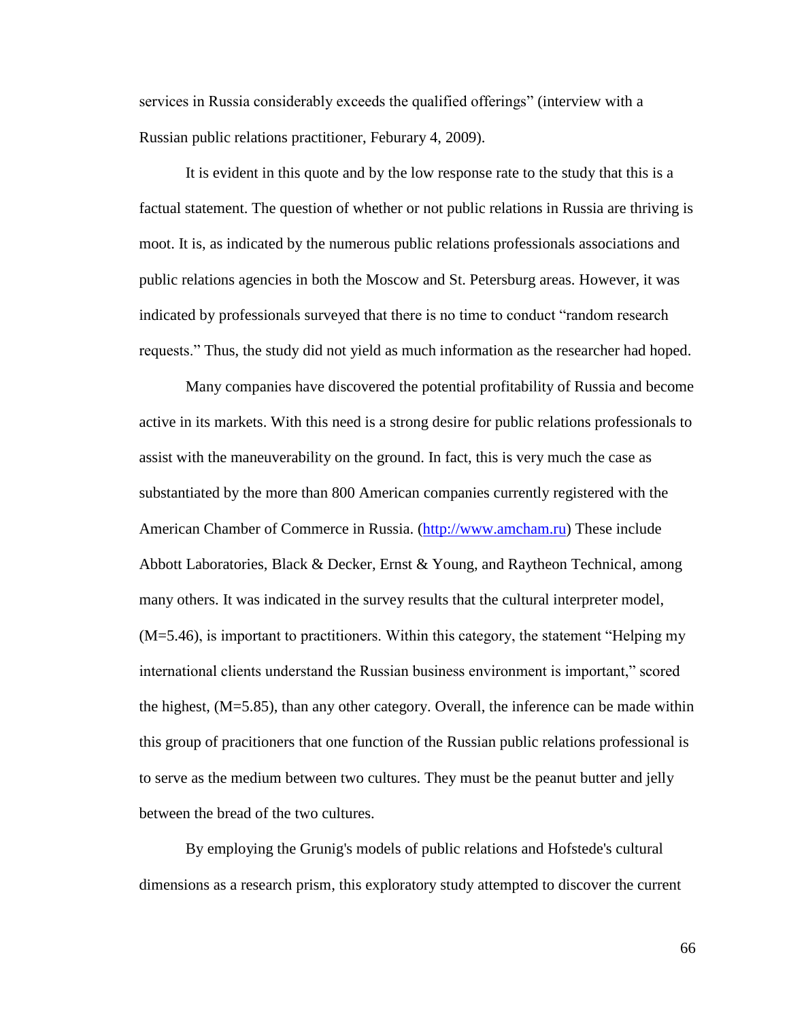services in Russia considerably exceeds the qualified offerings" (interview with a Russian public relations practitioner, Feburary 4, 2009).

It is evident in this quote and by the low response rate to the study that this is a factual statement. The question of whether or not public relations in Russia are thriving is moot. It is, as indicated by the numerous public relations professionals associations and public relations agencies in both the Moscow and St. Petersburg areas. However, it was indicated by professionals surveyed that there is no time to conduct "random research" requests." Thus, the study did not yield as much information as the researcher had hoped.

Many companies have discovered the potential profitability of Russia and become active in its markets. With this need is a strong desire for public relations professionals to assist with the maneuverability on the ground. In fact, this is very much the case as substantiated by the more than 800 American companies currently registered with the American Chamber of Commerce in Russia. [\(http://www.amcham.ru\)](http://www.amcham.ru/) These include Abbott Laboratories, Black & Decker, Ernst & Young, and Raytheon Technical, among many others. It was indicated in the survey results that the cultural interpreter model,  $(M=5.46)$ , is important to practitioners. Within this category, the statement "Helping my international clients understand the Russian business environment is important," scored the highest, (M=5.85), than any other category. Overall, the inference can be made within this group of pracitioners that one function of the Russian public relations professional is to serve as the medium between two cultures. They must be the peanut butter and jelly between the bread of the two cultures.

By employing the Grunig's models of public relations and Hofstede's cultural dimensions as a research prism, this exploratory study attempted to discover the current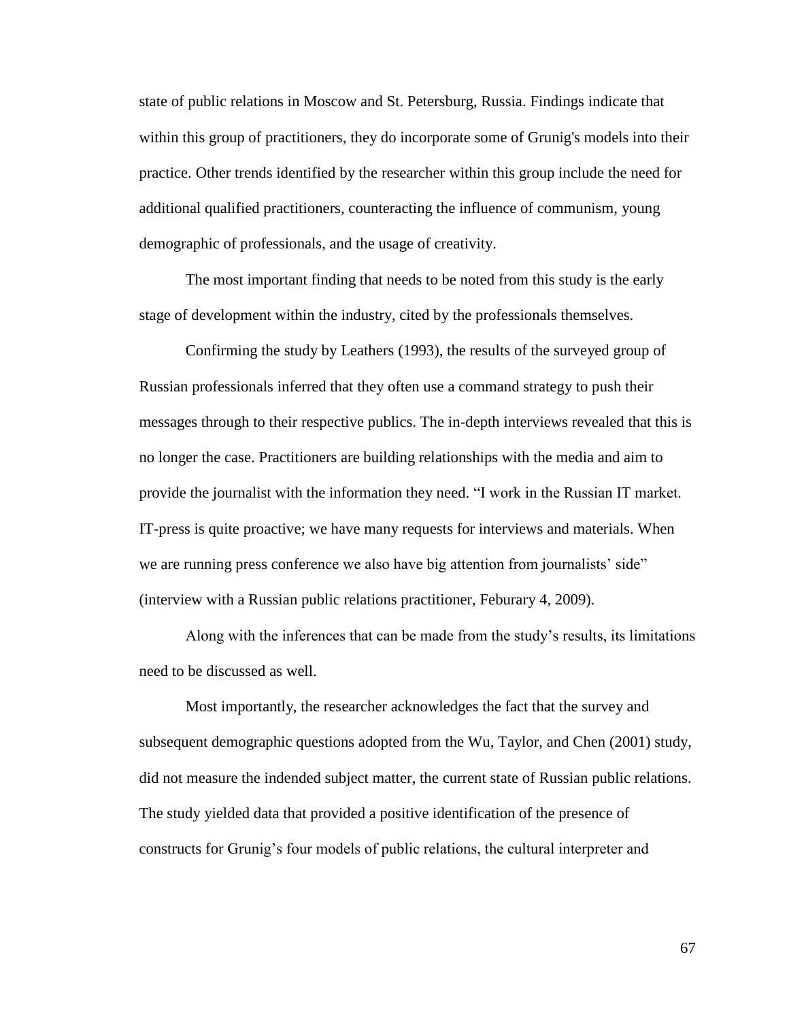state of public relations in Moscow and St. Petersburg, Russia. Findings indicate that within this group of practitioners, they do incorporate some of Grunig's models into their practice. Other trends identified by the researcher within this group include the need for additional qualified practitioners, counteracting the influence of communism, young demographic of professionals, and the usage of creativity.

The most important finding that needs to be noted from this study is the early stage of development within the industry, cited by the professionals themselves.

Confirming the study by Leathers (1993), the results of the surveyed group of Russian professionals inferred that they often use a command strategy to push their messages through to their respective publics. The in-depth interviews revealed that this is no longer the case. Practitioners are building relationships with the media and aim to provide the journalist with the information they need. "I work in the Russian IT market. IT-press is quite proactive; we have many requests for interviews and materials. When we are running press conference we also have big attention from journalists' side" (interview with a Russian public relations practitioner, Feburary 4, 2009).

Along with the inferences that can be made from the study's results, its limitations need to be discussed as well.

Most importantly, the researcher acknowledges the fact that the survey and subsequent demographic questions adopted from the Wu, Taylor, and Chen (2001) study, did not measure the indended subject matter, the current state of Russian public relations. The study yielded data that provided a positive identification of the presence of constructs for Grunig's four models of public relations, the cultural interpreter and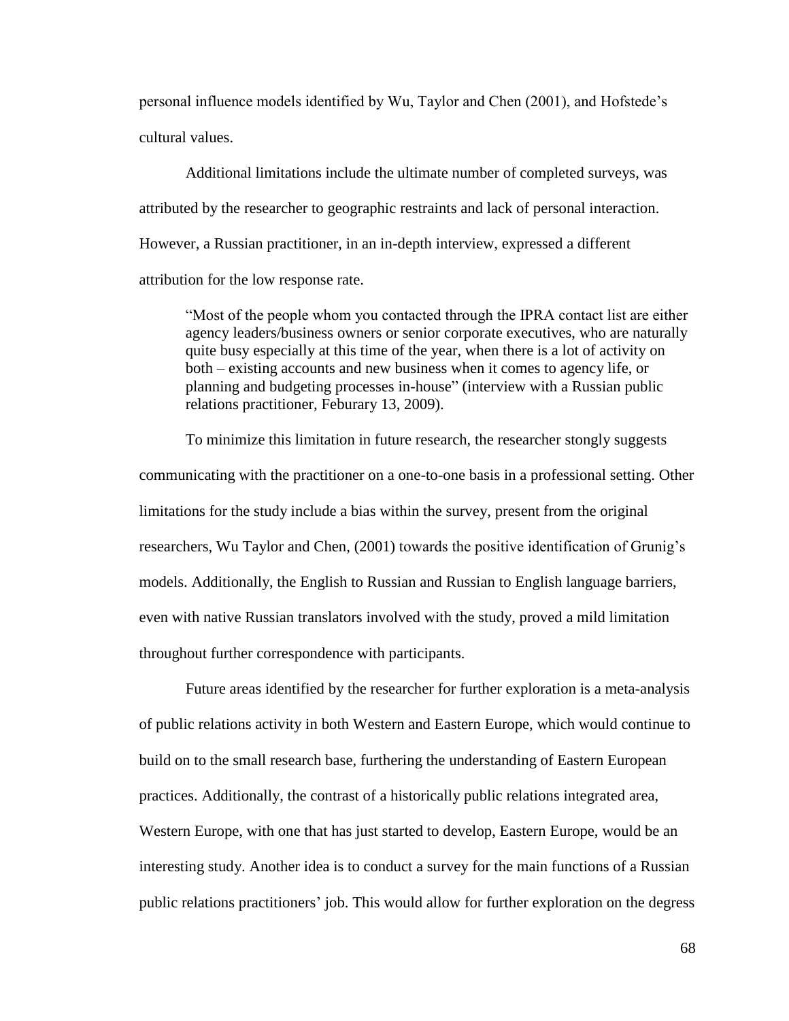personal influence models identified by Wu, Taylor and Chen (2001), and Hofstede's cultural values.

Additional limitations include the ultimate number of completed surveys, was attributed by the researcher to geographic restraints and lack of personal interaction. However, a Russian practitioner, in an in-depth interview, expressed a different attribution for the low response rate.

―Most of the people whom you contacted through the IPRA contact list are either agency leaders/business owners or senior corporate executives, who are naturally quite busy especially at this time of the year, when there is a lot of activity on both – existing accounts and new business when it comes to agency life, or planning and budgeting processes in-house" (interview with a Russian public relations practitioner, Feburary 13, 2009).

To minimize this limitation in future research, the researcher stongly suggests communicating with the practitioner on a one-to-one basis in a professional setting. Other limitations for the study include a bias within the survey, present from the original researchers, Wu Taylor and Chen, (2001) towards the positive identification of Grunig's models. Additionally, the English to Russian and Russian to English language barriers, even with native Russian translators involved with the study, proved a mild limitation throughout further correspondence with participants.

Future areas identified by the researcher for further exploration is a meta-analysis of public relations activity in both Western and Eastern Europe, which would continue to build on to the small research base, furthering the understanding of Eastern European practices. Additionally, the contrast of a historically public relations integrated area, Western Europe, with one that has just started to develop, Eastern Europe, would be an interesting study. Another idea is to conduct a survey for the main functions of a Russian public relations practitioners' job. This would allow for further exploration on the degress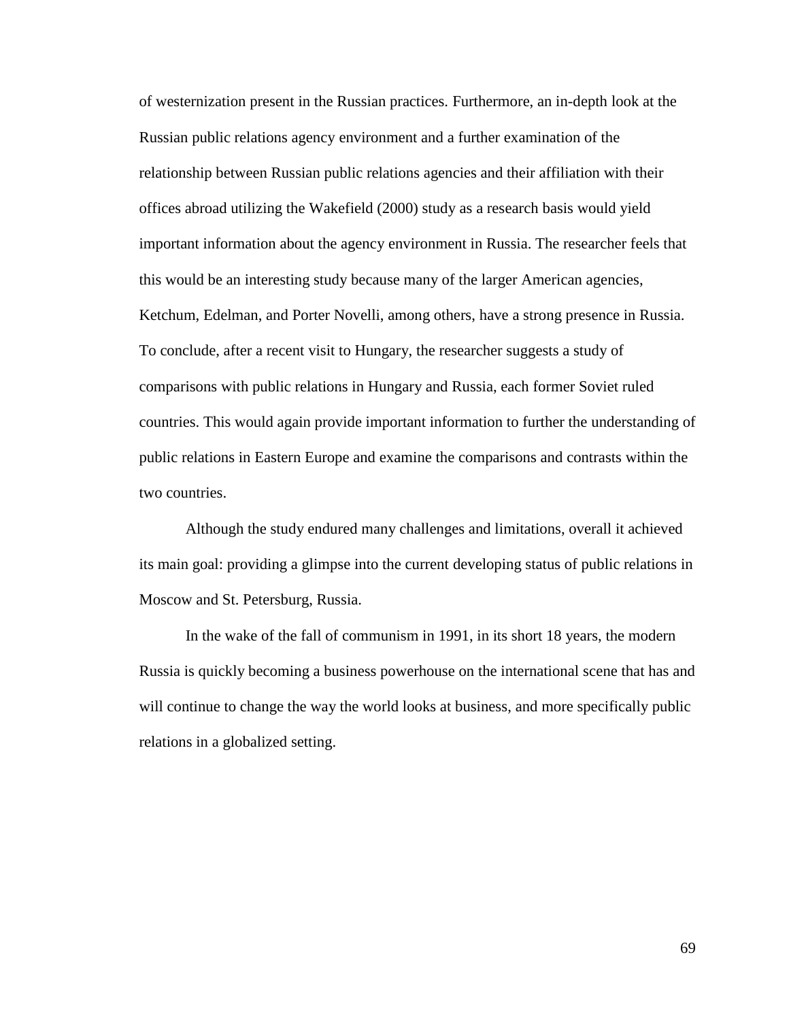of westernization present in the Russian practices. Furthermore, an in-depth look at the Russian public relations agency environment and a further examination of the relationship between Russian public relations agencies and their affiliation with their offices abroad utilizing the Wakefield (2000) study as a research basis would yield important information about the agency environment in Russia. The researcher feels that this would be an interesting study because many of the larger American agencies, Ketchum, Edelman, and Porter Novelli, among others, have a strong presence in Russia. To conclude, after a recent visit to Hungary, the researcher suggests a study of comparisons with public relations in Hungary and Russia, each former Soviet ruled countries. This would again provide important information to further the understanding of public relations in Eastern Europe and examine the comparisons and contrasts within the two countries.

Although the study endured many challenges and limitations, overall it achieved its main goal: providing a glimpse into the current developing status of public relations in Moscow and St. Petersburg, Russia.

In the wake of the fall of communism in 1991, in its short 18 years, the modern Russia is quickly becoming a business powerhouse on the international scene that has and will continue to change the way the world looks at business, and more specifically public relations in a globalized setting.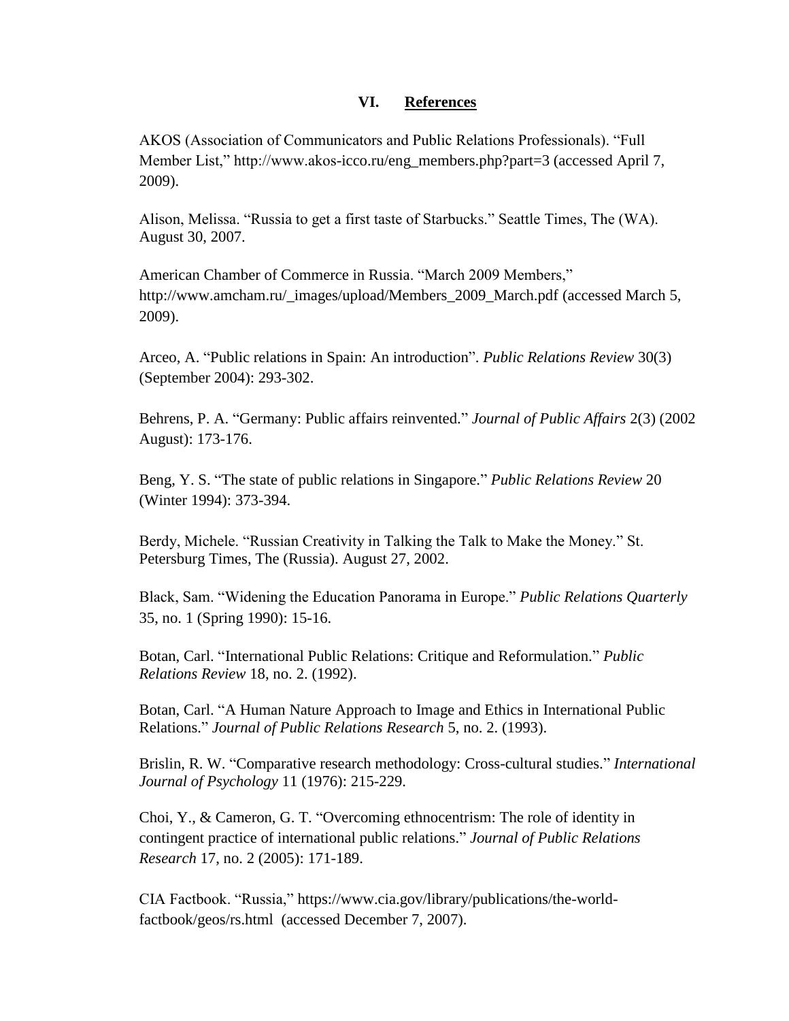## **VI. References**

AKOS (Association of Communicators and Public Relations Professionals). ―Full Member List," http://www.akos-icco.ru/eng\_members.php?part=3 (accessed April 7, 2009).

Alison, Melissa. "Russia to get a first taste of Starbucks." Seattle Times, The (WA). August 30, 2007.

American Chamber of Commerce in Russia. "March 2009 Members," http://www.amcham.ru/\_images/upload/Members\_2009\_March.pdf (accessed March 5, 2009).

Arceo, A. "Public relations in Spain: An introduction". *Public Relations Review* 30(3) (September 2004): 293-302.

Behrens, P. A. "Germany: Public affairs reinvented." *Journal of Public Affairs* 2(3) (2002 August): 173-176.

Beng, Y. S. "The state of public relations in Singapore." *Public Relations Review* 20 (Winter 1994): 373-394.

Berdy, Michele. "Russian Creativity in Talking the Talk to Make the Money." St. Petersburg Times, The (Russia). August 27, 2002.

Black, Sam. "Widening the Education Panorama in Europe." *Public Relations Quarterly* 35, no. 1 (Spring 1990): 15-16.

Botan, Carl. "International Public Relations: Critique and Reformulation." *Public Relations Review* 18, no. 2. (1992).

Botan, Carl. "A Human Nature Approach to Image and Ethics in International Public [Relations.‖](http://web.ebscohost.com.proxy.bsu.edu/ehost/viewarticle?data=dGJyMPPp44rp2%2fdV0%2bnjisfk5Ie42N%2bE6qTreefkrHrx6%2bt55%2bS%2bTK2rrUquprc4r6e4S7Kws0iexss%2b8ujfhvHX4Yzn5eyB4rOySbess0%2bvr68%2b6tfsf7vb7D7i2LuN5N6kjN%2fdu1nMnN%2bGu6yyS7Cqs1Ck3O2K69fyVeTr6oTy2%2faM&hid=112) *Journal of Public Relations Research* 5, no. 2. (1993).

Brislin, R. W. "Comparative research methodology: Cross-cultural studies." *International Journal of Psychology* 11 (1976): 215-229.

Choi, Y., & Cameron, G. T. "Overcoming ethnocentrism: The role of identity in contingent practice of international public relations.‖ *Journal of Public Relations Research* 17, no. 2 (2005): 171-189.

CIA Factbook. "Russia," [https://www.cia.gov/library/publications/the-world](https://www.cia.gov/library/publications/the-world-factbook/geos/rs.html)[factbook/geos/rs.html](https://www.cia.gov/library/publications/the-world-factbook/geos/rs.html) (accessed December 7, 2007).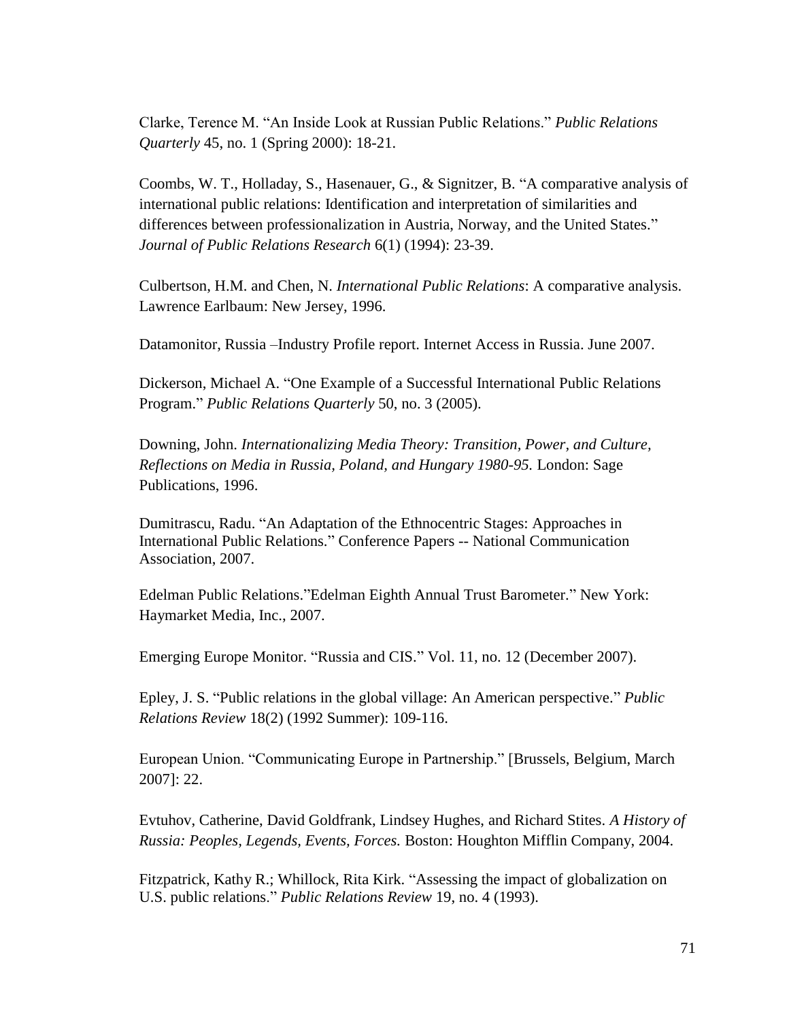Clarke, Terence M. ―An Inside Look at Russian Public Relations.‖ *Public Relations Quarterly* 45, no. 1 (Spring 2000): 18-21.

Coombs, W. T., Holladay, S., Hasenauer, G., & Signitzer, B. "A comparative analysis of international public relations: Identification and interpretation of similarities and differences between professionalization in Austria, Norway, and the United States." *Journal of Public Relations Research* 6(1) (1994): 23-39.

Culbertson, H.M. and Chen, N. *International Public Relations*: A comparative analysis. Lawrence Earlbaum: New Jersey, 1996.

Datamonitor, Russia –Industry Profile report. Internet Access in Russia. June 2007.

Dickerson, Michael A. "One Example of a Successful International Public Relations Program.‖ *Public Relations Quarterly* 50, no. 3 (2005).

Downing, John. *Internationalizing Media Theory: Transition, Power, and Culture, Reflections on Media in Russia, Poland, and Hungary 1980-95.* London: Sage Publications, 1996.

Dumitrascu, Radu. "An Adaptation of the Ethnocentric Stages: Approaches in International Public Relations.‖ Conference Papers -- National Communication Association, 2007.

Edelman Public Relations."Edelman Eighth Annual Trust Barometer." New York: Haymarket Media, Inc., 2007.

Emerging Europe Monitor. "Russia and CIS." Vol. 11, no. 12 (December 2007).

Epley, J. S. "Public relations in the global village: An American perspective." *Public Relations Review* 18(2) (1992 Summer): 109-116.

European Union. "Communicating Europe in Partnership." [Brussels, Belgium, March] 2007]: 22.

Evtuhov, Catherine, David Goldfrank, Lindsey Hughes, and Richard Stites. *A History of Russia: Peoples, Legends, Events, Forces.* Boston: Houghton Mifflin Company, 2004.

Fitzpatrick, Kathy R.; Whillock, Rita Kirk. "Assessing the impact of globalization on [U.S. public relations.‖](http://web.ebscohost.com.proxy.bsu.edu/ehost/viewarticle?data=dGJyMPPp44rp2%2fdV0%2bnjisfk5Ie42N%2bE6qTreefkrHrx6%2bt55%2bS%2bTK2rrUquprc4r6e4S7Kws0iexss%2b8ujfhvHX4Yzn5eyB4rOySbess0%2bvr68%2b6tfsf7vb7D7i2LuN5N6kjN%2fdu1nMnN%2bGu6%2bySa6os02vqLU%2b5OXwhd%2fqu37z4uqM4%2b7y&hid=112) *Public Relations Review* 19, no. 4 (1993).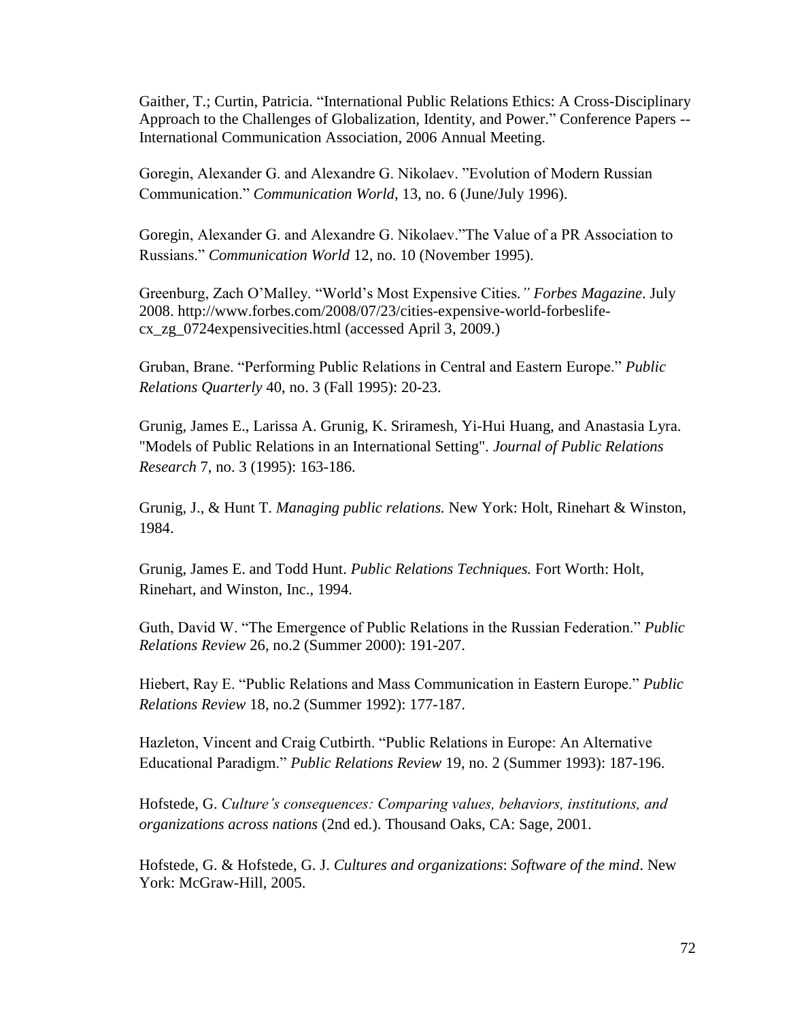Gaither, T.; Curtin, Patricia. "International Public Relations Ethics: A Cross-Disciplinary Approach to the Challenges of Globalization, Identity, and Power." Conference Papers --International Communication Association, 2006 Annual Meeting.

Goregin, Alexander G. and Alexandre G. Nikolaev. "Evolution of Modern Russian Communication.‖ *Communication World*, 13, no. 6 (June/July 1996).

Goregin, Alexander G. and Alexandre G. Nikolaev."The Value of a PR Association to Russians.‖ *Communication World* 12, no. 10 (November 1995).

Greenburg, Zach O'Malley. ―World's Most Expensive Cities*." Forbes Magazine*. July 2008. http://www.forbes.com/2008/07/23/cities-expensive-world-forbeslifecx\_zg\_0724expensivecities.html (accessed April 3, 2009.)

Gruban, Brane. "Performing Public Relations in Central and Eastern Europe." *Public Relations Quarterly* 40, no. 3 (Fall 1995): 20-23.

Grunig, James E., Larissa A. Grunig, K. Sriramesh, Yi-Hui Huang, and Anastasia Lyra. "Models of Public Relations in an International Setting". *Journal of Public Relations Research* 7, no. 3 (1995): 163-186.

Grunig, J., & Hunt T. *Managing public relations.* New York: Holt, Rinehart & Winston, 1984.

Grunig, James E. and Todd Hunt. *Public Relations Techniques.* Fort Worth: Holt, Rinehart, and Winston, Inc., 1994.

Guth, David W. "The Emergence of Public Relations in the Russian Federation." *Public Relations Review* 26, no.2 (Summer 2000): 191-207.

Hiebert, Ray E. "Public Relations and Mass Communication in Eastern Europe." *Public Relations Review* 18, no.2 (Summer 1992): 177-187.

Hazleton, Vincent and Craig Cutbirth. "Public Relations in Europe: An Alternative Educational Paradigm.‖ *Public Relations Review* 19, no. 2 (Summer 1993): 187-196.

Hofstede, G. *Culture's consequences: Comparing values, behaviors, institutions, and organizations across nations* (2nd ed.). Thousand Oaks, CA: Sage, 2001.

Hofstede, G. & Hofstede, G. J. *Cultures and organizations*: *Software of the mind*. New York: McGraw-Hill, 2005.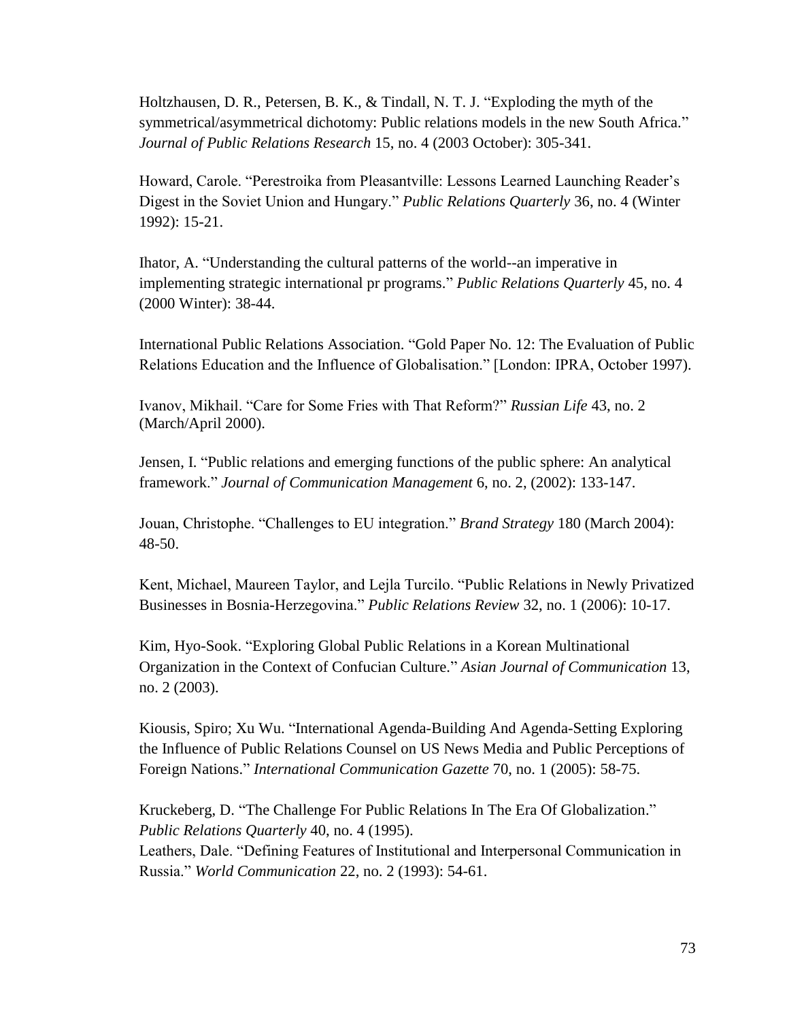Holtzhausen, D. R., Petersen, B. K.,  $&$  Tindall, N. T. J. "Exploding the myth of the symmetrical/asymmetrical dichotomy: Public relations models in the new South Africa." *Journal of Public Relations Research* 15, no. 4 (2003 October): 305-341.

Howard, Carole. "Perestroika from Pleasantville: Lessons Learned Launching Reader's Digest in the Soviet Union and Hungary." *Public Relations Quarterly* 36, no. 4 (Winter 1992): 15-21.

Ihator, A. "Understanding the cultural patterns of the world--an imperative in implementing strategic international pr programs." *Public Relations Quarterly* 45, no. 4 (2000 Winter): 38-44.

International Public Relations Association. "Gold Paper No. 12: The Evaluation of Public Relations Education and the Influence of Globalisation." [London: IPRA, October 1997).

Ivanov, Mikhail. "Care for Some Fries with That Reform?" *Russian Life* 43, no. 2 (March/April 2000).

Jensen, I. "Public relations and emerging functions of the public sphere: An analytical framework." *Journal of Communication Management* 6, no. 2, (2002): 133-147.

Jouan, Christophe. "Challenges to EU integration." *Brand Strategy* 180 (March 2004): 48-50.

Kent, Michael, Maureen Taylor, and Lejla Turcilo. "Public Relations in Newly Privatized Businesses in Bosnia-Herzegovina." *Public Relations Review* 32, no. 1 (2006): 10-17.

Kim, Hyo-Sook. "Exploring Global Public Relations in a Korean Multinational [Organization in the Context of Confucian Culture.‖](http://web.ebscohost.com.proxy.bsu.edu/ehost/viewarticle?data=dGJyMPPp44rp2%2fdV0%2bnjisfk5Ie42N%2bE6qTreefkrHrx6%2bt55%2bS%2bTK2srUquprc4r6e4SrSwsUqet8s%2b8ujfhvHX4Yzn5eyB4rOrUa6ptVC2rLBMpOLfhuWz44ak2uBV89zmPvLX5VW%2fxKR57LOvS7apt0y3qaR%2b7ejrefKz5I3q4vJ99uoA&hid=109) *Asian Journal of Communication* 13, no. 2 (2003).

Kiousis, Spiro; Xu Wu. "International Agenda-Building And Agenda-Setting Exploring the Influence of Public Relations Counsel on US News Media and Public Perceptions of Foreign Nations.‖ *International Communication Gazette* 70, no. 1 (2005): 58-75.

Kruckeberg, D. "The Challenge For Public Relations In The Era Of Globalization." *Public Relations Quarterly* 40, no. 4 (1995).

Leathers, Dale. "Defining Features of Institutional and Interpersonal Communication in Russia.‖ *World Communication* 22, no. 2 (1993): 54-61.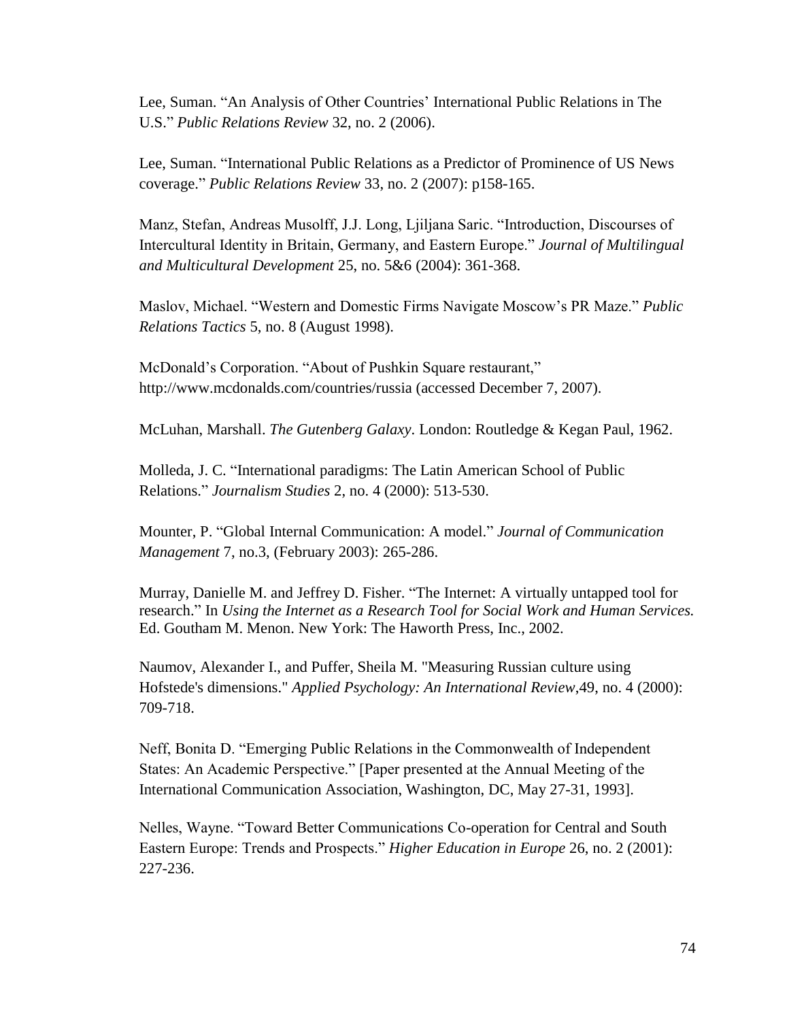Lee, Suman. "An Analysis of Other Countries' International Public Relations in The U.S." *Public Relations Review* 32, no. 2 (2006).

Lee, Suman. "International Public Relations as a Predictor of Prominence of US News coverage.‖ *Public Relations Review* 33, no. 2 (2007): p158-165.

Manz, Stefan, Andreas Musolff, J.J. Long, Ljiljana Saric. "Introduction, Discourses of Intercultural Identity in Britain, Germany, and Eastern Europe." *Journal of Multilingual and Multicultural Development* 25, no. 5&6 (2004): 361-368.

Maslov, Michael. "Western and Domestic Firms Navigate Moscow's PR Maze." *Public Relations Tactics* 5, no. 8 (August 1998).

McDonald's Corporation. "About of Pushkin Square restaurant," <http://www.mcdonalds.com/countries/russia> (accessed December 7, 2007).

McLuhan, Marshall. *The Gutenberg Galaxy*. London: Routledge & Kegan Paul, 1962.

Molleda, J. C. "International paradigms: The Latin American School of Public Relations.‖ *Journalism Studies* 2, no. 4 (2000): 513-530.

Mounter, P. "Global Internal Communication: A model." *Journal of Communication Management* 7, no.3, (February 2003): 265-286.

Murray, Danielle M. and Jeffrey D. Fisher. "The Internet: A virtually untapped tool for research.‖ In *Using the Internet as a Research Tool for Social Work and Human Services.* Ed. Goutham M. Menon. New York: The Haworth Press, Inc., 2002.

Naumov, Alexander I., and Puffer, Sheila M. "Measuring Russian culture using Hofstede's dimensions." *Applied Psychology: An International Review*,49, no. 4 (2000): 709-718.

Neff, Bonita D. "Emerging Public Relations in the Commonwealth of Independent States: An Academic Perspective." [Paper presented at the Annual Meeting of the International Communication Association, Washington, DC, May 27-31, 1993].

Nelles, Wayne. ―Toward Better Communications Co-operation for Central and South Eastern Europe: Trends and Prospects." *Higher Education in Europe* 26, no. 2 (2001): 227-236.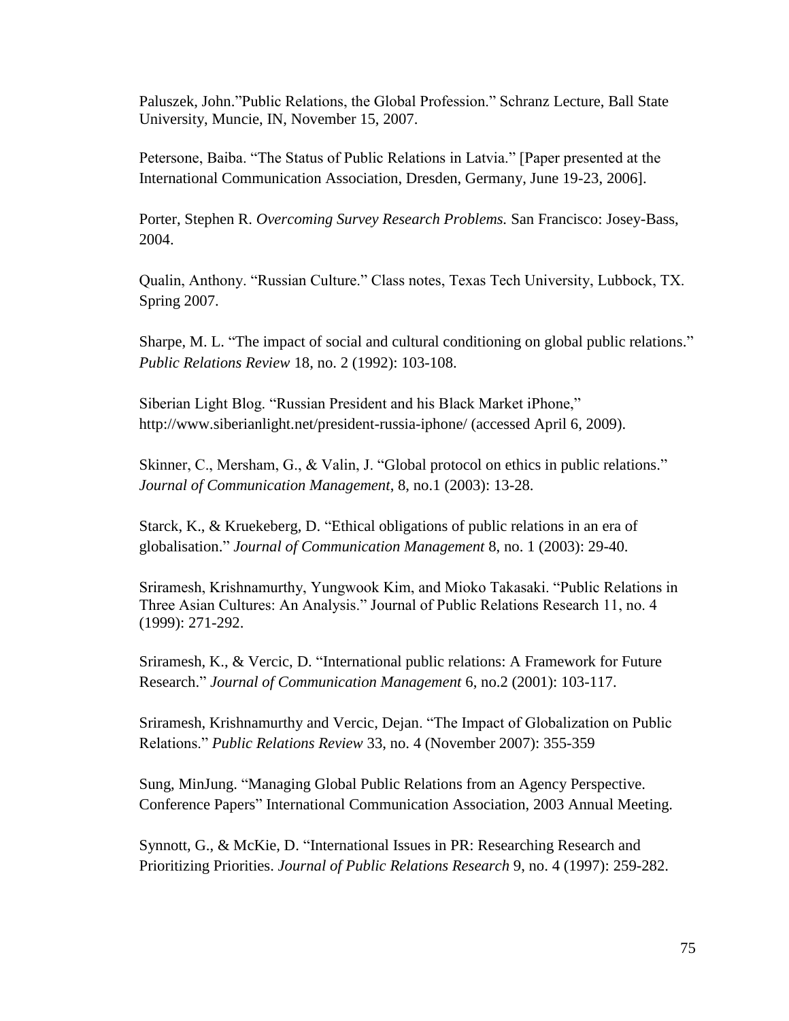Paluszek, John."Public Relations, the Global Profession." Schranz Lecture, Ball State University, Muncie, IN, November 15, 2007.

Petersone, Baiba. "The Status of Public Relations in Latvia." [Paper presented at the International Communication Association, Dresden, Germany, June 19-23, 2006].

Porter, Stephen R. *Overcoming Survey Research Problems.* San Francisco: Josey-Bass, 2004.

Qualin, Anthony. "Russian Culture." Class notes, Texas Tech University, Lubbock, TX. Spring 2007.

Sharpe, M. L. "The impact of social and cultural conditioning on global public relations." *Public Relations Review* 18, no. 2 (1992): 103-108.

Siberian Light Blog. "Russian President and his Black Market iPhone," http://www.siberianlight.net/president-russia-iphone/ (accessed April 6, 2009).

Skinner, C., Mersham, G., & Valin, J. "Global protocol on ethics in public relations." *Journal of Communication Management*, 8, no.1 (2003): 13-28.

Starck, K., & Kruekeberg, D. "Ethical obligations of public relations in an era of globalisation.‖ *Journal of Communication Management* 8, no. 1 (2003): 29-40.

Sriramesh, Krishnamurthy, Yungwook Kim, and Mioko Takasaki. "Public Relations in Three Asian Cultures: An Analysis." Journal of Public Relations Research 11, no. 4 (1999): 271-292.

Sriramesh, K., & Vercic, D. "International public relations: A Framework for Future Research.‖ *Journal of Communication Management* 6, no.2 (2001): 103-117.

Sriramesh, Krishnamurthy and Vercic, Dejan. "The Impact of Globalization on Public Relations.‖ *Public Relations Review* 33, no. 4 (November 2007): 355-359

Sung, MinJung. "Managing Global Public Relations from an Agency Perspective. Conference Papers" International Communication Association, 2003 Annual Meeting.

Synnott, G., & McKie, D. "International Issues in PR: Researching Research and Prioritizing Priorities. *Journal of Public Relations Research* 9, no. 4 (1997): 259-282.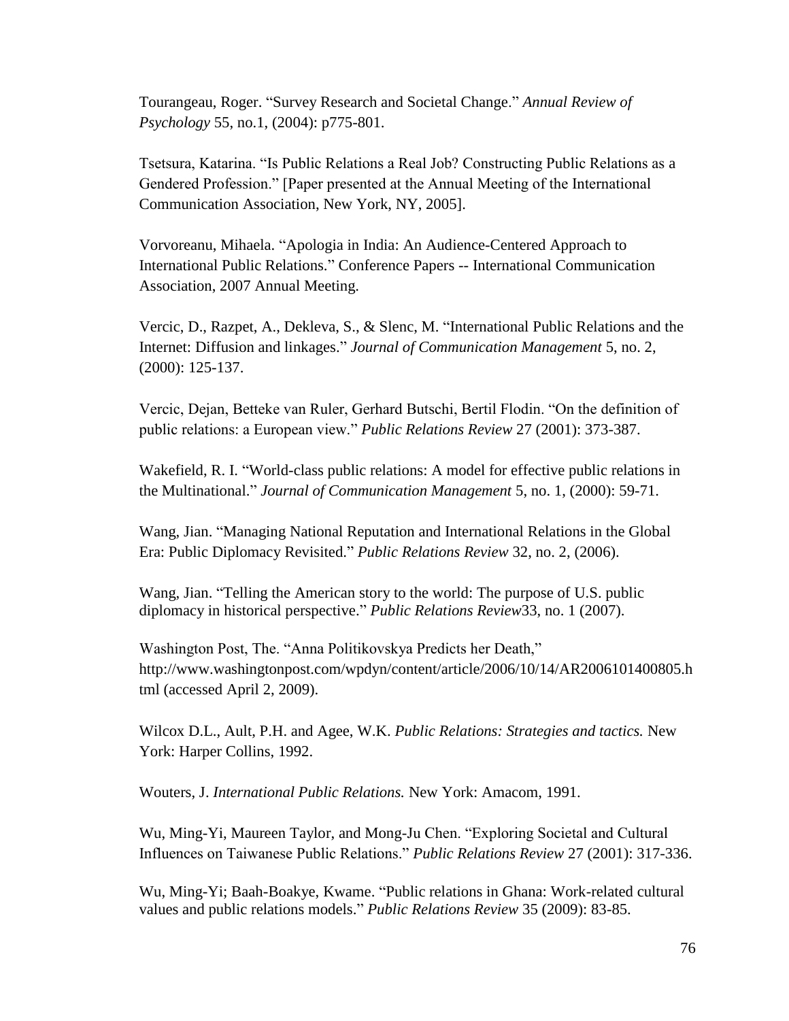Tourangeau, Roger. "Survey Research and Societal Change." *Annual Review of Psychology* 55, no.1, (2004): p775-801.

Tsetsura, Katarina. "Is Public Relations a Real Job? Constructing Public Relations as a Gendered Profession." [Paper presented at the Annual Meeting of the International Communication Association, New York, NY, 2005].

Vorvoreanu, Mihaela. "Apologia in India: An Audience-Centered Approach to International Public Relations." Conference Papers -- International Communication Association, 2007 Annual Meeting.

Vercic, D., Razpet, A., Dekleva, S., & Slenc, M. "International Public Relations and the Internet: Diffusion and linkages.‖ *Journal of Communication Management* 5, no. 2, (2000): 125-137.

Vercic, Dejan, Betteke van Ruler, Gerhard Butschi, Bertil Flodin. "On the definition of public relations: a European view.‖ *Public Relations Review* 27 (2001): 373-387.

Wakefield, R. I. "World-class public relations: A model for effective public relations in the Multinational.‖ *Journal of Communication Management* 5, no. 1, (2000): 59-71.

Wang, Jian. "Managing National Reputation and International Relations in the Global [Era: Public Diplomacy Revisited.](http://www.sciencedirect.com.proxy.bsu.edu/science?_ob=ArticleURL&_udi=B6W5W-4JMKMPR-1&_user=5172862&_coverDate=06%2F30%2F2006&_alid=897136996&_rdoc=7&_fmt=high&_orig=search&_cdi=6581&_sort=d&_docanchor=&view=c&_ct=22&_acct=C000066447&_version=1&_urlVersion=0&_userid=5172862&md5=c86fc391a7a9aa3f71d405a853b5eea9)" *Public Relations Review* 32, no. 2, (2006).

Wang, Jian. "Telling the American story to the world: The purpose of U.S. public [diplomacy in historical perspective.](http://www.sciencedirect.com.proxy.bsu.edu/science?_ob=ArticleURL&_udi=B6W5W-4MRNCKH-1&_user=5172862&_coverDate=03%2F31%2F2007&_alid=897136996&_rdoc=5&_fmt=high&_orig=search&_cdi=6581&_sort=d&_docanchor=&view=c&_ct=22&_acct=C000066447&_version=1&_urlVersion=0&_userid=5172862&md5=4800be3e4a6a50c03a3121f81bbd5f03)‖ *Public Relations Review*33, no. 1 (2007).

Washington Post, The. "Anna Politikovskya Predicts her Death," http://www.washingtonpost.com/wpdyn/content/article/2006/10/14/AR2006101400805.h tml (accessed April 2, 2009).

Wilcox D.L., Ault, P.H. and Agee, W.K. *Public Relations: Strategies and tactics.* New York: Harper Collins, 1992.

Wouters, J. *International Public Relations.* New York: Amacom, 1991.

Wu, Ming-Yi, Maureen Taylor, and Mong-Ju Chen. "Exploring Societal and Cultural Influences on Taiwanese Public Relations.‖ *Public Relations Review* 27 (2001): 317-336.

Wu, Ming-Yi; Baah-Boakye, Kwame. "Public relations in Ghana: Work-related cultural [values and public relations models.‖](http://web.ebscohost.com.proxy.bsu.edu/ehost/viewarticle?data=dGJyMPPp44rp2%2fdV0%2bnjisfk5Ie42N%2bE6qTreefkrHrx6%2bt55%2bS%2bTK2rrUquprc4r6e4S7Kws0iexss%2b8ujfhvHX4Yzn5eyB4rOySbess0%2bvr68%2b6tfsf7vb7D7i2LuN5N6kjN%2fdu1nMnN%2bGu6m0TLWsr0m3nOSH8OPfjLvc84Tq6uOQ8gAA&hid=112) *Public Relations Review* 35 (2009): 83-85.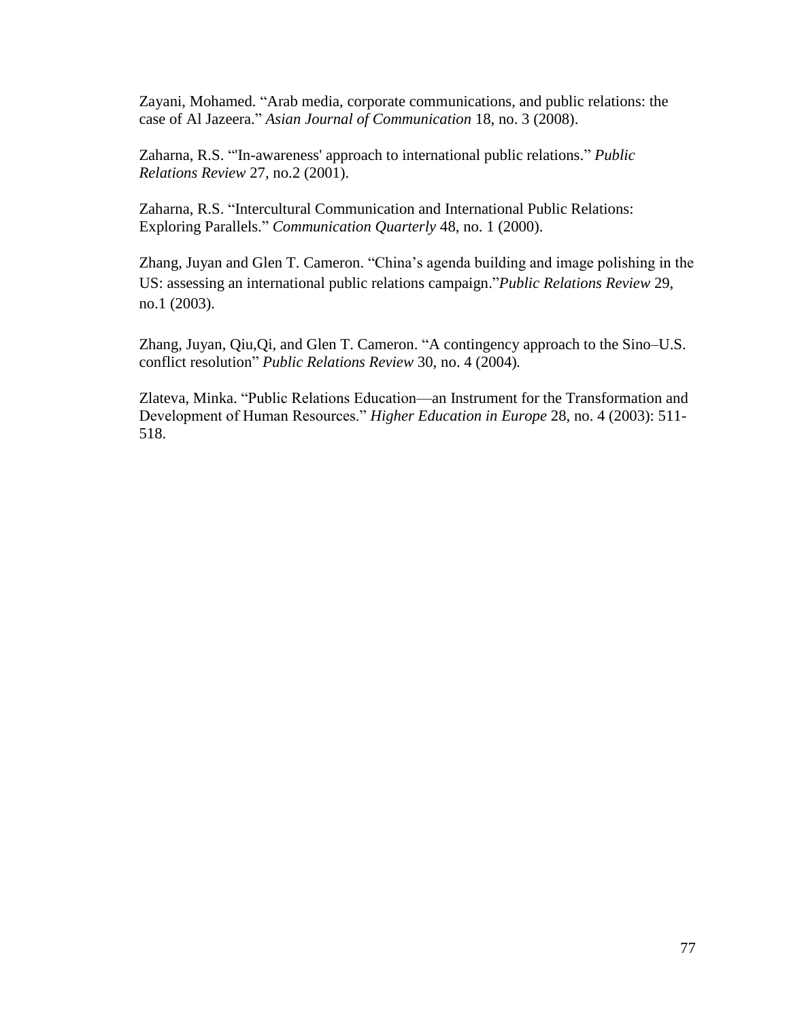Zayani, Mohamed. "Arab media, corporate communications, and public relations: the case of Al Jazeera." *Asian Journal of Communication* 18, no. 3 (2008).

Zaharna, R.S. "In-awareness' approach to international public relations." *Public Relations Review* 27, no.2 (2001).

Zaharna, R.S. "Intercultural Communication and International Public Relations: Exploring Parallels." *Communication Quarterly* 48, no. 1 (2000).

Zhang, Juyan and Glen T. Cameron. "China's agenda building and image polishing in the [US: assessing an international public relations campaign.](http://www.sciencedirect.com.proxy.bsu.edu/science?_ob=ArticleURL&_udi=B6W5W-47T20VG-2&_user=5172862&_coverDate=03%2F31%2F2003&_alid=897134532&_rdoc=27&_fmt=high&_orig=search&_cdi=6581&_sort=d&_docanchor=&view=c&_ct=42&_acct=C000066447&_version=1&_urlVersion=0&_userid=5172862&md5=4bcfa93938b89d4178ba27e10d93c7ea)"*Public Relations Review* 29, no.1 (2003).

Zhang, Juyan, Qiu,Qi, and Glen T. Cameron. "A contingency approach to the Sino–U.S. conflict resolution" *Public Relations Review* 30, no. 4 (2004).

Zlateva, Minka. "Public Relations Education—an Instrument for the Transformation and Development of Human Resources.‖ *Higher Education in Europe* 28, no. 4 (2003): 511- 518.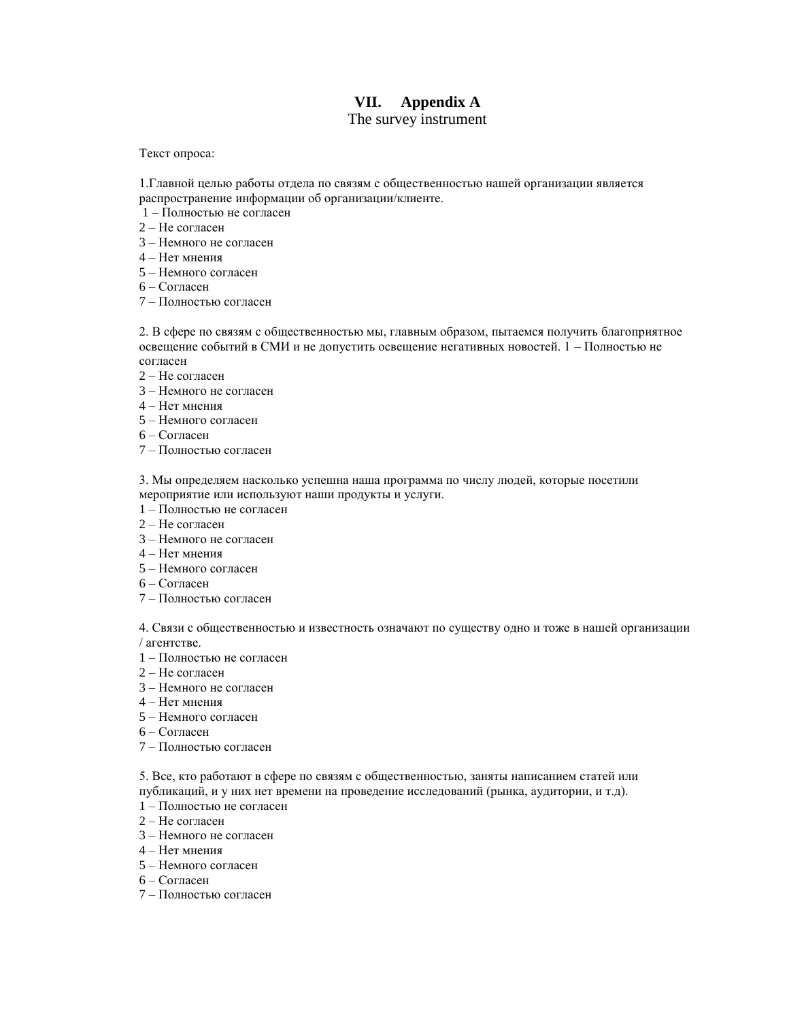# **VII. Appendix A**

The survey instrument

Текст опроса:

1.Главной целью работы отдела по связям с общественностью нашей организации является распространение информации об организации/клиенте.

- 1 Полностью не согласен
- 2 Не согласен
- 3 Немного не согласен
- 4 Нет мнения
- 5 Немного согласен
- 6 Согласен
- 7 Полностью согласен

2. В сфере по связям с общественностью мы, главным образом, пытаемся получить благоприятное освещение событий в СМИ и не допустить освещение негативных новостей. 1 – Полностью не согласен

- 2 Не согласен
- 3 Немного не согласен
- 4 Нет мнения
- 5 Немного согласен
- 6 Согласен
- 7 Полностью согласен

3. Мы определяем насколько успешна наша программа по числу людей, которые посетили мероприятие или используют наши продукты и услуги.

- 1 Полностью не согласен
- 2 Не согласен
- 3 Немного не согласен
- 4 Нет мнения
- 5 Немного согласен
- 6 Согласен
- 7 Полностью согласен

4. Связи с общественностью и известность означают по существу одно и тоже в нашей организации / агентстве.

- 1 Полностью не согласен
- 2 Не согласен
- 3 Немного не согласен
- 4 Нет мнения
- 5 Немного согласен
- 6 Согласен
- 7 Полностью согласен

5. Все, кто работают в сфере по связям с общественностью, заняты написанием статей или публикаций, и у них нет времени на проведение исследований (рынка, аудитории, и т.д).

- 1 Полностью не согласен
- 2 Не согласен
- 3 Немного не согласен
- 4 Нет мнения
- 5 Немного согласен
- 6 Согласен
- 7 Полностью согласен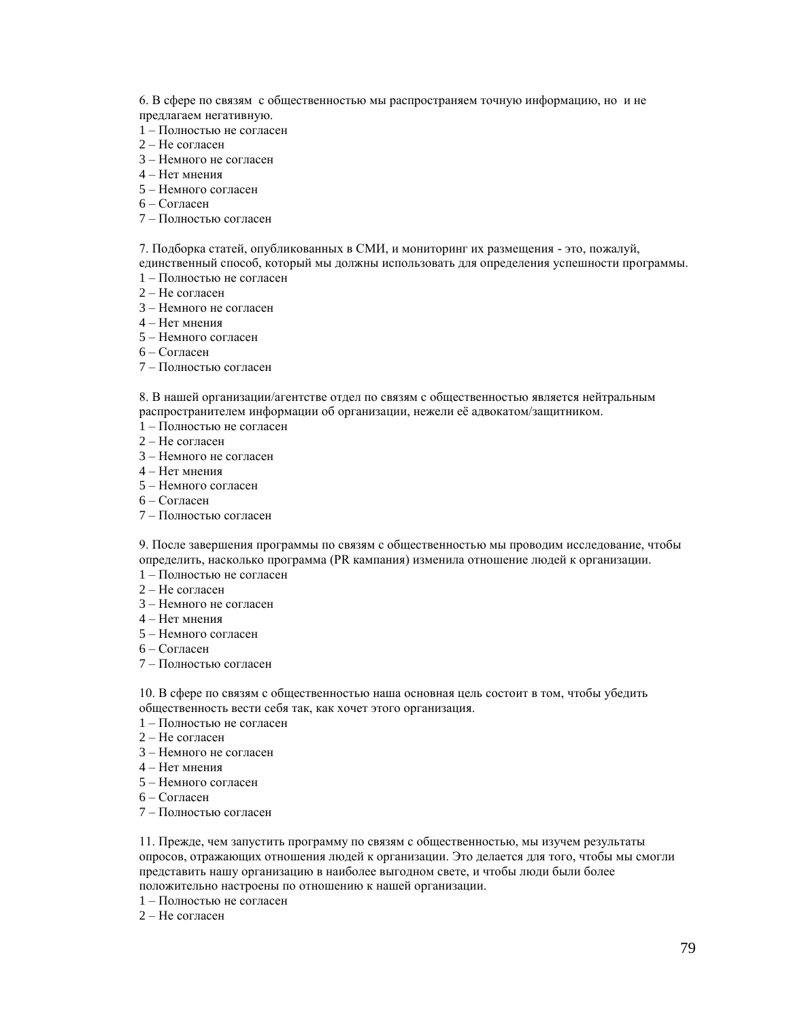6. В сфере по связям с общественностью мы распространяем точную информацию, но и не предлагаем негативную.

- 1 Полностью не согласен
- 2 Не согласен
- 3 Немного не согласен
- 4 Нет мнения
- 5 Немного согласен
- 6 Согласен
- 7 Полностью согласен

7. Подборка статей, опубликованных в СМИ, и мониторинг их размещения - это, пожалуй,

единственный способ, который мы должны использовать для определения успешности программы. 1 – Полностью не согласен

- 2 Не согласен
- 3 Немного не согласен
- 4 Нет мнения
- 5 Немного согласен
- 6 Согласен
- 7 Полностью согласен

8. В нашей организации/агентстве отдел по связям с общественностью является нейтральным распространителем информации об организации, нежели еѐ адвокатом/защитником.

- 1 Полностью не согласен
- 2 Не согласен
- 3 Немного не согласен
- 4 Нет мнения
- 5 Немного согласен
- 6 Согласен
- 7 Полностью согласен

9. После завершения программы по связям с общественностью мы проводим исследование, чтобы определить, насколько программа (PR кампания) изменила отношение людей к организации.

- 1 Полностью не согласен
- 2 Не согласен
- 3 Немного не согласен
- 4 Нет мнения
- 5 Немного согласен
- 6 Согласен
- 7 Полностью согласен

10. В сфере по связям с общественностью наша основная цель состоит в том, чтобы убедить общественность вести себя так, как хочет этого организация.

- 1 Полностью не согласен
- 2 Не согласен
- 3 Немного не согласен
- 4 Нет мнения
- 5 Немного согласен
- 6 Согласен
- 7 Полностью согласен

11. Прежде, чем запустить программу по связям с общественностью, мы изучем результаты опросов, отражающих отношения людей к организации. Это делается для того, чтобы мы смогли представить нашу организацию в наиболее выгодном свете, и чтобы люди были более положительно настроены по отношению к нашей организации.

- 1 Полностью не согласен
- 2 Не согласен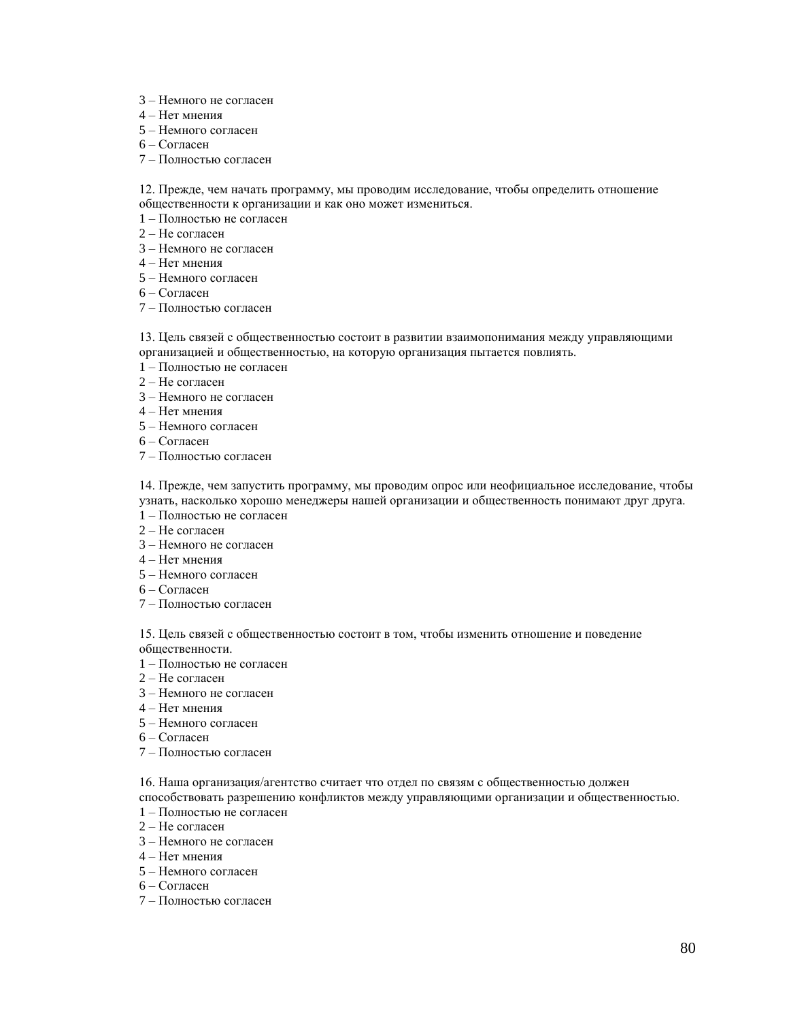- 3 Немного не согласен
- 4 Нет мнения
- 5 Немного согласен
- 6 Согласен
- 7 Полностью согласен

12. Прежде, чем начать программу, мы проводим исследование, чтобы определить отношение общественности к организации и как оно может измениться.

- 1 Полностью не согласен
- 2 Не согласен
- 3 Немного не согласен
- 4 Нет мнения
- 5 Немного согласен
- 6 Согласен
- 7 Полностью согласен

13. Цель связей с общественностью состоит в развитии взаимопонимания между управляющими организацией и общественностью, на которую организация пытается повлиять.

- 1 Полностью не согласен
- 2 Не согласен
- 3 Немного не согласен
- 4 Нет мнения
- 5 Немного согласен
- 6 Согласен
- 7 Полностью согласен

14. Прежде, чем запустить программу, мы проводим опрос или неофициальное исследование, чтобы узнать, насколько хорошо менеджеры нашей организации и общественность понимают друг друга.

- 1 Полностью не согласен
- 2 Не согласен
- 3 Немного не согласен
- 4 Нет мнения
- 5 Немного согласен
- 6 Согласен
- 7 Полностью согласен

15. Цель связей с общественностью состоит в том, чтобы изменить отношение и поведение общественности.

- 1 Полностью не согласен
- 2 Не согласен
- 3 Немного не согласен
- 4 Нет мнения
- 5 Немного согласен
- 6 Согласен
- 7 Полностью согласен

16. Наша организация/агентство считает что отдел по связям с общественностью должeн

способствовать разрешению конфликтов между управляющими организации и общественностью.

- 1 Полностью не согласен
- 2 Не согласен
- 3 Немного не согласен
- 4 Нет мнения
- 5 Немного согласен
- 6 Согласен
- 7 Полностью согласен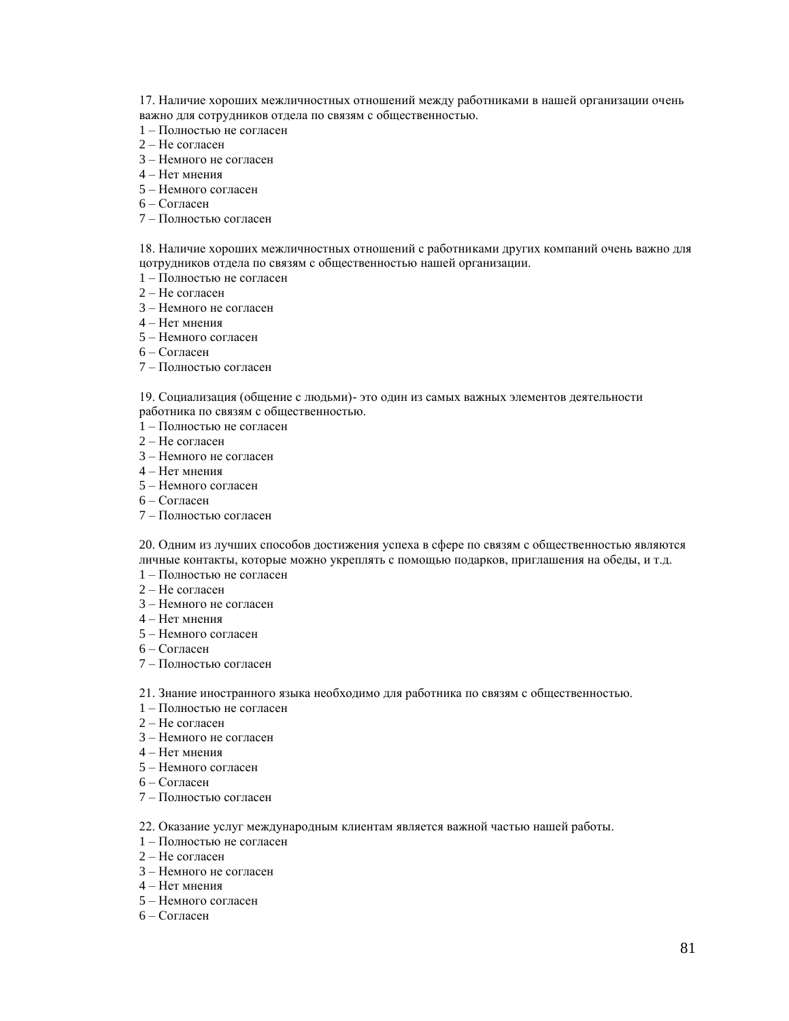17. Наличие хороших межличностных отношений между работниками в нашей организации очень важно для сотрудников отдела по связям с общественностью.

- 1 Полностью не согласен
- 2 Не согласен
- 3 Немного не согласен
- 4 Нет мнения
- 5 Немного согласен
- 6 Согласен
- 7 Полностью согласен

18. Наличие хороших межличностных отношений с работниками других компаний очень важно для цотрудников отдела по связям с общественностью нашей организации.

- 1 Полностью не согласен
- 2 Не согласен
- 3 Немного не согласен
- 4 Нет мнения
- 5 Немного согласен
- 6 Согласен
- 7 Полностью согласен

19. Социализация (общение с людьми)- это один из самых важных элементов деятельности работника по связям с общественностью.

- 1 Полностью не согласен
- 2 Не согласен
- 3 Немного не согласен
- 4 Нет мнения
- 5 Немного согласен
- 6 Согласен
- 7 Полностью согласен

20. Одним из лучших способов достижения успеха в сфере по связям с общественностью являются личные контакты, которые можно укреплять с помощью подарков, приглашения на обеды, и т.д.

- 1 Полностью не согласен
- 2 Не согласен
- 3 Немного не согласен
- 4 Нет мнения
- 5 Немного согласен
- 6 Согласен
- 7 Полностью согласен

21. Знание иностранного языка необходимо для работника по связям с общественностью.

- 1 Полностью не согласен
- 2 Не согласен
- 3 Немного не согласен
- 4 Нет мнения
- 5 Немного согласен
- 6 Согласен
- 7 Полностью согласен

22. Оказание услуг международным клиентам является важной частью нашей работы.

- 1 Полностью не согласен
- 2 Не согласен
- 3 Немного не согласен
- 4 Нет мнения
- 5 Немного согласен
- 6 Согласен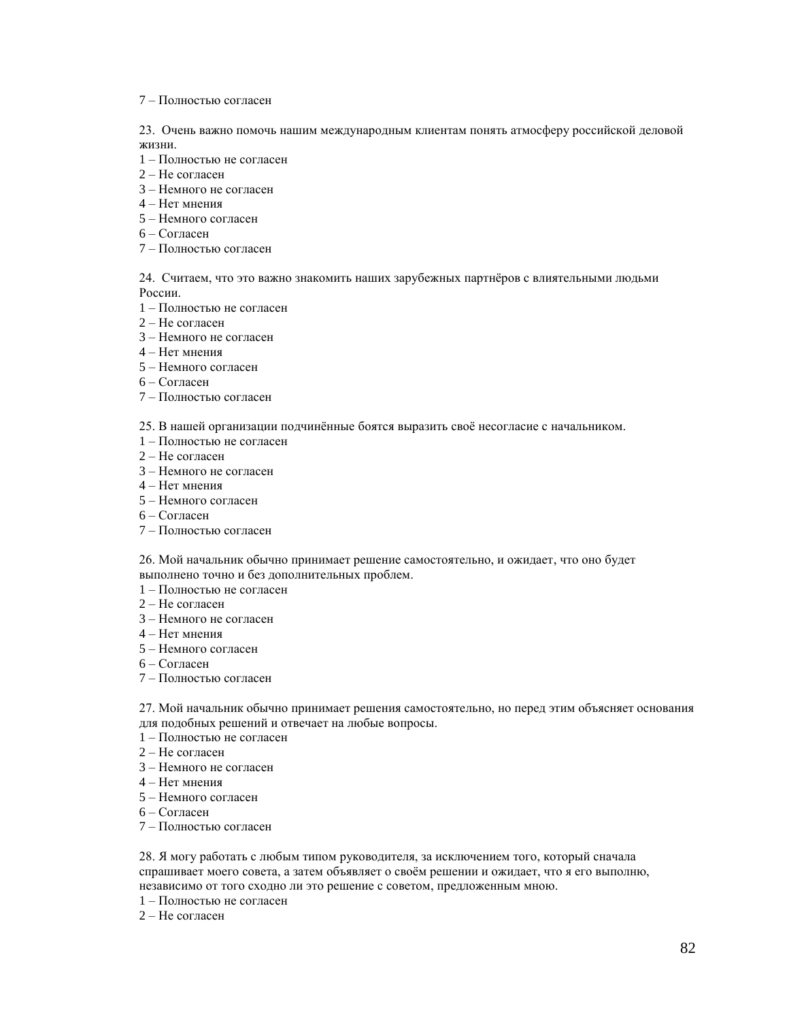#### 7 – Полностью согласен

23. Очень важно помочь нашим международным клиентам понять атмосферу российской деловой жизни.

- 1 Полностью не согласен
- 2 Не согласен
- 3 Немного не согласен
- 4 Нет мнения
- 5 Немного согласен
- 6 Согласен
- 7 Полностью согласен

24. Считаем, что это важно знакомить наших зарубежных партнѐров с влиятельными людьми России.

- 1 Полностью не согласен
- 2 Не согласен
- 3 Немного не согласен
- 4 Нет мнения
- 5 Немного согласен
- 6 Согласен
- 7 Полностью согласен
- 25. В нашей организации подчинённые боятся выразить своё несогласие с начальником.
- 1 Полностью не согласен
- 2 Не согласен
- 3 Немного не согласен
- 4 Нет мнения
- 5 Немного согласен
- 6 Согласен
- 7 Полностью согласен

26. Мой начальник обычно принимает решение самостоятельно, и ожидает, что оно будет выполнено точно и без дополнительных проблем.

- 1 Полностью не согласен
- 2 Не согласен
- 3 Немного не согласен
- 4 Нет мнения
- 5 Немного согласен
- 6 Согласен
- 7 Полностью согласен

27. Мой начальник обычно принимает решения самостоятельно, но перед этим объясняет основания для подобных решений и отвечает на любые вопросы.

- 1 Полностью не согласен
- 2 Не согласен
- 3 Немного не согласен
- 4 Нет мнения
- 5 Немного согласен
- 6 Согласен
- 7 Полностью согласен

28. Я могу работать с любым типом руководителя, за исключением того, который сначала спрашивает моего совета, а затем объявляет о своѐм решении и ожидает, что я его выполню, независимо от того сходно ли это решение с советом, предложенным мною.

- 1 Полностью не согласен
- 2 Не согласен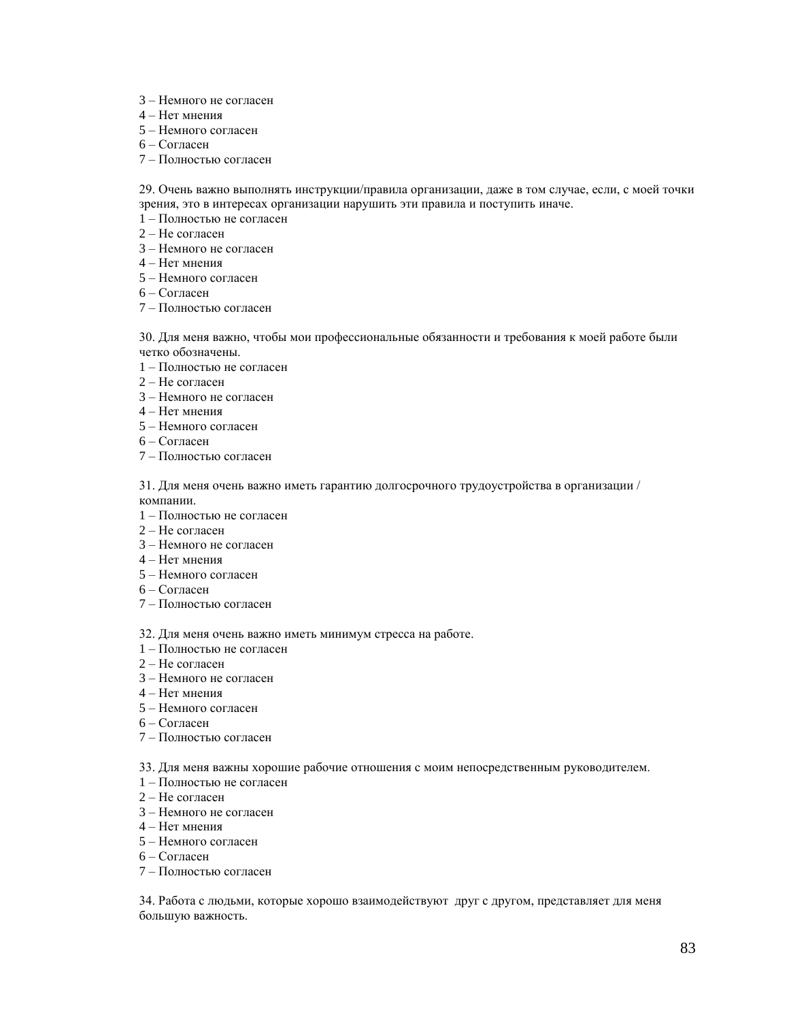- 3 Немного не согласен
- 4 Нет мнения
- 5 Немного согласен
- 6 Согласен
- 7 Полностью согласен

29. Очень важно выполнять инструкции/правила организации, даже в том случае, если, с моей точки зрения, это в интересах организации нарушить эти правила и поступить иначе.

- 1 Полностью не согласен
- 2 Не согласен
- 3 Немного не согласен
- 4 Нет мнения
- 5 Немного согласен
- 6 Согласен
- 7 Полностью согласен

30. Для меня важно, чтобы мои профессиональные обязанности и требования к моей работе были четко обозначены.

- 1 Полностью не согласен
- 2 Не согласен
- 3 Немного не согласен
- 4 Нет мнения
- 5 Немного согласен
- 6 Согласен
- 7 Полностью согласен

31. Для меня очень важно иметь гарантию долгосрочного трудоустройства в организации / компании.

- 1 Полностью не согласен
- 2 Не согласен
- 3 Немного не согласен
- 4 Нет мнения
- 5 Немного согласен
- 6 Согласен
- 7 Полностью согласен
- 32. Для меня очень важно иметь минимум стресса на работе.
- 1 Полностью не согласен
- 2 Не согласен
- 3 Немного не согласен
- 4 Нет мнения
- 5 Немного согласен
- 6 Согласен
- 7 Полностью согласен
- 33. Для меня важны хорошие рабочие отношения с моим непосредственным руководителем.
- 1 Полностью не согласен
- 2 Не согласен
- 3 Немного не согласен
- 4 Нет мнения
- 5 Немного согласен
- 6 Согласен
- 7 Полностью согласен

34. Работа с людьми, которые хорошо взаимодействуют друг с другом, представляет для меня большую важность.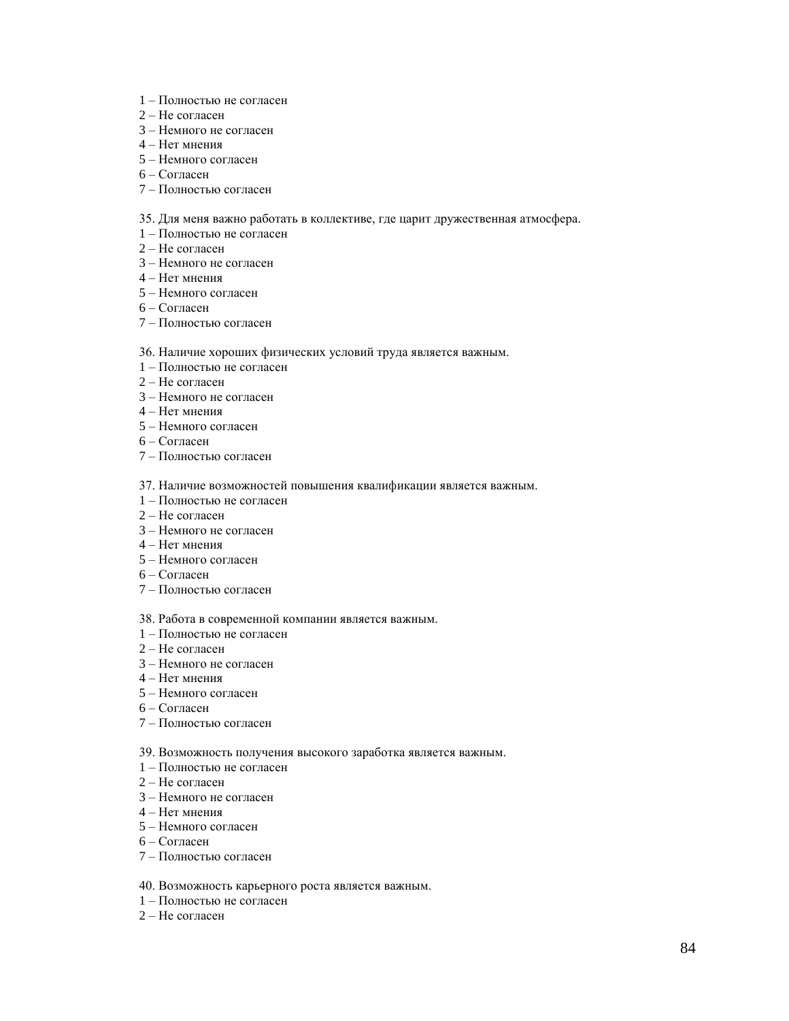- 1 Полностью не согласен
- 2 Не согласен
- 3 Немного не согласен
- 4 Нет мнения
- 5 Немного согласен
- 6 Согласен
- 7 Полностью согласен

#### 35. Для меня важно работать в коллективе, где царит дружественная атмосфера.

- 1 Полностью не согласен
- 2 Не согласен
- 3 Немного не согласен
- 4 Нет мнения
- 5 Немного согласен
- 6 Согласен
- 7 Полностью согласен

#### 36. Наличие хороших физических условий труда является важным.

- 1 Полностью не согласен
- 2 Не согласен
- 3 Немного не согласен
- 4 Нет мнения
- 5 Немного согласен
- 6 Согласен
- 7 Полностью согласен
- 37. Наличие возможностей повышения квалификации является важным.
- 1 Полностью не согласен
- 2 Не согласен
- 3 Немного не согласен
- 4 Нет мнения
- 5 Немного согласен
- 6 Согласен
- 7 Полностью согласен

#### 38. Работа в современной компании является важным.

- 1 Полностью не согласен
- 2 Не согласен
- 3 Немного не согласен
- 4 Нет мнения
- 5 Немного согласен
- 6 Согласен
- 7 Полностью согласен

#### 39. Возможность получения высокого заработка является важным.

- 1 Полностью не согласен
- 2 Не согласен
- 3 Немного не согласен
- 4 Нет мнения
- 5 Немного согласен
- 6 Согласен
- 7 Полностью согласен

#### 40. Возможность карьерного роста является важным.

- 1 Полностью не согласен
- 2 Не согласен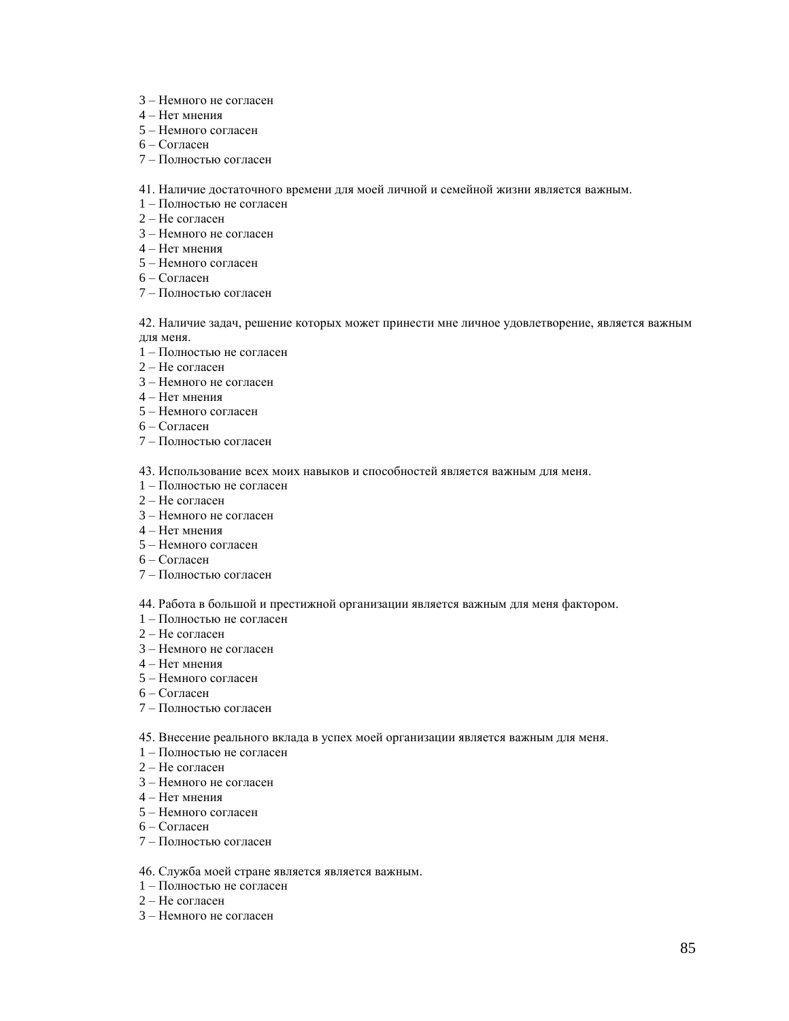- 3 Немного не согласен
- 4 Нет мнения
- 5 Немного согласен
- 6 Согласен
- 7 Полностью согласен

41. Наличие достаточного времени для моей личной и семейной жизни является важным.

- 1 Полностью не согласен
- 2 Не согласен
- 3 Немного не согласен
- 4 Нет мнения
- 5 Немного согласен
- 6 Согласен
- 7 Полностью согласен

42. Наличие задач, решение которых может принести мне личное удовлетворение, является важным для меня.

- 1 Полностью не согласен
- 2 Не согласен
- 3 Немного не согласен
- 4 Нет мнения
- 5 Немного согласен
- 6 Согласен
- 7 Полностью согласен

43. Использование всех моих навыков и способностей является важным для меня.

- 1 Полностью не согласен
- 2 Не согласен
- 3 Немного не согласен
- 4 Нет мнения
- 5 Немного согласен
- 6 Согласен
- 7 Полностью согласен

44. Работа в большой и престижной организации является важным для меня фактором.

- 1 Полностью не согласен
- 2 Не согласен
- 3 Немного не согласен
- 4 Нет мнения
- 5 Немного согласен
- 6 Согласен
- 7 Полностью согласен

45. Внесение реального вклада в успех моей организации является важным для меня.

- 1 Полностью не согласен
- 2 Не согласен
- 3 Немного не согласен
- 4 Нет мнения
- 5 Немного согласен
- 6 Согласен
- 7 Полностью согласен

#### 46. Служба моей стране является является важным.

- 1 Полностью не согласен
- 2 Не согласен
- 3 Немного не согласен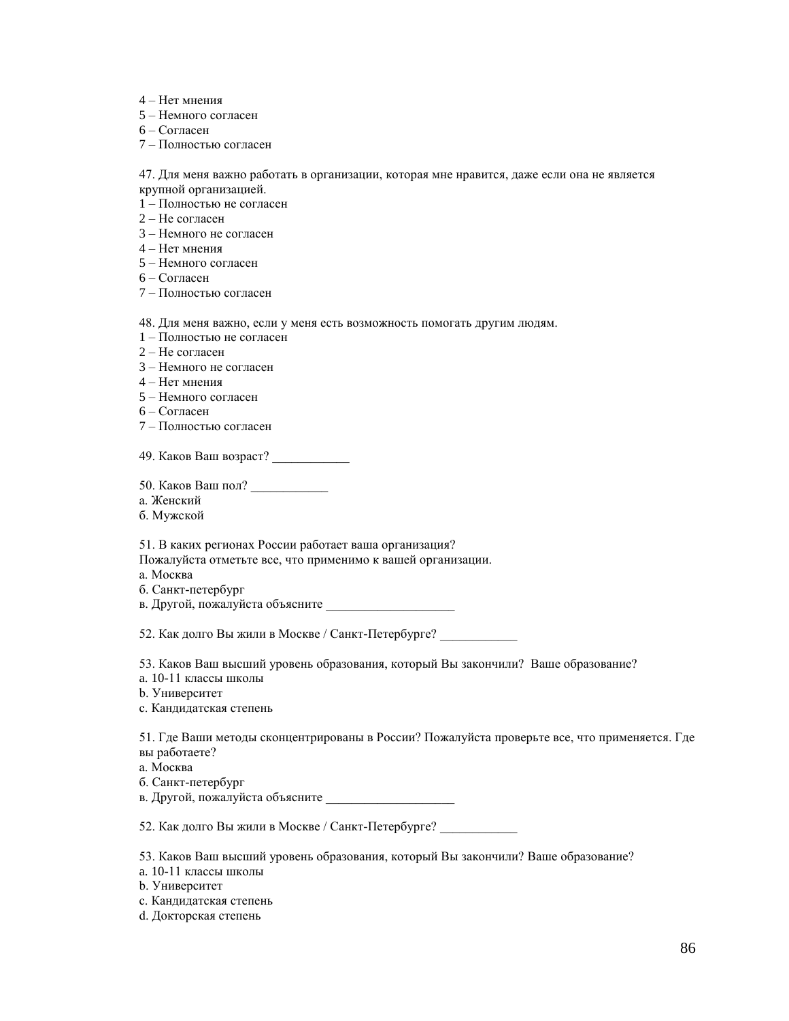- 4 Нет мнения
- 5 Немного согласен
- 6 Согласен
- 7 Полностью согласен

47. Для меня важно работать в организации, которая мне нравится, даже если она не является

крупной организацией.

- 1 Полностью не согласен 2 – Не согласен
- 
- 3 Немного не согласен
- 4 Нет мнения
- 5 Немного согласен
- 6 Согласен
- 7 Полностью согласен

48. Для меня важно, если у меня есть возможность помогать другим людям.

- 1 Полностью не согласен
- 2 Не согласен
- 3 Немного не согласен
- 4 Нет мнения
- 5 Немного согласен
- 6 Согласен
- 7 Полностью согласен

49. Каков Ваш возраст?

- 50. Каков Ваш пол? \_\_\_\_\_\_\_\_\_\_\_\_
- a. Женский
- б. Мужской

51. В каких регионах России работает ваша организация?

Пожалуйста отметьте все, что применимо к вашей организации.

- a. Москва
- б. Санкт-петербург
- в. Другой, пожалуйста объясните

52. Как долго Вы жили в Москве / Санкт-Петербурге?

53. Каков Ваш высший уровень образования, который Вы закончили? Ваше образование?

- a. 10-11 классы школы
- b. Университет
- c. Кандидатская степень

51. Где Ваши методы сконцентрированы в России? Пожалуйста проверьте все, что применяется. Где вы работаете?

- a. Москва
- б. Санкт-петербург
- в. Другой, пожалуйста объясните

52. Как долго Вы жили в Москве / Санкт-Петербурге?

53. Каков Ваш высший уровень образования, который Вы закончили? Ваше образование?

a. 10-11 классы школы

- b. Университет
- c. Кандидатская степень
- d. Докторская степень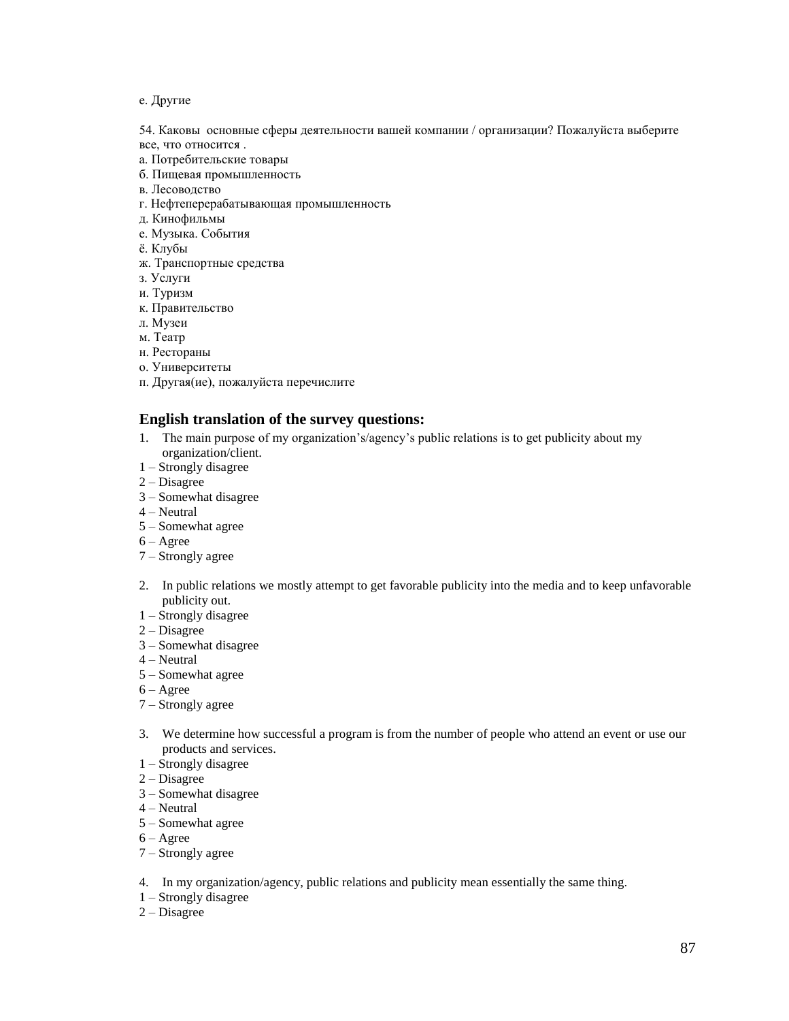## e. Другие

54. Каковы основные сферы деятельности вашей компании / организации? Пожалуйста выберите все, что относится .

- a. Потребительские товары
- б. Пищевая промышленность
- в. Лесоводство
- г. Нефтеперерабатывающая промышленность
- д. Кинофильмы
- е. Музыка. События
- ѐ. Клубы
- ж. Транспортные средства
- з. Услуги
- и. Туризм
- к. Правительство
- л. Музеи
- м. Театр
- н. Рестораны
- о. Университеты
- п. Другая(ие), пожалуйста перечислите

# **English translation of the survey questions:**

- 1. The main purpose of my organization's/agency's public relations is to get publicity about my organization/client.
- 1 Strongly disagree
- $2 Disagree$
- 3 Somewhat disagree
- 4 Neutral
- 5 Somewhat agree
- 6 Agree
- 7 Strongly agree
- 2. In public relations we mostly attempt to get favorable publicity into the media and to keep unfavorable publicity out.
- 1 Strongly disagree
- 2 Disagree
- 3 Somewhat disagree
- 4 Neutral
- 5 Somewhat agree
- $6 \text{Agree}$
- 7 Strongly agree
- 3. We determine how successful a program is from the number of people who attend an event or use our products and services.
- 1 Strongly disagree
- 2 Disagree
- 3 Somewhat disagree
- 4 Neutral
- 5 Somewhat agree
- 6 Agree
- 7 Strongly agree
- 4. In my organization/agency, public relations and publicity mean essentially the same thing.
- 1 Strongly disagree
- 2 Disagree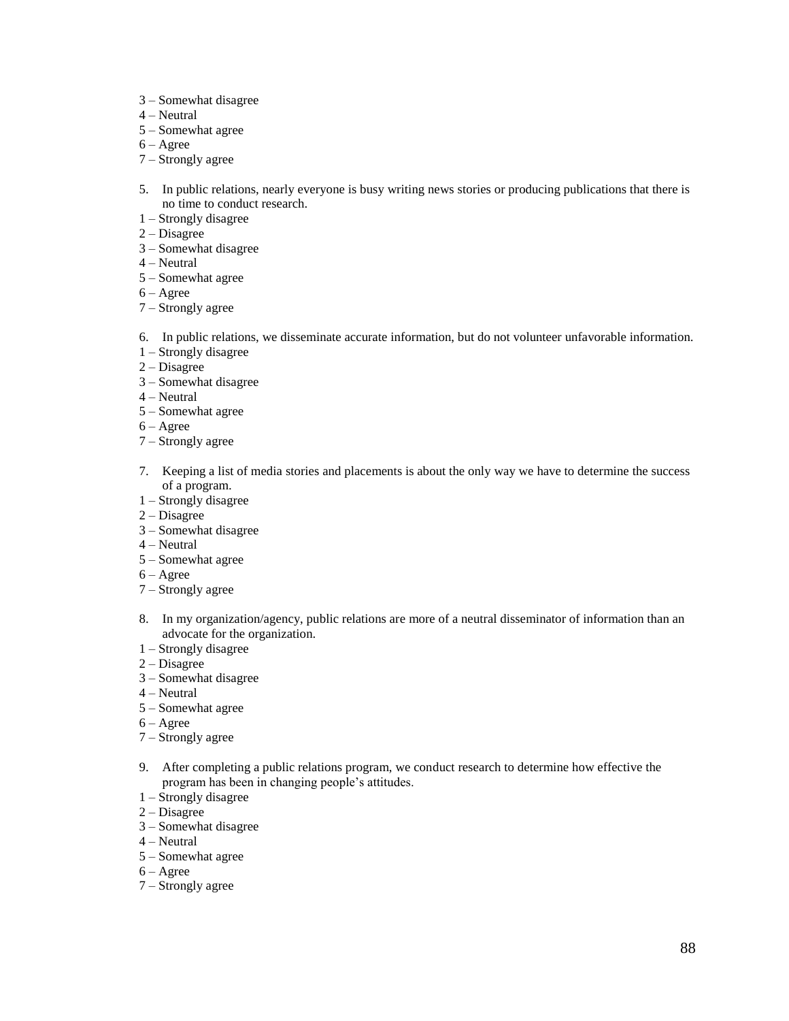- 3 Somewhat disagree
- 4 Neutral
- 5 Somewhat agree
- 6 Agree
- 7 Strongly agree
- 5. In public relations, nearly everyone is busy writing news stories or producing publications that there is no time to conduct research.
- 1 Strongly disagree
- 2 Disagree
- 3 Somewhat disagree
- 4 Neutral
- 5 Somewhat agree
- 6 Agree
- 7 Strongly agree
- 6. In public relations, we disseminate accurate information, but do not volunteer unfavorable information.
- 1 Strongly disagree
- 2 Disagree
- 3 Somewhat disagree
- 4 Neutral
- 5 Somewhat agree
- 6 Agree
- 7 Strongly agree
- 7. Keeping a list of media stories and placements is about the only way we have to determine the success of a program.
- 1 Strongly disagree
- 2 Disagree
- 3 Somewhat disagree
- 4 Neutral
- 5 Somewhat agree
- $6 \text{Agree}$
- 7 Strongly agree
- 8. In my organization/agency, public relations are more of a neutral disseminator of information than an advocate for the organization.
- 1 Strongly disagree
- 2 Disagree
- 3 Somewhat disagree
- 4 Neutral
- 5 Somewhat agree
- 6 Agree
- 7 Strongly agree
- 9. After completing a public relations program, we conduct research to determine how effective the program has been in changing people's attitudes.
- 1 Strongly disagree
- 2 Disagree
- 3 Somewhat disagree
- 4 Neutral
- 5 Somewhat agree
- 6 Agree
- 7 Strongly agree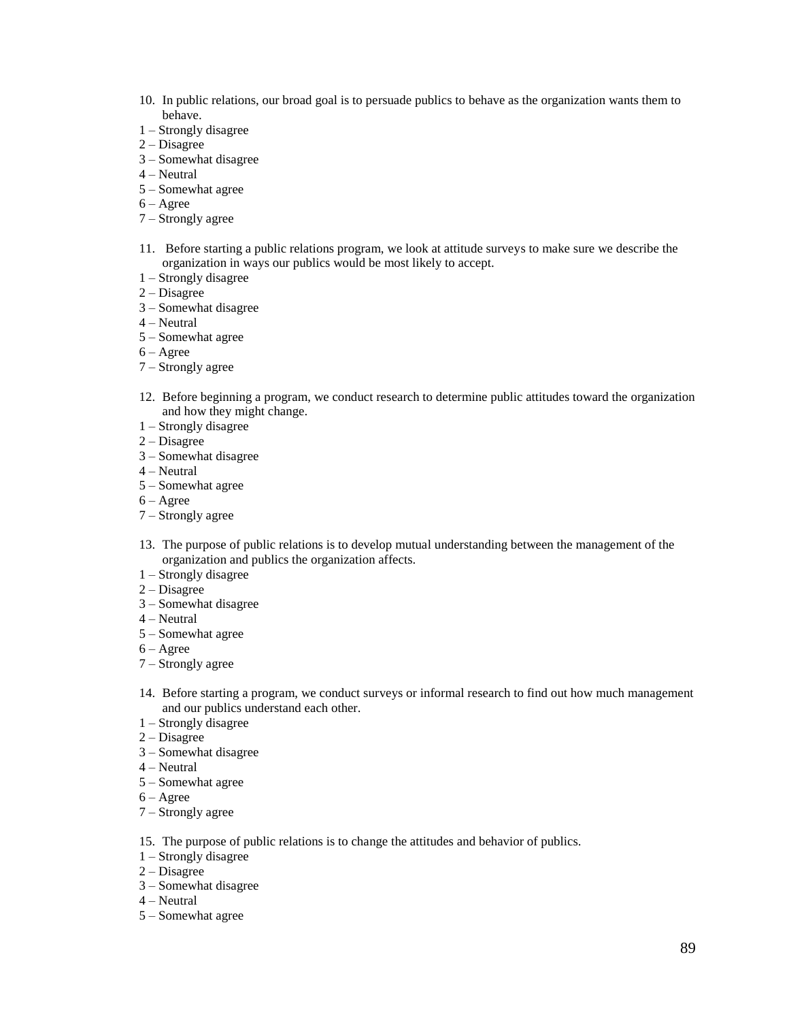- 10. In public relations, our broad goal is to persuade publics to behave as the organization wants them to behave.
- 1 Strongly disagree
- 2 Disagree
- 3 Somewhat disagree
- 4 Neutral
- 5 Somewhat agree
- 6 Agree
- 7 Strongly agree
- 11. Before starting a public relations program, we look at attitude surveys to make sure we describe the organization in ways our publics would be most likely to accept.
- 1 Strongly disagree
- 2 Disagree
- 3 Somewhat disagree
- 4 Neutral
- 5 Somewhat agree
- $6 \text{Agree}$
- 7 Strongly agree
- 12. Before beginning a program, we conduct research to determine public attitudes toward the organization and how they might change.
- 1 Strongly disagree
- 2 Disagree
- 3 Somewhat disagree
- 4 Neutral
- 5 Somewhat agree
- $6 \text{Agree}$
- 7 Strongly agree
- 13. The purpose of public relations is to develop mutual understanding between the management of the organization and publics the organization affects.
- 1 Strongly disagree
- 2 Disagree
- 3 Somewhat disagree
- 4 Neutral
- 5 Somewhat agree
- 6 Agree
- 7 Strongly agree
- 14. Before starting a program, we conduct surveys or informal research to find out how much management and our publics understand each other.
- 1 Strongly disagree
- 2 Disagree
- 3 Somewhat disagree
- 4 Neutral
- 5 Somewhat agree
- 6 Agree
- 7 Strongly agree
- 15. The purpose of public relations is to change the attitudes and behavior of publics.
- 1 Strongly disagree
- 2 Disagree
- 3 Somewhat disagree
- 4 Neutral
- 5 Somewhat agree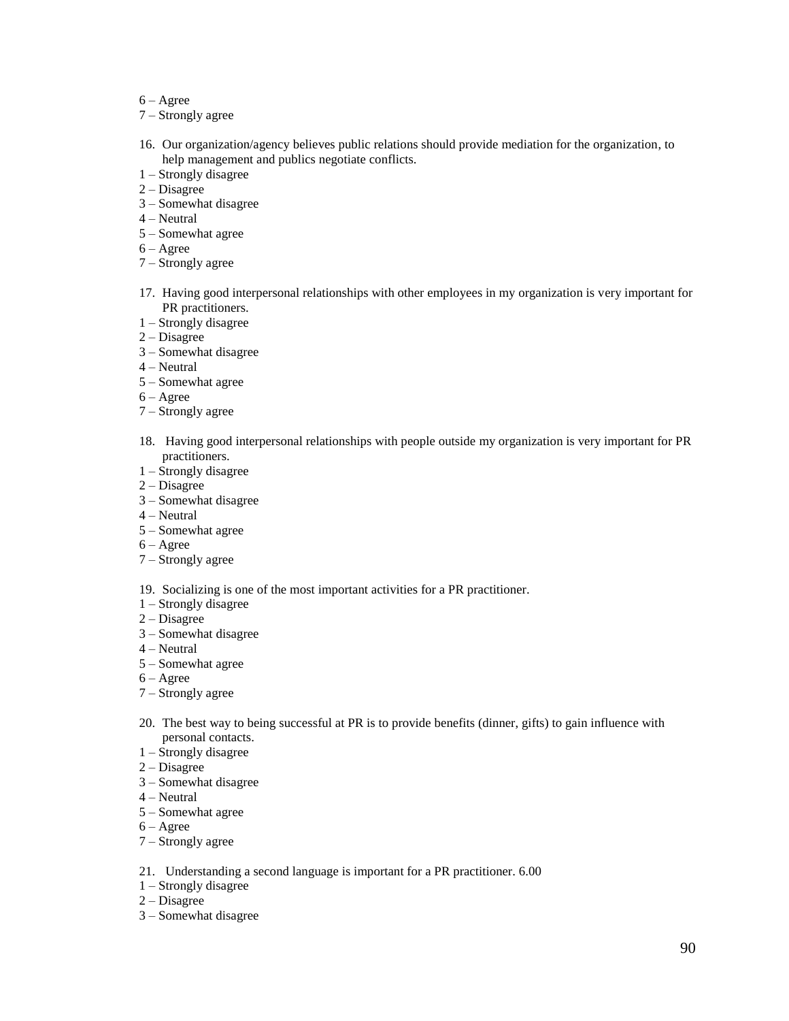- 6 Agree
- 7 Strongly agree
- 16. Our organization/agency believes public relations should provide mediation for the organization, to help management and publics negotiate conflicts.
- 1 Strongly disagree
- 2 Disagree
- 3 Somewhat disagree
- 4 Neutral
- 5 Somewhat agree
- 6 Agree
- 7 Strongly agree
- 17. Having good interpersonal relationships with other employees in my organization is very important for PR practitioners.
- 1 Strongly disagree
- 2 Disagree
- 3 Somewhat disagree
- 4 Neutral
- 5 Somewhat agree
- 6 Agree
- 7 Strongly agree
- 18. Having good interpersonal relationships with people outside my organization is very important for PR practitioners.
- 1 Strongly disagree
- 2 Disagree
- 3 Somewhat disagree
- 4 Neutral
- 5 Somewhat agree
- 6 Agree
- 7 Strongly agree
- 19. Socializing is one of the most important activities for a PR practitioner.
- 1 Strongly disagree
- 2 Disagree
- 3 Somewhat disagree
- 4 Neutral
- 5 Somewhat agree
- $6 \text{Agree}$
- 7 Strongly agree
- 20. The best way to being successful at PR is to provide benefits (dinner, gifts) to gain influence with personal contacts.
- 1 Strongly disagree
- 2 Disagree
- 3 Somewhat disagree
- 4 Neutral
- 5 Somewhat agree
- 6 Agree
- 7 Strongly agree
- 21. Understanding a second language is important for a PR practitioner. 6.00
- 1 Strongly disagree
- 2 Disagree
- 3 Somewhat disagree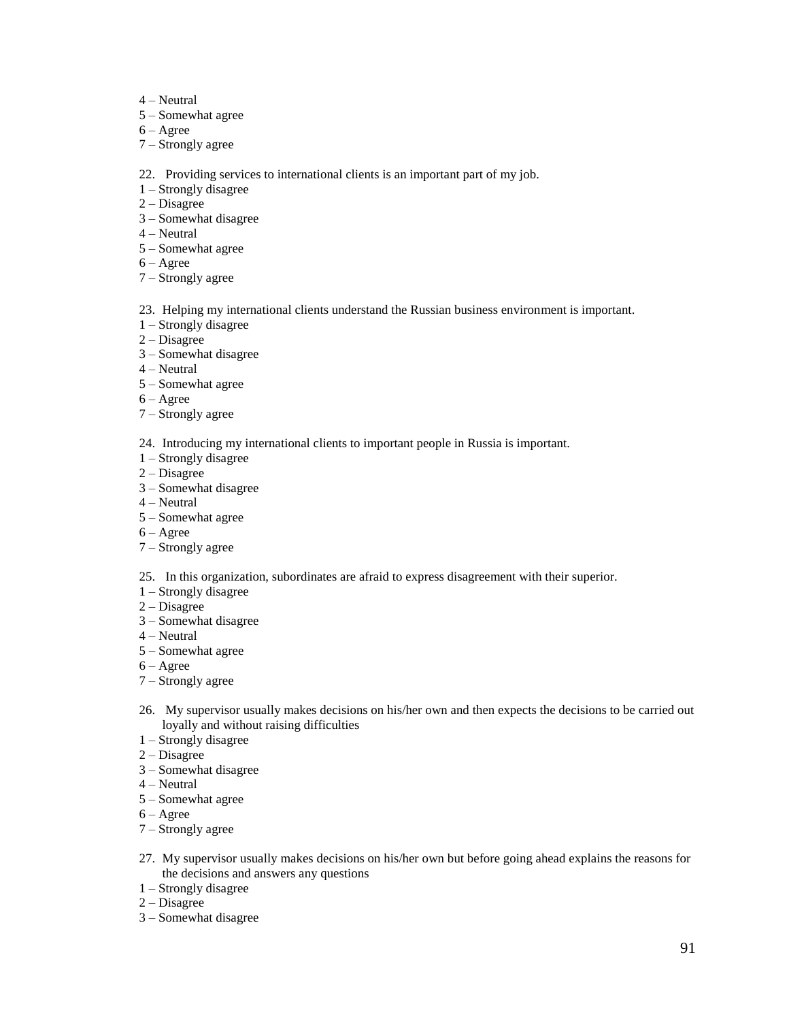- 4 Neutral
- 5 Somewhat agree
- 6 Agree
- 7 Strongly agree
- 22. Providing services to international clients is an important part of my job.
- 1 Strongly disagree
- 2 Disagree
- 3 Somewhat disagree
- 4 Neutral
- 5 Somewhat agree
- 6 Agree
- 7 Strongly agree
- 23. Helping my international clients understand the Russian business environment is important.
- 1 Strongly disagree
- 2 Disagree
- 3 Somewhat disagree
- 4 Neutral
- 5 Somewhat agree
- 6 Agree
- 7 Strongly agree
- 24. Introducing my international clients to important people in Russia is important.
- 1 Strongly disagree
- 2 Disagree
- 3 Somewhat disagree
- 4 Neutral
- 5 Somewhat agree
- 6 Agree
- 7 Strongly agree
- 25. In this organization, subordinates are afraid to express disagreement with their superior.
- 1 Strongly disagree
- 2 Disagree
- 3 Somewhat disagree
- 4 Neutral
- 5 Somewhat agree
- 6 Agree
- 7 Strongly agree
- 26. My supervisor usually makes decisions on his/her own and then expects the decisions to be carried out loyally and without raising difficulties
- 1 Strongly disagree
- 2 Disagree
- 3 Somewhat disagree
- 4 Neutral
- 5 Somewhat agree
- 6 Agree
- 7 Strongly agree
- 27. My supervisor usually makes decisions on his/her own but before going ahead explains the reasons for the decisions and answers any questions
- 1 Strongly disagree
- 2 Disagree
- 3 Somewhat disagree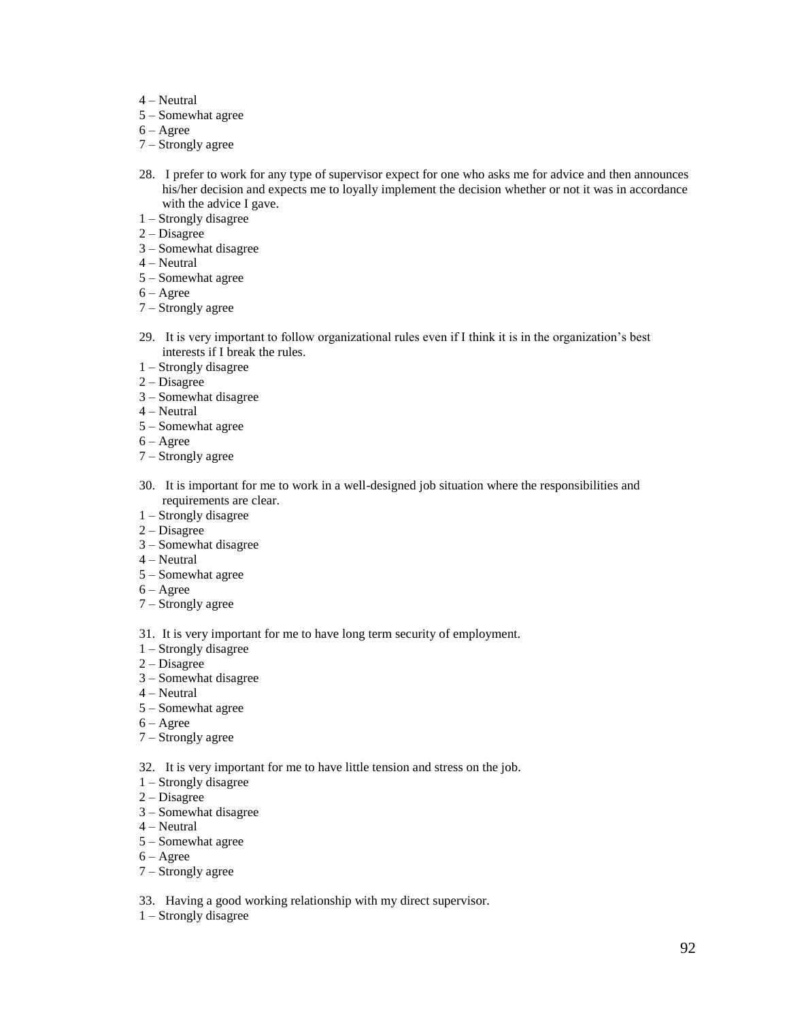- 4 Neutral
- 5 Somewhat agree
- 6 Agree
- 7 Strongly agree
- 28. I prefer to work for any type of supervisor expect for one who asks me for advice and then announces his/her decision and expects me to loyally implement the decision whether or not it was in accordance with the advice I gave.
- 1 Strongly disagree
- 2 Disagree
- 3 Somewhat disagree
- 4 Neutral
- 5 Somewhat agree
- 6 Agree
- 7 Strongly agree
- 29. It is very important to follow organizational rules even if I think it is in the organization's best interests if I break the rules.
- 1 Strongly disagree
- 2 Disagree
- 3 Somewhat disagree
- 4 Neutral
- 5 Somewhat agree
- 6 Agree
- 7 Strongly agree
- 30. It is important for me to work in a well-designed job situation where the responsibilities and requirements are clear.
- 1 Strongly disagree
- 2 Disagree
- 3 Somewhat disagree
- 4 Neutral
- 5 Somewhat agree
- 6 Agree
- 7 Strongly agree
- 31. It is very important for me to have long term security of employment.
- 1 Strongly disagree
- 2 Disagree
- 3 Somewhat disagree
- 4 Neutral
- 5 Somewhat agree
- 6 Agree
- 7 Strongly agree
- 32. It is very important for me to have little tension and stress on the job.
- 1 Strongly disagree
- 2 Disagree
- 3 Somewhat disagree
- 4 Neutral
- 5 Somewhat agree
- $6 \text{Agree}$
- 7 Strongly agree
- 33. Having a good working relationship with my direct supervisor.
- 1 Strongly disagree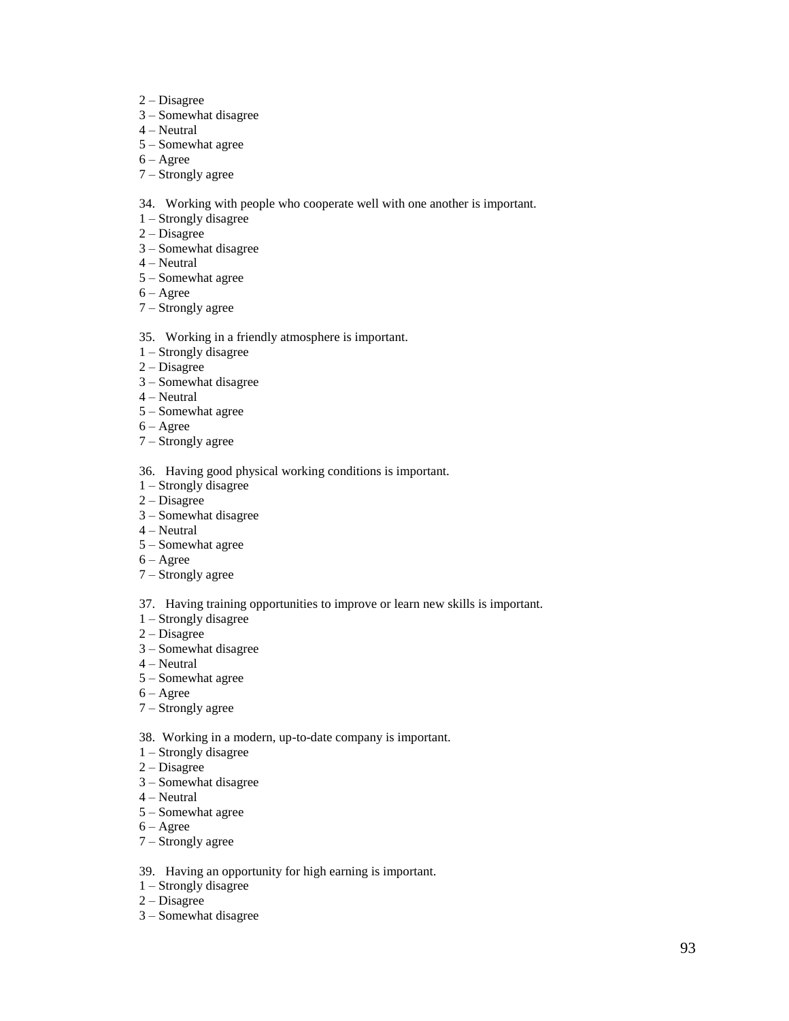- 2 Disagree
- 3 Somewhat disagree
- 4 Neutral
- 5 Somewhat agree
- 6 Agree
- 7 Strongly agree
- 34. Working with people who cooperate well with one another is important.
- 1 Strongly disagree
- 2 Disagree
- 3 Somewhat disagree
- 4 Neutral
- 5 Somewhat agree
- 6 Agree
- 7 Strongly agree
- 35. Working in a friendly atmosphere is important.
- 1 Strongly disagree
- 2 Disagree
- 3 Somewhat disagree
- 4 Neutral
- 5 Somewhat agree
- 6 Agree
- 7 Strongly agree
- 36. Having good physical working conditions is important.
- 1 Strongly disagree
- 2 Disagree
- 3 Somewhat disagree
- 4 Neutral
- 5 Somewhat agree
- 6 Agree
- 7 Strongly agree
- 37. Having training opportunities to improve or learn new skills is important.
- 1 Strongly disagree
- 2 Disagree
- 3 Somewhat disagree
- 4 Neutral
- 5 Somewhat agree
- 6 Agree
- 7 Strongly agree
- 38. Working in a modern, up-to-date company is important.
- 1 Strongly disagree
- 2 Disagree
- 3 Somewhat disagree
- 4 Neutral
- 5 Somewhat agree
- 6 Agree
- 7 Strongly agree
- 39. Having an opportunity for high earning is important.
- 1 Strongly disagree
- $2 Disagree$
- 3 Somewhat disagree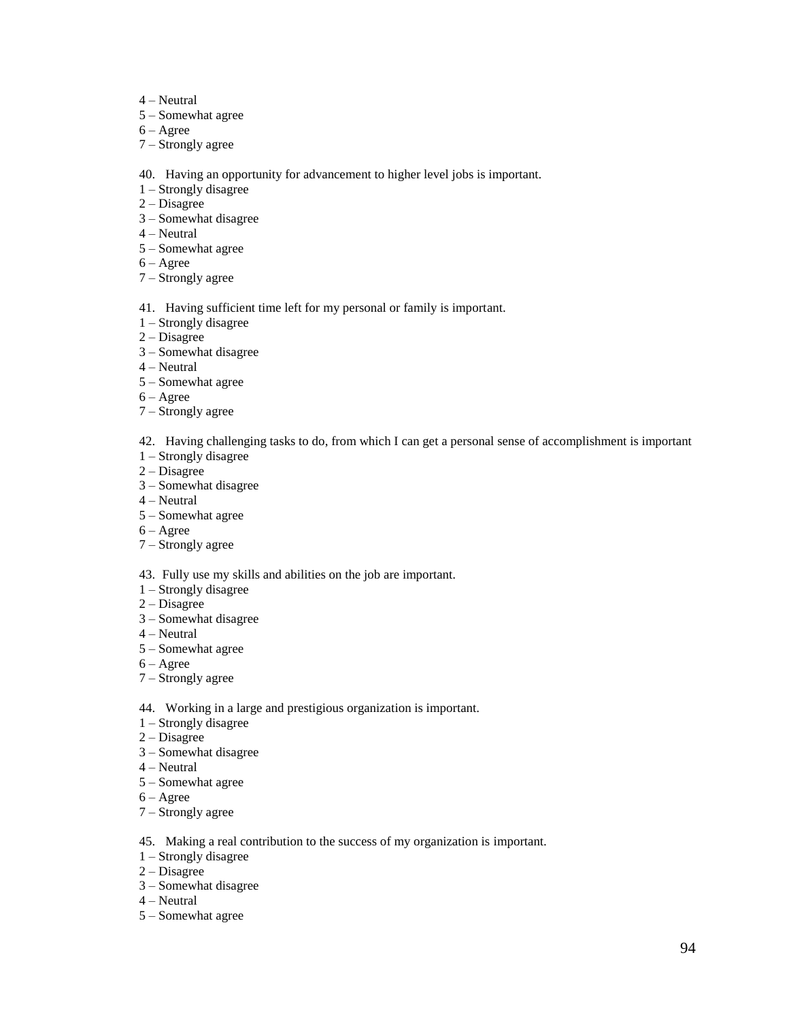- 4 Neutral
- 5 Somewhat agree
- $6 \text{Agree}$
- 7 Strongly agree

40. Having an opportunity for advancement to higher level jobs is important.

- 1 Strongly disagree
- 2 Disagree
- 3 Somewhat disagree
- 4 Neutral
- 5 Somewhat agree
- 6 Agree
- 7 Strongly agree
- 41. Having sufficient time left for my personal or family is important.
- 1 Strongly disagree
- 2 Disagree
- 3 Somewhat disagree
- 4 Neutral
- 5 Somewhat agree
- 6 Agree
- 7 Strongly agree
- 42. Having challenging tasks to do, from which I can get a personal sense of accomplishment is important
- 1 Strongly disagree
- 2 Disagree
- 3 Somewhat disagree
- 4 Neutral
- 5 Somewhat agree
- 6 Agree
- 7 Strongly agree
- 43. Fully use my skills and abilities on the job are important.
- 1 Strongly disagree
- 2 Disagree
- 3 Somewhat disagree
- 4 Neutral
- 5 Somewhat agree
- $6 \text{Agree}$
- 7 Strongly agree
- 44. Working in a large and prestigious organization is important.
- 1 Strongly disagree
- 2 Disagree
- 3 Somewhat disagree
- 4 Neutral
- 5 Somewhat agree
- 6 Agree
- 7 Strongly agree
- 45. Making a real contribution to the success of my organization is important.
- 1 Strongly disagree
- 2 Disagree
- 3 Somewhat disagree
- 4 Neutral
- 5 Somewhat agree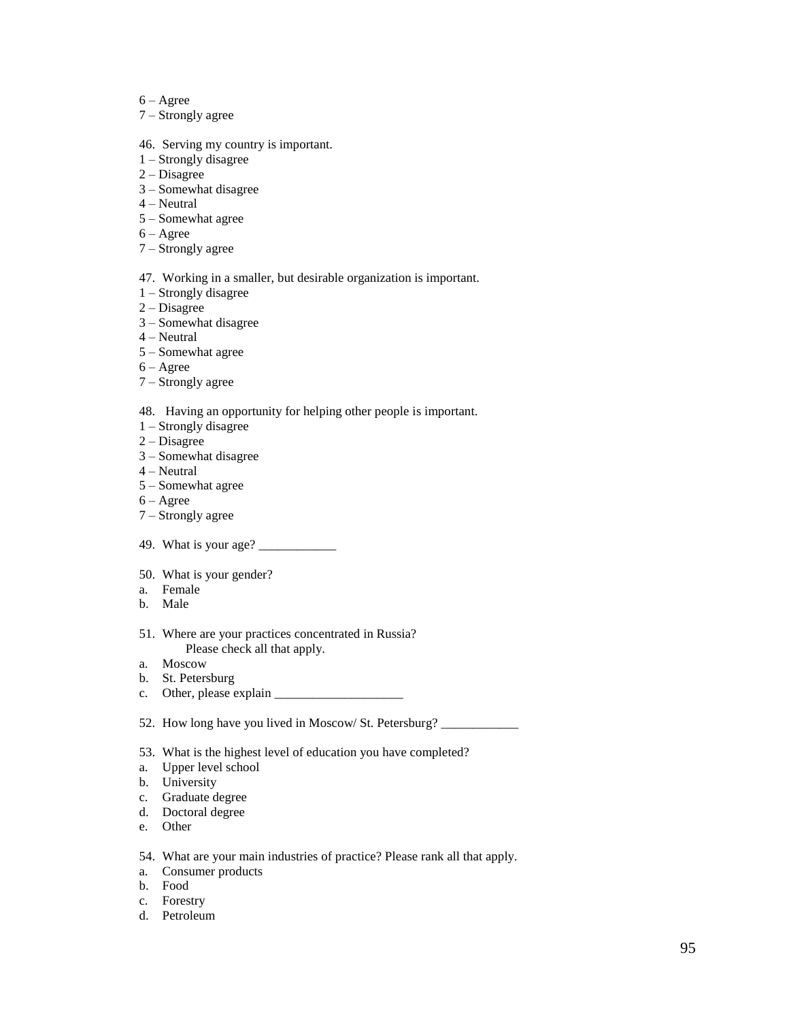- 6 Agree
- 7 Strongly agree
- 46. Serving my country is important.
- 1 Strongly disagree
- 2 Disagree
- 3 Somewhat disagree
- 4 Neutral
- 5 Somewhat agree
- 6 Agree
- 7 Strongly agree
- 47. Working in a smaller, but desirable organization is important.
- 1 Strongly disagree
- 2 Disagree
- 3 Somewhat disagree
- 4 Neutral
- 5 Somewhat agree
- $6 \text{Agree}$
- 7 Strongly agree

48. Having an opportunity for helping other people is important.

- 1 Strongly disagree
- 2 Disagree
- 3 Somewhat disagree
- 4 Neutral
- 5 Somewhat agree
- $6 \text{Agree}$
- 7 Strongly agree
- 49. What is your age? \_\_\_\_\_\_\_\_\_\_\_\_
- 50. What is your gender?
- a. Female
- b. Male
- 51. Where are your practices concentrated in Russia? Please check all that apply.
- a. Moscow
- b. St. Petersburg
- c. Other, please explain \_\_\_\_\_\_\_\_\_\_\_\_\_\_\_\_\_\_\_\_
- 52. How long have you lived in Moscow/ St. Petersburg? \_\_
- 53. What is the highest level of education you have completed?
- a. Upper level school
- b. University
- c. Graduate degree
- d. Doctoral degree
- e. Other
- 54. What are your main industries of practice? Please rank all that apply.
- a. Consumer products
- b. Food
- c. Forestry
- d. Petroleum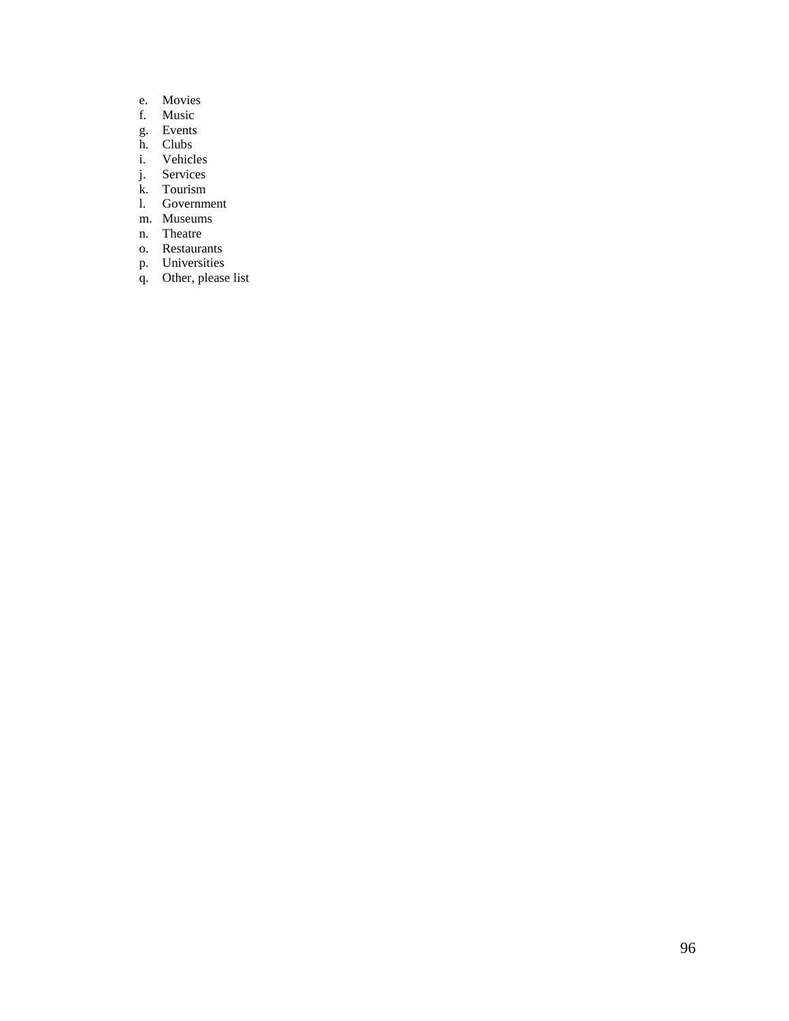- e. Movies<br>f. Music
- Music
- g. Events
- h. Clubs<br>
i. Vehicl
- **Vehicles**
- j. Services
- k. Tourism
- l. Government
- m. Museums
- n. Theatre
- o. Restaurants
- p. Universities
- q. Other, please list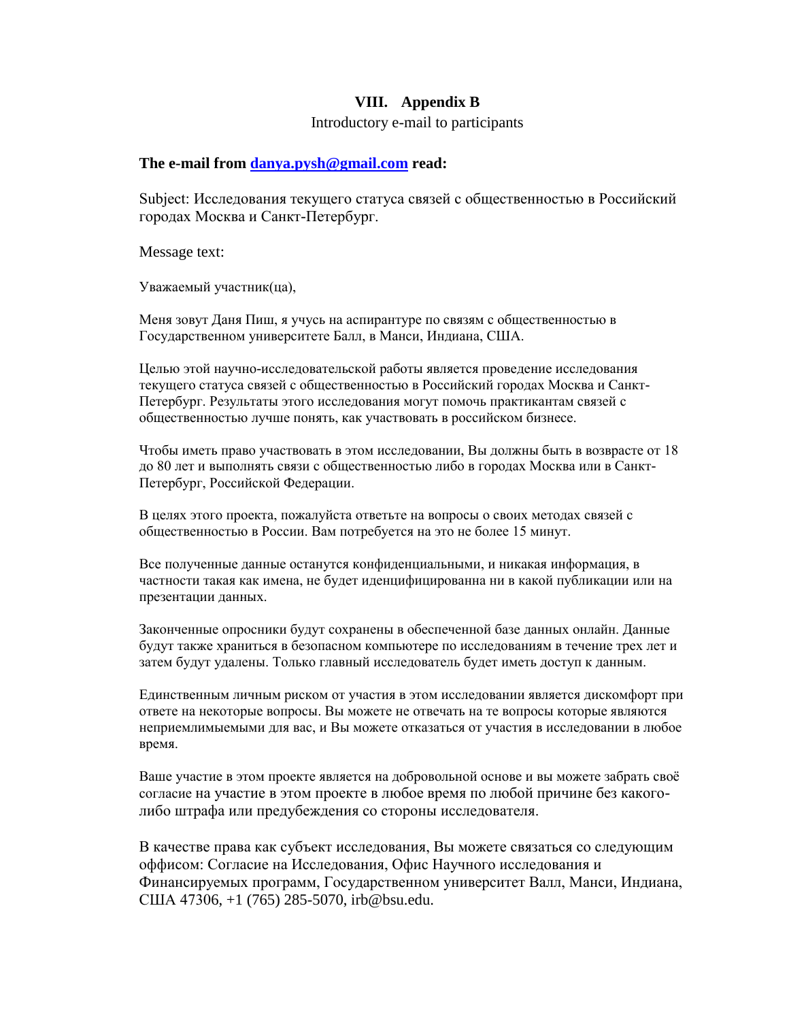# **VIII. Appendix B**

# Introductory e-mail to participants

## **The e-mail from [danya.pysh@gmail.com](mailto:danya.pysh@gmail.com) read:**

Subject: Исследования текущего статуса связей с общественностью в Российский городах Москва и Санкт-Петербург.

Message text:

Уважаемый участник(ца),

Меня зовут Даня Пиш, я учусь на аспирантуре по связям с общественностью в Государственном университете Балл, в Манси, Индиана, США.

Целью этой научно-исследовательской работы является проведение исследования текущего статуса связей с общественностью в Российский городах Москва и Санкт-Петербург. Результаты этого исследования могут помочь практикантам связей с общественностью лучше понять, как участвовать в российском бизнесе.

Чтобы иметь право участвовать в этом исследовании, Вы должны быть в возврасте от 18 до 80 лет и выполнять связи с общественностью либо в городах Москва или в Санкт-Петербург, Российской Федерации.

В целях этого проекта, пожалуйста ответьте на вопросы о своих методах связей с общественностью в России. Вам потребуется на это не более 15 минут.

Все полученные данные останутся конфиденциальными, и никакая информация, в частности такая как имена, не будет иденцифицированна ни в какой публикации или на презентации данных.

Законченные опросники будут сохранены в обеспеченной базе данных онлайн. Данные будут также храниться в безопасном компьютере по исследованиям в течение трех лет и затем будут удалены. Только главный исследователь будет иметь доступ к данным.

Единственным личным риском от участия в этом исследовании является дискомфорт при ответе на некоторые вопросы. Вы можете не отвечать на те вопросы которые являются неприемлимыемыми для вас, и Вы можете отказаться от участия в исследовании в любое время.

Ваше участие в этом проекте является на добровольной основе и вы можете забрать своѐ согласие на участие в этом проекте в любое время по любой причине без какоголибо штрафа или предубеждения со стороны исследователя.

В качестве права как субъект исследования, Вы можете связаться со следующим оффисом: Согласие на Исследования, Oфис Научного исследования и Финансируемых программ, Государственном университет Валл, Манси, Индиана, США 47306, +1 (765) 285-5070, irb@bsu.edu.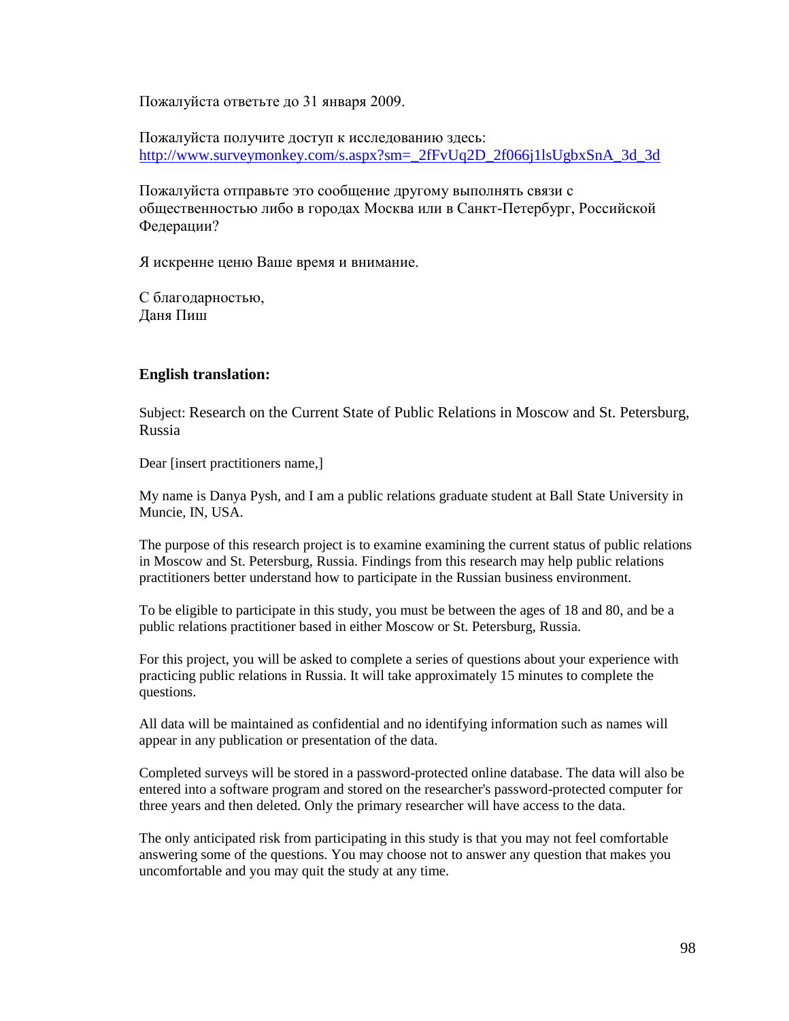Пожалуйста ответьте до 31 января 2009.

Пожалуйста получите доступ к исследованию здесь: [http://www.surveymonkey.com/s.aspx?sm=\\_2fFvUq2D\\_2f066j1lsUgbxSnA\\_3d\\_3d](http://www.surveymonkey.com/s.aspx?sm=_2fFvUq2D_2f066j1lsUgbxSnA_3d_3d)

Пожалуйста отправьте это сообщение другому выполнять связи с общественностью либо в городах Москва или в Санкт-Петербург, Российской Федерации?

Я искренне ценю Ваше время и внимание.

С благодарностью, Даня Пиш

# **English translation:**

Subject: Research on the Current State of Public Relations in Moscow and St. Petersburg, Russia

Dear [insert practitioners name,]

My name is Danya Pysh, and I am a public relations graduate student at Ball State University in Muncie, IN, USA.

The purpose of this research project is to examine examining the current status of public relations in Moscow and St. Petersburg, Russia. Findings from this research may help public relations practitioners better understand how to participate in the Russian business environment.

To be eligible to participate in this study, you must be between the ages of 18 and 80, and be a public relations practitioner based in either Moscow or St. Petersburg, Russia.

For this project, you will be asked to complete a series of questions about your experience with practicing public relations in Russia. It will take approximately 15 minutes to complete the questions.

All data will be maintained as confidential and no identifying information such as names will appear in any publication or presentation of the data.

Completed surveys will be stored in a password-protected online database. The data will also be entered into a software program and stored on the researcher's password-protected computer for three years and then deleted. Only the primary researcher will have access to the data.

The only anticipated risk from participating in this study is that you may not feel comfortable answering some of the questions. You may choose not to answer any question that makes you uncomfortable and you may quit the study at any time.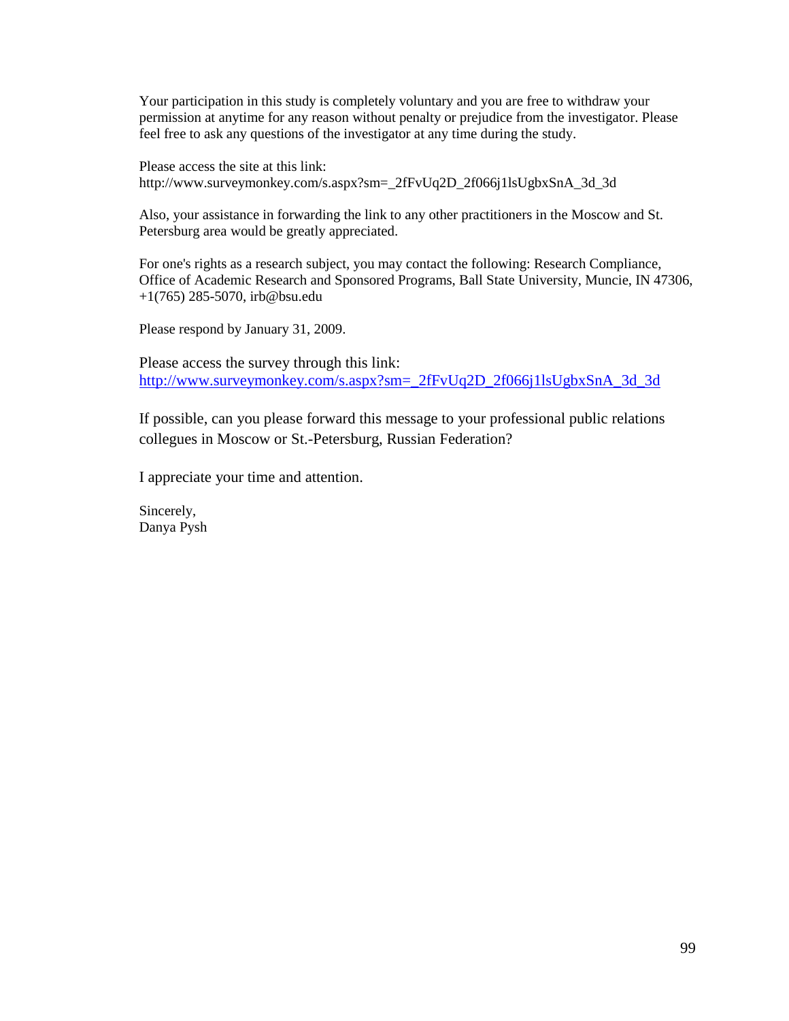Your participation in this study is completely voluntary and you are free to withdraw your permission at anytime for any reason without penalty or prejudice from the investigator. Please feel free to ask any questions of the investigator at any time during the study.

Please access the site at this link: http://www.surveymonkey.com/s.aspx?sm=\_2fFvUq2D\_2f066j1lsUgbxSnA\_3d\_3d

Also, your assistance in forwarding the link to any other practitioners in the Moscow and St. Petersburg area would be greatly appreciated.

For one's rights as a research subject, you may contact the following: Research Compliance, Office of Academic Research and Sponsored Programs, Ball State University, Muncie, IN 47306, +1(765) 285-5070, irb@bsu.edu

Please respond by January 31, 2009.

Please access the survey through this link: [http://www.surveymonkey.com/s.aspx?sm=\\_2fFvUq2D\\_2f066j1lsUgbxSnA\\_3d\\_3d](http://www.surveymonkey.com/s.aspx?sm=_2fFvUq2D_2f066j1lsUgbxSnA_3d_3d)

If possible, can you please forward this message to your professional public relations collegues in Moscow or St.-Petersburg, Russian Federation?

I appreciate your time and attention.

Sincerely, Danya Pysh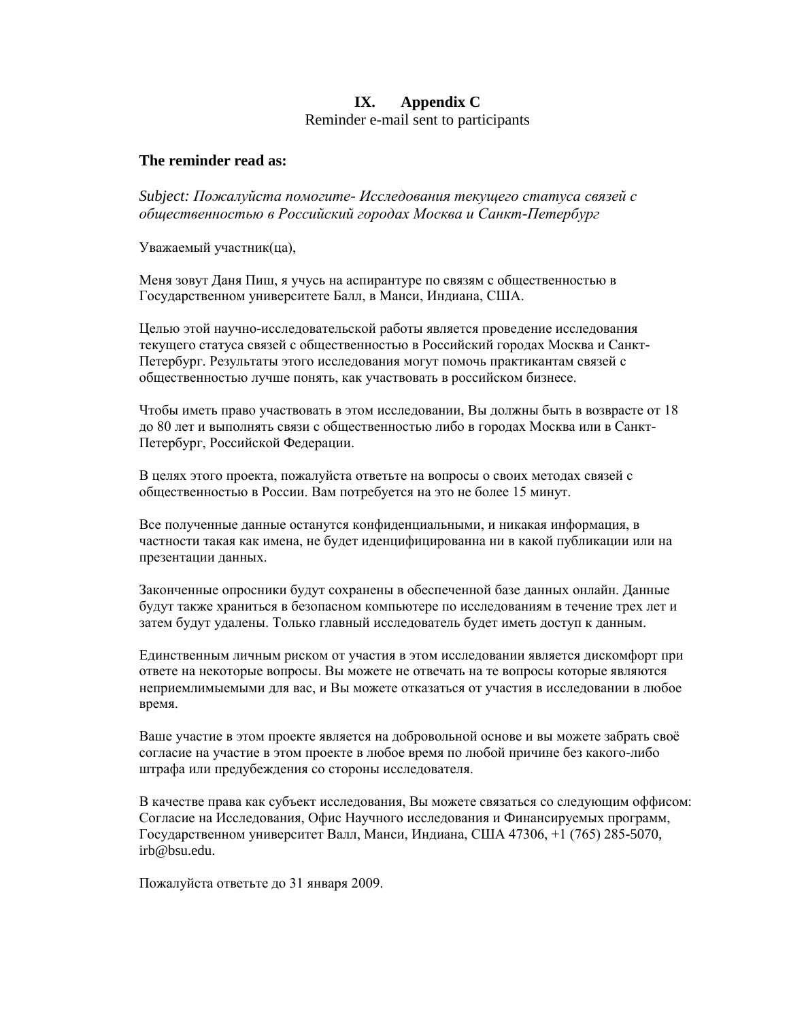# **IX. Appendix C** Reminder e-mail sent to participants

## **The reminder read as:**

*Subject: Пожалуйста помогите- Исследования текущего статуса связей с общественностью в Российский городах Москва и Санкт-Петербург*

Уважаемый участник(ца),

Меня зовут Даня Пиш, я учусь на аспирантуре по связям с общественностью в Государственном университете Балл, в Манси, Индиана, США.

Целью этой научно-исследовательской работы является проведение исследования текущего статуса связей с общественностью в Российский городах Москва и Санкт-Петербург. Результаты этого исследования могут помочь практикантам связей с общественностью лучше понять, как участвовать в российском бизнесе.

Чтобы иметь право участвовать в этом исследовании, Вы должны быть в возврасте от 18 до 80 лет и выполнять связи с общественностью либо в городах Москва или в Санкт-Петербург, Российской Федерации.

В целях этого проекта, пожалуйста ответьте на вопросы о своих методах связей с общественностью в России. Вам потребуется на это не более 15 минут.

Все полученные данные останутся конфиденциальными, и никакая информация, в частности такая как имена, не будет иденцифицированна ни в какой публикации или на презентации данных.

Законченные опросники будут сохранены в обеспеченной базе данных онлайн. Данные будут также храниться в безопасном компьютере по исследованиям в течение трех лет и затем будут удалены. Только главный исследователь будет иметь доступ к данным.

Единственным личным риском от участия в этом исследовании является дискомфорт при ответе на некоторые вопросы. Вы можете не отвечать на те вопросы которые являются неприемлимыемыми для вас, и Вы можете отказаться от участия в исследовании в любое время.

Ваше участие в этом проекте является на добровольной основе и вы можете забрать своѐ согласие на участие в этом проекте в любое время по любой причине без какого-либо штрафа или предубеждения со стороны исследователя.

В качестве права как субъект исследования, Вы можете связаться со следующим оффисом: Согласие на Исследования, Oфис Научного исследования и Финансируемых программ, Государственном университет Валл, Манси, Индиана, США 47306, +1 (765) 285-5070, irb@bsu.edu.

Пожалуйста ответьте до 31 января 2009.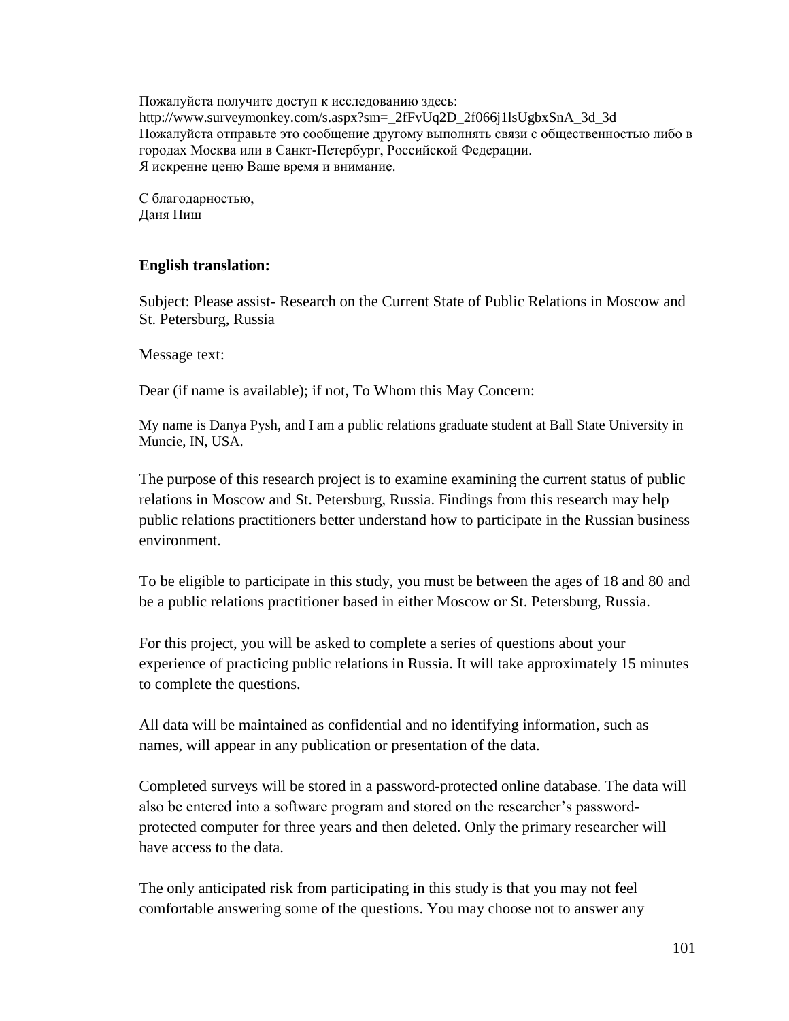Пожалуйста получите доступ к исследованию здесь: http://www.surveymonkey.com/s.aspx?sm=\_2fFvUq2D\_2f066j1lsUgbxSnA\_3d\_3d\_ Пожалуйста отправьте это сообщение другому выполнять связи с общественностью либо в городах Москва или в Санкт-Петербург, Российской Федерации. Я искренне ценю Ваше время и внимание.

С благодарностью, Даня Пиш

# **English translation:**

Subject: Please assist- Research on the Current State of Public Relations in Moscow and St. Petersburg, Russia

Message text:

Dear (if name is available); if not, To Whom this May Concern:

My name is Danya Pysh, and I am a public relations graduate student at Ball State University in Muncie, IN, USA.

The purpose of this research project is to examine examining the current status of public relations in Moscow and St. Petersburg, Russia. Findings from this research may help public relations practitioners better understand how to participate in the Russian business environment.

To be eligible to participate in this study, you must be between the ages of 18 and 80 and be a public relations practitioner based in either Moscow or St. Petersburg, Russia.

For this project, you will be asked to complete a series of questions about your experience of practicing public relations in Russia. It will take approximately 15 minutes to complete the questions.

All data will be maintained as confidential and no identifying information, such as names, will appear in any publication or presentation of the data.

Completed surveys will be stored in a password-protected online database. The data will also be entered into a software program and stored on the researcher's passwordprotected computer for three years and then deleted. Only the primary researcher will have access to the data.

The only anticipated risk from participating in this study is that you may not feel comfortable answering some of the questions. You may choose not to answer any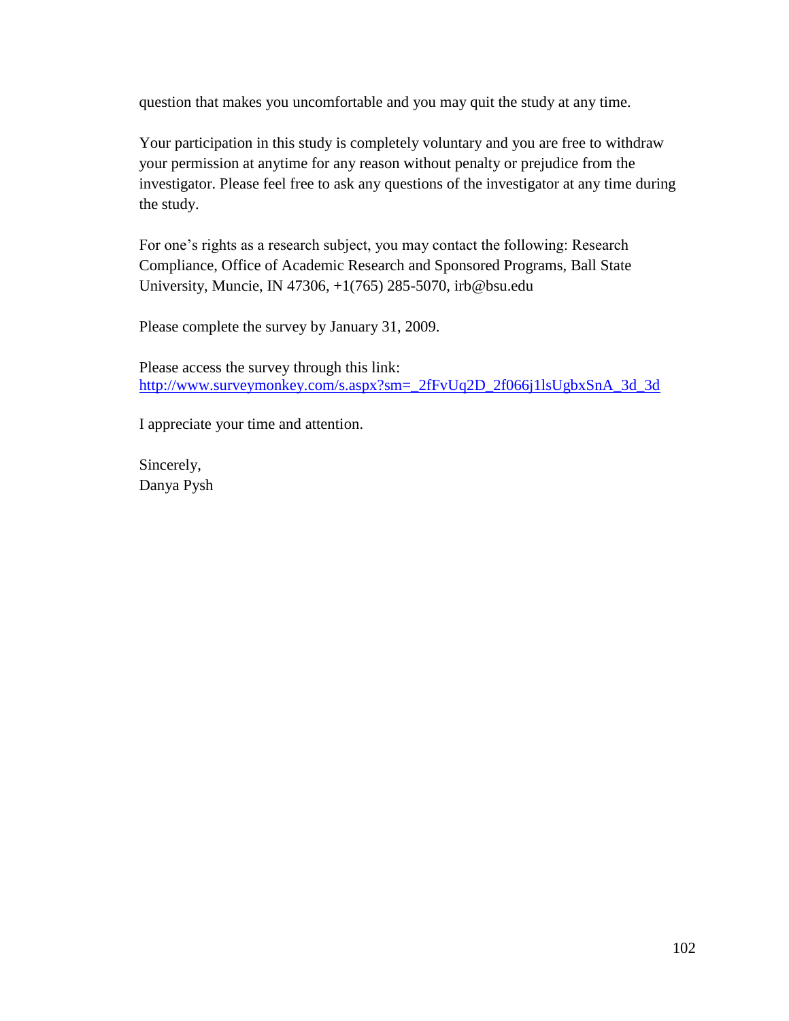question that makes you uncomfortable and you may quit the study at any time.

Your participation in this study is completely voluntary and you are free to withdraw your permission at anytime for any reason without penalty or prejudice from the investigator. Please feel free to ask any questions of the investigator at any time during the study.

For one's rights as a research subject, you may contact the following: Research Compliance, Office of Academic Research and Sponsored Programs, Ball State University, Muncie, IN 47306, +1(765) 285-5070, irb@bsu.edu

Please complete the survey by January 31, 2009.

Please access the survey through this link: [http://www.surveymonkey.com/s.aspx?sm=\\_2fFvUq2D\\_2f066j1lsUgbxSnA\\_3d\\_3d](http://www.surveymonkey.com/s.aspx?sm=_2fFvUq2D_2f066j1lsUgbxSnA_3d_3d)

I appreciate your time and attention.

Sincerely, Danya Pysh